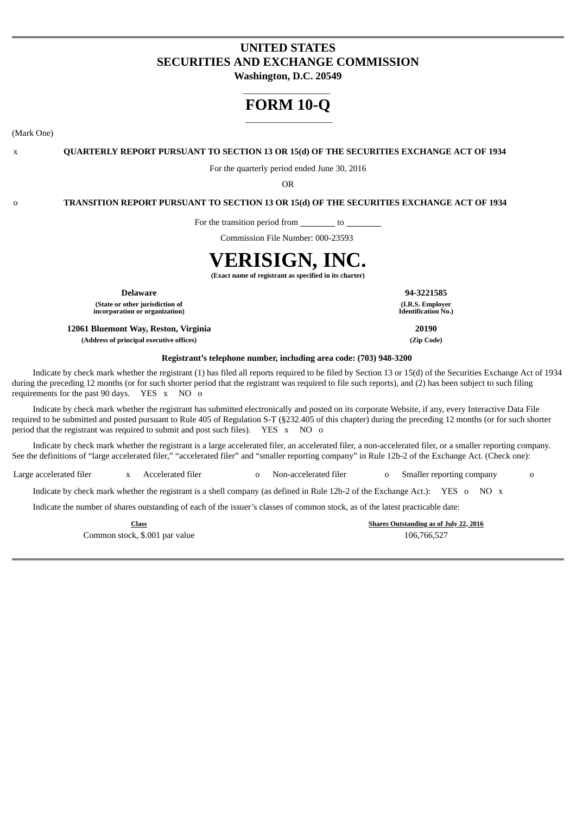# **UNITED STATES SECURITIES AND EXCHANGE COMMISSION**

**Washington, D.C. 20549** \_\_\_\_\_\_\_\_\_\_\_\_\_\_\_\_\_\_\_\_

## **FORM 10-Q** \_\_\_\_\_\_\_\_\_\_\_\_\_\_\_\_\_\_\_\_

(Mark One)

## x **QUARTERLY REPORT PURSUANT TO SECTION 13 OR 15(d) OF THE SECURITIES EXCHANGE ACT OF 1934**

For the quarterly period ended June 30, 2016

OR

o **TRANSITION REPORT PURSUANT TO SECTION 13 OR 15(d) OF THE SECURITIES EXCHANGE ACT OF 1934**

For the transition period from  $\_\_\_\_\_$  to  $\_\_\_\$ 

Commission File Number: 000-23593

# **VERISIGN, INC.**

**(Exact name of registrant as specified in its charter)**

**(State or other jurisdiction of incorporation or organization)**

**12061 Bluemont Way, Reston, Virginia 20190 (Address of principal executive offices) (Zip Code)**

**Delaware 94-3221585 (I.R.S. Employer Identification No.)**

**Registrant's telephone number, including area code: (703) 948-3200**

Indicate by check mark whether the registrant (1) has filed all reports required to be filed by Section 13 or 15(d) of the Securities Exchange Act of 1934 during the preceding 12 months (or for such shorter period that the registrant was required to file such reports), and (2) has been subject to such filing requirements for the past 90 days. YES x NO o

Indicate by check mark whether the registrant has submitted electronically and posted on its corporate Website, if any, every Interactive Data File required to be submitted and posted pursuant to Rule 405 of Regulation S-T (§232.405 of this chapter) during the preceding 12 months (or for such shorter period that the registrant was required to submit and post such files). YES x NO o

Indicate by check mark whether the registrant is a large accelerated filer, an accelerated filer, a non-accelerated filer, or a smaller reporting company. See the definitions of "large accelerated filer," "accelerated filer" and "smaller reporting company" in Rule 12b-2 of the Exchange Act. (Check one):

Large accelerated filer  $\alpha$  Accelerated filer o Non-accelerated filer o Smaller reporting company o

Indicate by check mark whether the registrant is a shell company (as defined in Rule 12b-2 of the Exchange Act.): YES o NO x

Indicate the number of shares outstanding of each of the issuer's classes of common stock, as of the latest practicable date:

Common stock, \$.001 par value 106,766,527

**Class Shares Outstanding as of July 22, 2016**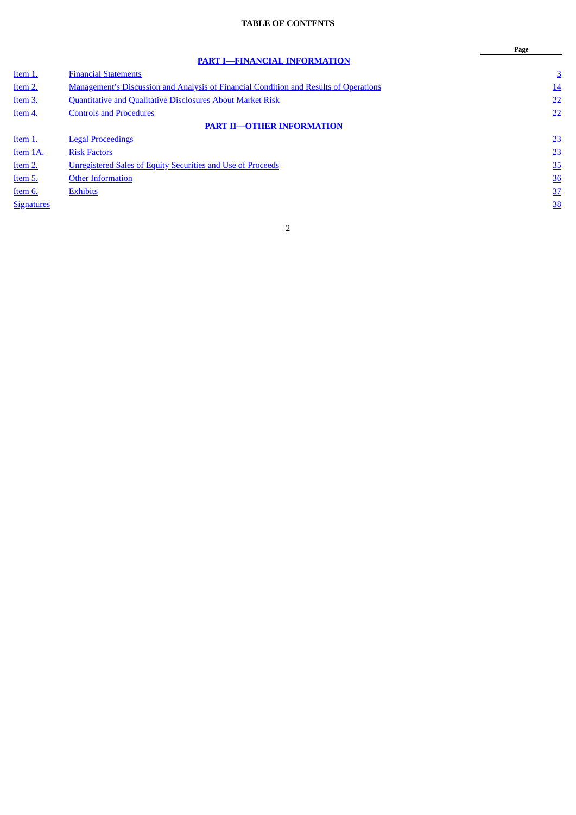## **TABLE OF CONTENTS**

<span id="page-1-0"></span>

|                   |                                                                                              | Page           |
|-------------------|----------------------------------------------------------------------------------------------|----------------|
|                   | <b>PART I-FINANCIAL INFORMATION</b>                                                          |                |
| Item 1.           | <b>Financial Statements</b>                                                                  | $\overline{3}$ |
| Item 2.           | <b>Management's Discussion and Analysis of Financial Condition and Results of Operations</b> | <u>14</u>      |
| Item 3.           | <b>Quantitative and Qualitative Disclosures About Market Risk</b>                            | 22             |
| Item 4.           | <b>Controls and Procedures</b>                                                               | 22             |
|                   | <b>PART II-OTHER INFORMATION</b>                                                             |                |
| Item 1.           | <b>Legal Proceedings</b>                                                                     | 23             |
| Item 1A.          | <b>Risk Factors</b>                                                                          | <u>23</u>      |
| Item 2.           | <b>Unregistered Sales of Equity Securities and Use of Proceeds</b>                           | <u>35</u>      |
| Item 5.           | <b>Other Information</b>                                                                     | <u>36</u>      |
| Item 6.           | <b>Exhibits</b>                                                                              | <u>37</u>      |
| <b>Signatures</b> |                                                                                              | <u>38</u>      |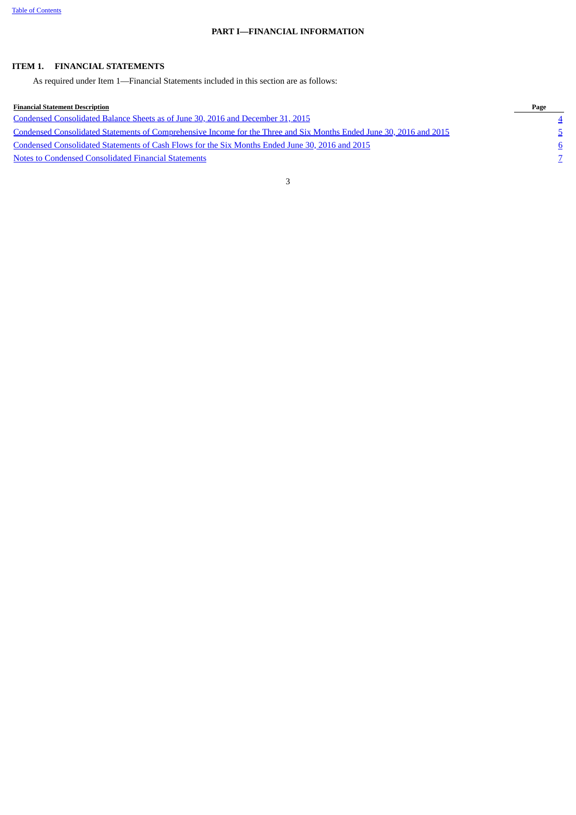## **PART I—FINANCIAL INFORMATION**

## <span id="page-2-1"></span><span id="page-2-0"></span>**ITEM 1. FINANCIAL STATEMENTS**

As required under Item 1—Financial Statements included in this section are as follows:

| <b>Financial Statement Description</b>                                                                              | Page |
|---------------------------------------------------------------------------------------------------------------------|------|
| Condensed Consolidated Balance Sheets as of June 30, 2016 and December 31, 2015                                     |      |
| Condensed Consolidated Statements of Comprehensive Income for the Three and Six Months Ended June 30, 2016 and 2015 |      |
| Condensed Consolidated Statements of Cash Flows for the Six Months Ended June 30, 2016 and 2015                     | -6   |
| <b>Notes to Condensed Consolidated Financial Statements</b>                                                         |      |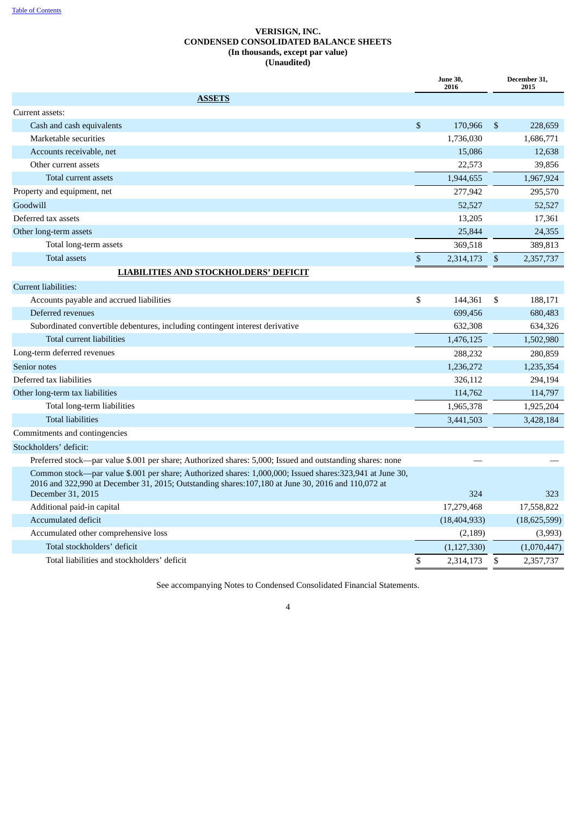## **VERISIGN, INC. CONDENSED CONSOLIDATED BALANCE SHEETS (In thousands, except par value) (Unaudited)**

<span id="page-3-0"></span>

|                                                                                                                                                                                                                                     |                | <b>June 30,</b><br>2016 |               | December 31,<br>2015 |
|-------------------------------------------------------------------------------------------------------------------------------------------------------------------------------------------------------------------------------------|----------------|-------------------------|---------------|----------------------|
| <b>ASSETS</b>                                                                                                                                                                                                                       |                |                         |               |                      |
| Current assets:                                                                                                                                                                                                                     |                |                         |               |                      |
| Cash and cash equivalents                                                                                                                                                                                                           | $\mathbb{S}$   | 170,966                 | <sup>\$</sup> | 228,659              |
| Marketable securities                                                                                                                                                                                                               |                | 1,736,030               |               | 1,686,771            |
| Accounts receivable, net                                                                                                                                                                                                            |                | 15,086                  |               | 12,638               |
| Other current assets                                                                                                                                                                                                                |                | 22,573                  |               | 39,856               |
| Total current assets                                                                                                                                                                                                                |                | 1,944,655               |               | 1,967,924            |
| Property and equipment, net                                                                                                                                                                                                         |                | 277,942                 |               | 295,570              |
| Goodwill                                                                                                                                                                                                                            |                | 52,527                  |               | 52,527               |
| Deferred tax assets                                                                                                                                                                                                                 |                | 13,205                  |               | 17,361               |
| Other long-term assets                                                                                                                                                                                                              |                | 25,844                  |               | 24,355               |
| Total long-term assets                                                                                                                                                                                                              |                | 369,518                 |               | 389,813              |
| Total assets                                                                                                                                                                                                                        | $\mathfrak{s}$ | 2,314,173               | \$            | 2,357,737            |
| <b>LIABILITIES AND STOCKHOLDERS' DEFICIT</b>                                                                                                                                                                                        |                |                         |               |                      |
| Current liabilities:                                                                                                                                                                                                                |                |                         |               |                      |
| Accounts payable and accrued liabilities                                                                                                                                                                                            | \$             | 144,361                 | \$            | 188,171              |
| Deferred revenues                                                                                                                                                                                                                   |                | 699,456                 |               | 680,483              |
| Subordinated convertible debentures, including contingent interest derivative                                                                                                                                                       |                | 632,308                 |               | 634,326              |
| Total current liabilities                                                                                                                                                                                                           |                | 1,476,125               |               | 1,502,980            |
| Long-term deferred revenues                                                                                                                                                                                                         |                | 288,232                 |               | 280,859              |
| Senior notes                                                                                                                                                                                                                        |                | 1,236,272               |               | 1,235,354            |
| Deferred tax liabilities                                                                                                                                                                                                            |                | 326,112                 |               | 294,194              |
| Other long-term tax liabilities                                                                                                                                                                                                     |                | 114,762                 |               | 114,797              |
| Total long-term liabilities                                                                                                                                                                                                         |                | 1,965,378               |               | 1,925,204            |
| <b>Total liabilities</b>                                                                                                                                                                                                            |                | 3,441,503               |               | 3,428,184            |
| Commitments and contingencies                                                                                                                                                                                                       |                |                         |               |                      |
| Stockholders' deficit:                                                                                                                                                                                                              |                |                         |               |                      |
| Preferred stock—par value \$.001 per share; Authorized shares: 5,000; Issued and outstanding shares: none                                                                                                                           |                |                         |               |                      |
| Common stock—par value \$.001 per share; Authorized shares: 1,000,000; Issued shares: 323,941 at June 30,<br>2016 and 322,990 at December 31, 2015; Outstanding shares:107,180 at June 30, 2016 and 110,072 at<br>December 31, 2015 |                | 324                     |               | 323                  |
| Additional paid-in capital                                                                                                                                                                                                          |                | 17,279,468              |               | 17,558,822           |
| Accumulated deficit                                                                                                                                                                                                                 |                | (18, 404, 933)          |               | (18, 625, 599)       |
| Accumulated other comprehensive loss                                                                                                                                                                                                |                | (2, 189)                |               | (3,993)              |
| Total stockholders' deficit                                                                                                                                                                                                         |                |                         |               |                      |
|                                                                                                                                                                                                                                     |                | (1, 127, 330)           |               | (1,070,447)          |
| Total liabilities and stockholders' deficit                                                                                                                                                                                         | \$             | 2,314,173               | \$            | 2,357,737            |

See accompanying Notes to Condensed Consolidated Financial Statements.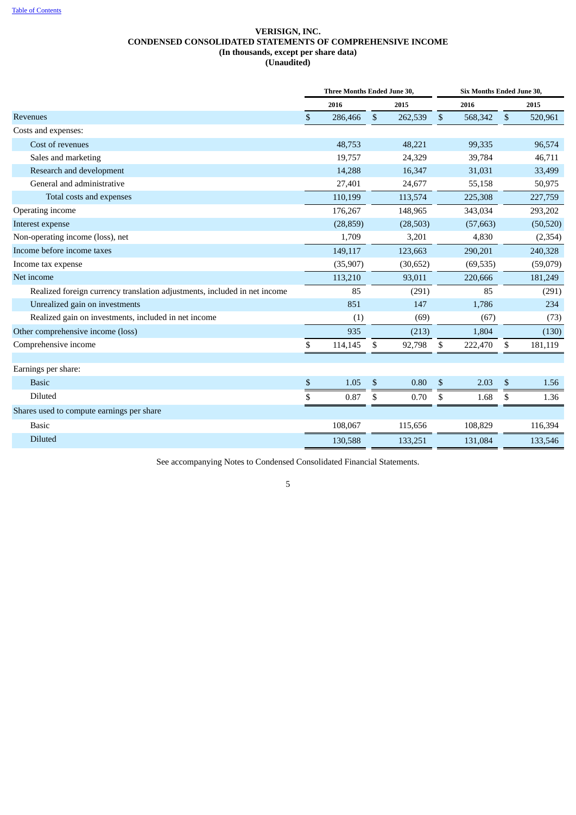## **VERISIGN, INC. CONDENSED CONSOLIDATED STATEMENTS OF COMPREHENSIVE INCOME (In thousands, except per share data) (Unaudited)**

<span id="page-4-0"></span>

|                                                                           | Three Months Ended June 30, |           |      | <b>Six Months Ended June 30,</b> |                |           |    |           |
|---------------------------------------------------------------------------|-----------------------------|-----------|------|----------------------------------|----------------|-----------|----|-----------|
|                                                                           | 2016<br>2015                |           | 2016 |                                  | 2015           |           |    |           |
| Revenues                                                                  | \$                          | 286,466   | \$   | 262,539                          | $\mathfrak{S}$ | 568,342   | \$ | 520,961   |
| Costs and expenses:                                                       |                             |           |      |                                  |                |           |    |           |
| Cost of revenues                                                          |                             | 48,753    |      | 48,221                           |                | 99,335    |    | 96,574    |
| Sales and marketing                                                       |                             | 19,757    |      | 24,329                           |                | 39,784    |    | 46,711    |
| Research and development                                                  |                             | 14,288    |      | 16,347                           |                | 31,031    |    | 33,499    |
| General and administrative                                                |                             | 27,401    |      | 24,677                           |                | 55,158    |    | 50,975    |
| Total costs and expenses                                                  |                             | 110,199   |      | 113,574                          |                | 225,308   |    | 227,759   |
| Operating income                                                          |                             | 176,267   |      | 148,965                          |                | 343,034   |    | 293,202   |
| Interest expense                                                          |                             | (28, 859) |      | (28, 503)                        |                | (57, 663) |    | (50, 520) |
| Non-operating income (loss), net                                          |                             | 1,709     |      | 3,201                            |                | 4,830     |    | (2, 354)  |
| Income before income taxes                                                |                             | 149,117   |      | 123,663                          |                | 290,201   |    | 240,328   |
| Income tax expense                                                        |                             | (35, 907) |      | (30, 652)                        |                | (69, 535) |    | (59,079)  |
| Net income                                                                |                             | 113,210   |      | 93,011                           |                | 220,666   |    | 181,249   |
| Realized foreign currency translation adjustments, included in net income |                             | 85        |      | (291)                            |                | 85        |    | (291)     |
| Unrealized gain on investments                                            |                             | 851       |      | 147                              |                | 1,786     |    | 234       |
| Realized gain on investments, included in net income                      |                             | (1)       |      | (69)                             |                | (67)      |    | (73)      |
| Other comprehensive income (loss)                                         |                             | 935       |      | (213)                            |                | 1,804     |    | (130)     |
| Comprehensive income                                                      | \$                          | 114,145   | \$   | 92,798                           | \$             | 222,470   | \$ | 181,119   |
|                                                                           |                             |           |      |                                  |                |           |    |           |
| Earnings per share:                                                       |                             |           |      |                                  |                |           |    |           |
| <b>Basic</b>                                                              | \$                          | 1.05      | \$   | 0.80                             | \$             | 2.03      | \$ | 1.56      |
| <b>Diluted</b>                                                            | \$                          | 0.87      | \$   | 0.70                             | \$             | 1.68      | \$ | 1.36      |
| Shares used to compute earnings per share                                 |                             |           |      |                                  |                |           |    |           |
| <b>Basic</b>                                                              |                             | 108,067   |      | 115,656                          |                | 108,829   |    | 116,394   |
| Diluted                                                                   |                             | 130,588   |      | 133,251                          |                | 131,084   |    | 133,546   |

See accompanying Notes to Condensed Consolidated Financial Statements.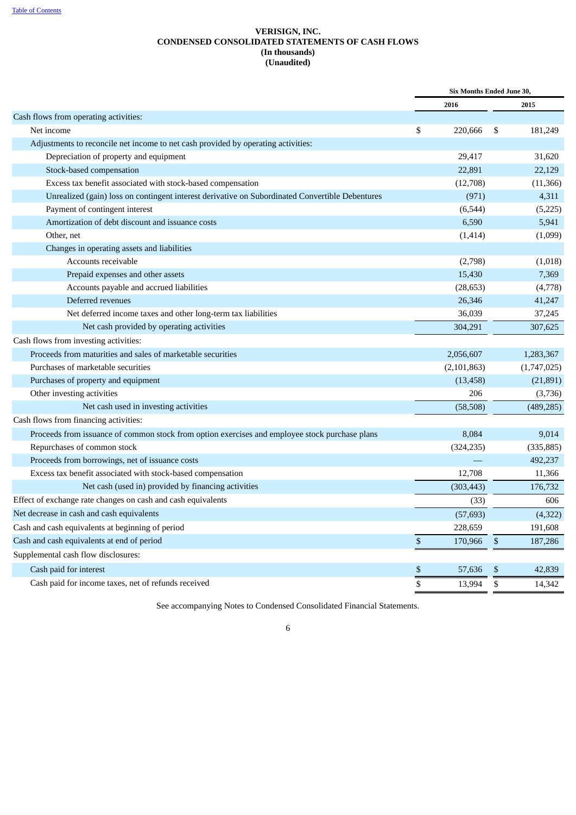## **VERISIGN, INC. CONDENSED CONSOLIDATED STATEMENTS OF CASH FLOWS (In thousands) (Unaudited)**

<span id="page-5-0"></span>

|                                                                                                 | <b>Six Months Ended June 30,</b> |             |      |             |
|-------------------------------------------------------------------------------------------------|----------------------------------|-------------|------|-------------|
|                                                                                                 |                                  | 2016        |      | 2015        |
| Cash flows from operating activities:                                                           |                                  |             |      |             |
| Net income                                                                                      | \$                               | 220,666     | \$   | 181,249     |
| Adjustments to reconcile net income to net cash provided by operating activities:               |                                  |             |      |             |
| Depreciation of property and equipment                                                          |                                  | 29,417      |      | 31,620      |
| Stock-based compensation                                                                        |                                  | 22,891      |      | 22,129      |
| Excess tax benefit associated with stock-based compensation                                     |                                  | (12,708)    |      | (11, 366)   |
| Unrealized (gain) loss on contingent interest derivative on Subordinated Convertible Debentures |                                  | (971)       |      | 4,311       |
| Payment of contingent interest                                                                  |                                  | (6, 544)    |      | (5,225)     |
| Amortization of debt discount and issuance costs                                                |                                  | 6,590       |      | 5,941       |
| Other, net                                                                                      |                                  | (1, 414)    |      | (1,099)     |
| Changes in operating assets and liabilities                                                     |                                  |             |      |             |
| Accounts receivable                                                                             |                                  | (2,798)     |      | (1,018)     |
| Prepaid expenses and other assets                                                               |                                  | 15,430      |      | 7,369       |
| Accounts payable and accrued liabilities                                                        |                                  | (28, 653)   |      | (4,778)     |
| Deferred revenues                                                                               |                                  | 26,346      |      | 41,247      |
| Net deferred income taxes and other long-term tax liabilities                                   |                                  | 36,039      |      | 37,245      |
| Net cash provided by operating activities                                                       |                                  | 304,291     |      | 307,625     |
| Cash flows from investing activities:                                                           |                                  |             |      |             |
| Proceeds from maturities and sales of marketable securities                                     |                                  | 2,056,607   |      | 1,283,367   |
| Purchases of marketable securities                                                              |                                  | (2,101,863) |      | (1,747,025) |
| Purchases of property and equipment                                                             |                                  | (13, 458)   |      | (21, 891)   |
| Other investing activities                                                                      |                                  | 206         |      | (3,736)     |
| Net cash used in investing activities                                                           |                                  | (58, 508)   |      | (489, 285)  |
| Cash flows from financing activities:                                                           |                                  |             |      |             |
| Proceeds from issuance of common stock from option exercises and employee stock purchase plans  |                                  | 8,084       |      | 9,014       |
| Repurchases of common stock                                                                     |                                  | (324, 235)  |      | (335, 885)  |
| Proceeds from borrowings, net of issuance costs                                                 |                                  |             |      | 492,237     |
| Excess tax benefit associated with stock-based compensation                                     |                                  | 12,708      |      | 11,366      |
| Net cash (used in) provided by financing activities                                             |                                  | (303, 443)  |      | 176,732     |
| Effect of exchange rate changes on cash and cash equivalents                                    |                                  | (33)        |      | 606         |
| Net decrease in cash and cash equivalents                                                       |                                  | (57, 693)   |      | (4,322)     |
| Cash and cash equivalents at beginning of period                                                |                                  | 228,659     |      | 191,608     |
| Cash and cash equivalents at end of period                                                      | $\$$                             | 170,966     | $\$$ | 187,286     |
| Supplemental cash flow disclosures:                                                             |                                  |             |      |             |
| Cash paid for interest                                                                          | \$                               | 57.636      | \$   | 42.839      |
| Cash paid for income taxes, net of refunds received                                             | \$                               | 13,994      | \$   | 14,342      |
|                                                                                                 |                                  |             |      |             |

See accompanying Notes to Condensed Consolidated Financial Statements.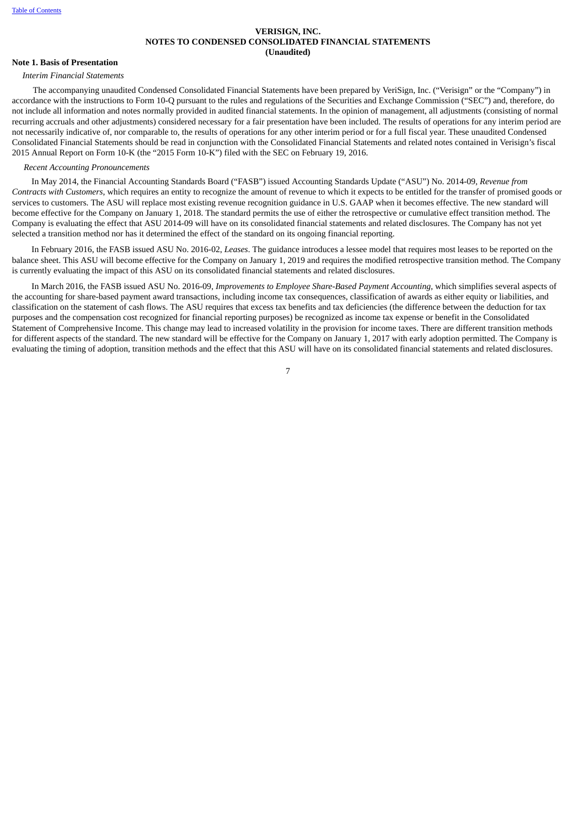#### **VERISIGN, INC. NOTES TO CONDENSED CONSOLIDATED FINANCIAL STATEMENTS (Unaudited)**

#### <span id="page-6-0"></span>**Note 1. Basis of Presentation**

#### *Interim Financial Statements*

The accompanying unaudited Condensed Consolidated Financial Statements have been prepared by VeriSign, Inc. ("Verisign" or the "Company") in accordance with the instructions to Form 10-Q pursuant to the rules and regulations of the Securities and Exchange Commission ("SEC") and, therefore, do not include all information and notes normally provided in audited financial statements. In the opinion of management, all adjustments (consisting of normal recurring accruals and other adjustments) considered necessary for a fair presentation have been included. The results of operations for any interim period are not necessarily indicative of, nor comparable to, the results of operations for any other interim period or for a full fiscal year. These unaudited Condensed Consolidated Financial Statements should be read in conjunction with the Consolidated Financial Statements and related notes contained in Verisign's fiscal 2015 Annual Report on Form 10-K (the "2015 Form 10-K") filed with the SEC on February 19, 2016.

#### *Recent Accounting Pronouncements*

In May 2014, the Financial Accounting Standards Board ("FASB") issued Accounting Standards Update ("ASU") No. 2014-09, *Revenue from Contracts with Customers*, which requires an entity to recognize the amount of revenue to which it expects to be entitled for the transfer of promised goods or services to customers. The ASU will replace most existing revenue recognition guidance in U.S. GAAP when it becomes effective. The new standard will become effective for the Company on January 1, 2018. The standard permits the use of either the retrospective or cumulative effect transition method. The Company is evaluating the effect that ASU 2014-09 will have on its consolidated financial statements and related disclosures. The Company has not yet selected a transition method nor has it determined the effect of the standard on its ongoing financial reporting.

In February 2016, the FASB issued ASU No. 2016-02, *Leases*. The guidance introduces a lessee model that requires most leases to be reported on the balance sheet. This ASU will become effective for the Company on January 1, 2019 and requires the modified retrospective transition method. The Company is currently evaluating the impact of this ASU on its consolidated financial statements and related disclosures.

In March 2016, the FASB issued ASU No. 2016-09, *Improvements to Employee Share-Based Payment Accounting*, which simplifies several aspects of the accounting for share-based payment award transactions, including income tax consequences, classification of awards as either equity or liabilities, and classification on the statement of cash flows. The ASU requires that excess tax benefits and tax deficiencies (the difference between the deduction for tax purposes and the compensation cost recognized for financial reporting purposes) be recognized as income tax expense or benefit in the Consolidated Statement of Comprehensive Income. This change may lead to increased volatility in the provision for income taxes. There are different transition methods for different aspects of the standard. The new standard will be effective for the Company on January 1, 2017 with early adoption permitted. The Company is evaluating the timing of adoption, transition methods and the effect that this ASU will have on its consolidated financial statements and related disclosures.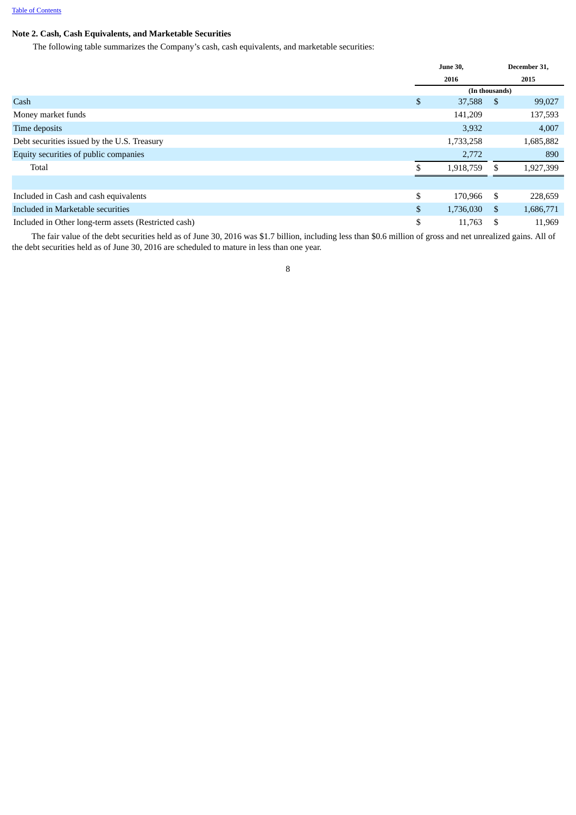## **Note 2. Cash, Cash Equivalents, and Marketable Securities**

The following table summarizes the Company's cash, cash equivalents, and marketable securities:

|                                                      | <b>June 30,</b> |      | December 31, |
|------------------------------------------------------|-----------------|------|--------------|
|                                                      | 2016            |      | 2015         |
|                                                      | (In thousands)  |      |              |
| Cash                                                 | \$<br>37,588    | - \$ | 99,027       |
| Money market funds                                   | 141,209         |      | 137,593      |
| Time deposits                                        | 3,932           |      | 4,007        |
| Debt securities issued by the U.S. Treasury          | 1,733,258       |      | 1,685,882    |
| Equity securities of public companies                | 2,772           |      | 890          |
| Total                                                | 1,918,759       | S.   | 1,927,399    |
|                                                      |                 |      |              |
| Included in Cash and cash equivalents                | \$<br>170.966   | -S   | 228,659      |
| Included in Marketable securities                    | \$<br>1,736,030 | \$.  | 1,686,771    |
| Included in Other long-term assets (Restricted cash) | \$<br>11,763    | -S   | 11,969       |

The fair value of the debt securities held as of June 30, 2016 was \$1.7 billion, including less than \$0.6 million of gross and net unrealized gains. All of the debt securities held as of June 30, 2016 are scheduled to mature in less than one year.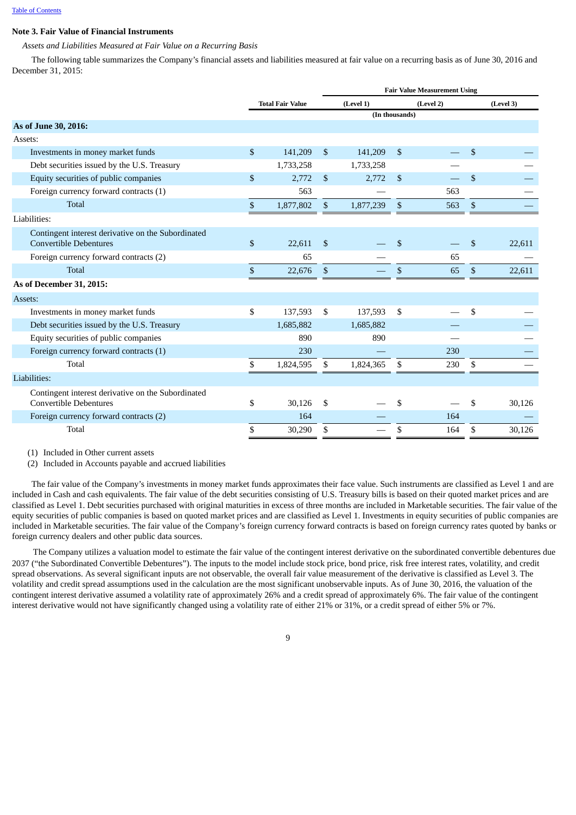## **Note 3. Fair Value of Financial Instruments**

*Assets and Liabilities Measured at Fair Value on a Recurring Basis*

The following table summarizes the Company's financial assets and liabilities measured at fair value on a recurring basis as of June 30, 2016 and December 31, 2015:

|                                                                                     |                         |                |                | <b>Fair Value Measurement Using</b> |           |      |           |
|-------------------------------------------------------------------------------------|-------------------------|----------------|----------------|-------------------------------------|-----------|------|-----------|
|                                                                                     | <b>Total Fair Value</b> |                | (Level 1)      |                                     | (Level 2) |      | (Level 3) |
|                                                                                     |                         |                | (In thousands) |                                     |           |      |           |
| As of June 30, 2016:                                                                |                         |                |                |                                     |           |      |           |
| Assets:                                                                             |                         |                |                |                                     |           |      |           |
| Investments in money market funds                                                   | \$<br>141,209           | $\mathbb{S}$   | 141,209        | $\mathfrak{S}$                      |           | \$   |           |
| Debt securities issued by the U.S. Treasury                                         | 1,733,258               |                | 1,733,258      |                                     |           |      |           |
| Equity securities of public companies                                               | \$<br>2,772             | $\mathbb{S}$   | 2,772          | \$                                  |           | \$   |           |
| Foreign currency forward contracts (1)                                              | 563                     |                |                |                                     | 563       |      |           |
| Total                                                                               | \$<br>1,877,802         | $\mathfrak{S}$ | 1,877,239      | \$                                  | 563       | \$   |           |
| Liabilities:                                                                        |                         |                |                |                                     |           |      |           |
| Contingent interest derivative on the Subordinated<br><b>Convertible Debentures</b> | \$<br>22,611            | \$             |                | \$                                  |           | \$   | 22,611    |
| Foreign currency forward contracts (2)                                              | 65                      |                |                |                                     | 65        |      |           |
| <b>Total</b>                                                                        | \$<br>22,676            | \$             |                | \$                                  | 65        | $\$$ | 22,611    |
| As of December 31, 2015:                                                            |                         |                |                |                                     |           |      |           |
| Assets:                                                                             |                         |                |                |                                     |           |      |           |
| Investments in money market funds                                                   | \$<br>137,593           | \$             | 137,593        | \$                                  |           | \$   |           |
| Debt securities issued by the U.S. Treasury                                         | 1,685,882               |                | 1,685,882      |                                     |           |      |           |
| Equity securities of public companies                                               | 890                     |                | 890            |                                     |           |      |           |
| Foreign currency forward contracts (1)                                              | 230                     |                |                |                                     | 230       |      |           |
| Total                                                                               | \$<br>1,824,595         | \$             | 1,824,365      | \$                                  | 230       | \$   |           |
| Liabilities:                                                                        |                         |                |                |                                     |           |      |           |
| Contingent interest derivative on the Subordinated<br><b>Convertible Debentures</b> | \$<br>30,126            | S.             |                | \$                                  |           | \$   | 30,126    |
| Foreign currency forward contracts (2)                                              | 164                     |                |                |                                     | 164       |      |           |
| Total                                                                               | \$<br>30,290            | \$             |                | \$                                  | 164       | \$   | 30,126    |

(1) Included in Other current assets

(2) Included in Accounts payable and accrued liabilities

The fair value of the Company's investments in money market funds approximates their face value. Such instruments are classified as Level 1 and are included in Cash and cash equivalents. The fair value of the debt securities consisting of U.S. Treasury bills is based on their quoted market prices and are classified as Level 1. Debt securities purchased with original maturities in excess of three months are included in Marketable securities. The fair value of the equity securities of public companies is based on quoted market prices and are classified as Level 1. Investments in equity securities of public companies are included in Marketable securities. The fair value of the Company's foreign currency forward contracts is based on foreign currency rates quoted by banks or foreign currency dealers and other public data sources.

The Company utilizes a valuation model to estimate the fair value of the contingent interest derivative on the subordinated convertible debentures due 2037 ("the Subordinated Convertible Debentures"). The inputs to the model include stock price, bond price, risk free interest rates, volatility, and credit spread observations. As several significant inputs are not observable, the overall fair value measurement of the derivative is classified as Level 3. The volatility and credit spread assumptions used in the calculation are the most significant unobservable inputs. As of June 30, 2016, the valuation of the contingent interest derivative assumed a volatility rate of approximately 26% and a credit spread of approximately 6%. The fair value of the contingent interest derivative would not have significantly changed using a volatility rate of either 21% or 31%, or a credit spread of either 5% or 7%.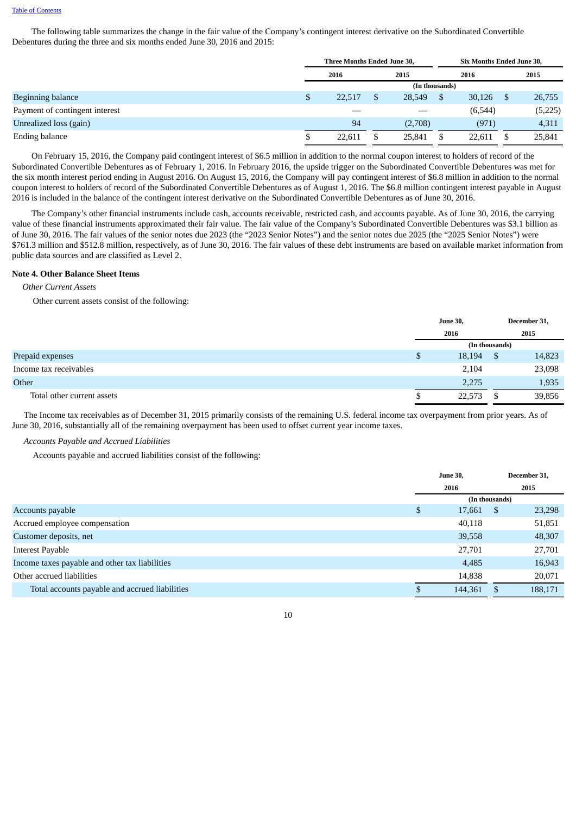The following table summarizes the change in the fair value of the Company's contingent interest derivative on the Subordinated Convertible Debentures during the three and six months ended June 30, 2016 and 2015:

|                                |                | Three Months Ended June 30, |  |         | Six Months Ended June 30, |         |  |         |
|--------------------------------|----------------|-----------------------------|--|---------|---------------------------|---------|--|---------|
|                                |                | 2016                        |  | 2015    |                           | 2016    |  | 2015    |
|                                | (In thousands) |                             |  |         |                           |         |  |         |
| Beginning balance              |                | 22,517                      |  | 28,549  | $\mathbf{s}$              | 30,126  |  | 26,755  |
| Payment of contingent interest |                |                             |  |         |                           | (6,544) |  | (5,225) |
| Unrealized loss (gain)         |                | 94                          |  | (2,708) |                           | (971)   |  | 4,311   |
| Ending balance                 | J              | 22,611                      |  | 25,841  | \$                        | 22,611  |  | 25,841  |

On February 15, 2016, the Company paid contingent interest of \$6.5 million in addition to the normal coupon interest to holders of record of the Subordinated Convertible Debentures as of February 1, 2016. In February 2016, the upside trigger on the Subordinated Convertible Debentures was met for the six month interest period ending in August 2016. On August 15, 2016, the Company will pay contingent interest of \$6.8 million in addition to the normal coupon interest to holders of record of the Subordinated Convertible Debentures as of August 1, 2016. The \$6.8 million contingent interest payable in August 2016 is included in the balance of the contingent interest derivative on the Subordinated Convertible Debentures as of June 30, 2016.

The Company's other financial instruments include cash, accounts receivable, restricted cash, and accounts payable. As of June 30, 2016, the carrying value of these financial instruments approximated their fair value. The fair value of the Company's Subordinated Convertible Debentures was \$3.1 billion as of June 30, 2016. The fair values of the senior notes due 2023 (the "2023 Senior Notes") and the senior notes due 2025 (the "2025 Senior Notes") were \$761.3 million and \$512.8 million, respectively, as of June 30, 2016. The fair values of these debt instruments are based on available market information from public data sources and are classified as Level 2.

#### **Note 4. Other Balance Sheet Items**

*Other Current Assets*

Other current assets consist of the following:

|                            |               | <b>June 30,</b> |          | December 31, |
|----------------------------|---------------|-----------------|----------|--------------|
|                            |               | 2016            |          | 2015         |
|                            |               | (In thousands)  |          |              |
| Prepaid expenses           | <sup>\$</sup> | 18,194          | <b>S</b> | 14,823       |
| Income tax receivables     |               | 2,104           |          | 23,098       |
| Other                      |               | 2,275           |          | 1,935        |
| Total other current assets |               | 22,573          |          | 39,856       |

The Income tax receivables as of December 31, 2015 primarily consists of the remaining U.S. federal income tax overpayment from prior years. As of June 30, 2016, substantially all of the remaining overpayment has been used to offset current year income taxes.

#### *Accounts Payable and Accrued Liabilities*

Accounts payable and accrued liabilities consist of the following:

|                                                | <b>June 30,</b> |                | December 31, |
|------------------------------------------------|-----------------|----------------|--------------|
|                                                | 2016            |                | 2015         |
|                                                |                 | (In thousands) |              |
| Accounts payable                               | \$<br>17,661    | - \$           | 23,298       |
| Accrued employee compensation                  | 40,118          |                | 51,851       |
| Customer deposits, net                         | 39,558          |                | 48,307       |
| Interest Payable                               | 27,701          |                | 27,701       |
| Income taxes payable and other tax liabilities | 4,485           |                | 16,943       |
| Other accrued liabilities                      | 14,838          |                | 20,071       |
| Total accounts payable and accrued liabilities | 144,361         | - \$           | 188,171      |
|                                                |                 |                |              |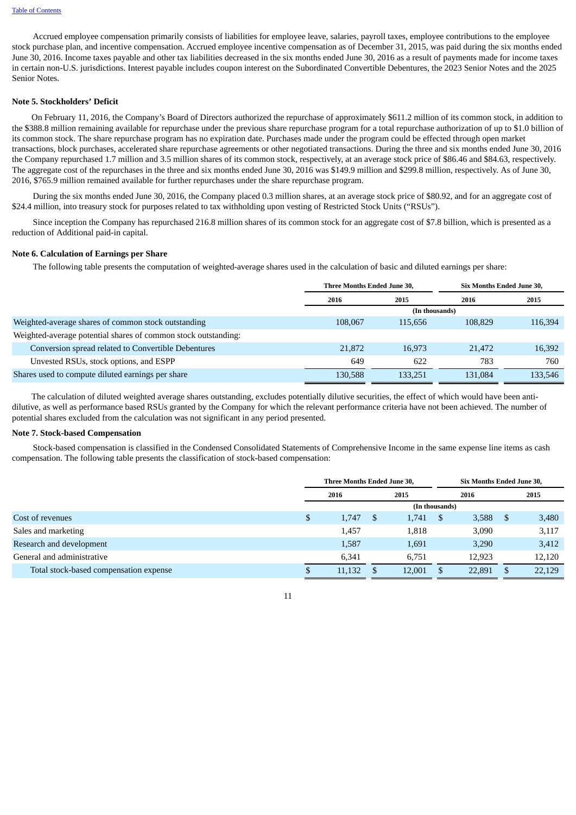Accrued employee compensation primarily consists of liabilities for employee leave, salaries, payroll taxes, employee contributions to the employee stock purchase plan, and incentive compensation. Accrued employee incentive compensation as of December 31, 2015, was paid during the six months ended June 30, 2016. Income taxes payable and other tax liabilities decreased in the six months ended June 30, 2016 as a result of payments made for income taxes in certain non-U.S. jurisdictions. Interest payable includes coupon interest on the Subordinated Convertible Debentures, the 2023 Senior Notes and the 2025 Senior Notes.

#### **Note 5. Stockholders' Deficit**

On February 11, 2016, the Company's Board of Directors authorized the repurchase of approximately \$611.2 million of its common stock, in addition to the \$388.8 million remaining available for repurchase under the previous share repurchase program for a total repurchase authorization of up to \$1.0 billion of its common stock. The share repurchase program has no expiration date. Purchases made under the program could be effected through open market transactions, block purchases, accelerated share repurchase agreements or other negotiated transactions. During the three and six months ended June 30, 2016 the Company repurchased 1.7 million and 3.5 million shares of its common stock, respectively, at an average stock price of \$86.46 and \$84.63, respectively. The aggregate cost of the repurchases in the three and six months ended June 30, 2016 was \$149.9 million and \$299.8 million, respectively. As of June 30, 2016, \$765.9 million remained available for further repurchases under the share repurchase program.

During the six months ended June 30, 2016, the Company placed 0.3 million shares, at an average stock price of \$80.92, and for an aggregate cost of \$24.4 million, into treasury stock for purposes related to tax withholding upon vesting of Restricted Stock Units ("RSUs").

Since inception the Company has repurchased 216.8 million shares of its common stock for an aggregate cost of \$7.8 billion, which is presented as a reduction of Additional paid-in capital.

#### **Note 6. Calculation of Earnings per Share**

The following table presents the computation of weighted-average shares used in the calculation of basic and diluted earnings per share:

|                                                                | Three Months Ended June 30, |         | Six Months Ended June 30, |         |  |  |  |
|----------------------------------------------------------------|-----------------------------|---------|---------------------------|---------|--|--|--|
|                                                                | 2015<br>2016                |         | 2016                      | 2015    |  |  |  |
|                                                                | (In thousands)              |         |                           |         |  |  |  |
| Weighted-average shares of common stock outstanding            | 108,067                     | 115,656 | 108,829                   | 116,394 |  |  |  |
| Weighted-average potential shares of common stock outstanding: |                             |         |                           |         |  |  |  |
| Conversion spread related to Convertible Debentures            | 21,872                      | 16.973  | 21,472                    | 16,392  |  |  |  |
| Unvested RSUs, stock options, and ESPP                         | 649                         | 622     | 783                       | 760     |  |  |  |
| Shares used to compute diluted earnings per share              | 130,588                     | 133.251 | 131,084                   | 133,546 |  |  |  |

The calculation of diluted weighted average shares outstanding, excludes potentially dilutive securities, the effect of which would have been antidilutive, as well as performance based RSUs granted by the Company for which the relevant performance criteria have not been achieved. The number of potential shares excluded from the calculation was not significant in any period presented.

#### **Note 7. Stock-based Compensation**

Stock-based compensation is classified in the Condensed Consolidated Statements of Comprehensive Income in the same expense line items as cash compensation. The following table presents the classification of stock-based compensation:

|                                        |                | Three Months Ended June 30, |      |        | Six Months Ended June 30, |        |    |        |
|----------------------------------------|----------------|-----------------------------|------|--------|---------------------------|--------|----|--------|
|                                        | 2016           |                             | 2015 |        | 2016                      |        |    | 2015   |
|                                        |                |                             |      |        | (In thousands)            |        |    |        |
| Cost of revenues                       | $\mathfrak{S}$ | 1.747                       | -S   | 1,741  | -S                        | 3,588  | \$ | 3,480  |
| Sales and marketing                    |                | 1,457                       |      | 1,818  |                           | 3,090  |    | 3,117  |
| Research and development               |                | 1,587                       |      | 1,691  |                           | 3,290  |    | 3,412  |
| General and administrative             |                | 6.341                       |      | 6.751  |                           | 12.923 |    | 12,120 |
| Total stock-based compensation expense | \$             | 11,132                      | .S   | 12,001 | \$.                       | 22,891 |    | 22,129 |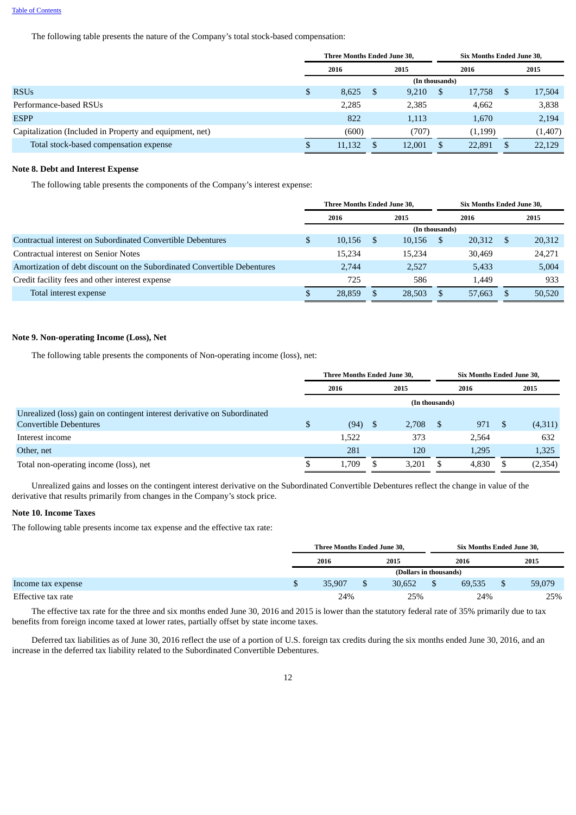The following table presents the nature of the Company's total stock-based compensation:

|                                                          | Three Months Ended June 30, |        |  |        |    | Six Months Ended June 30, |     |          |  |
|----------------------------------------------------------|-----------------------------|--------|--|--------|----|---------------------------|-----|----------|--|
|                                                          |                             | 2016   |  | 2015   |    | 2016                      |     | 2015     |  |
|                                                          |                             |        |  |        |    |                           |     |          |  |
| <b>RSUs</b>                                              | \$                          | 8,625  |  | 9,210  | \$ | 17,758                    | \$. | 17,504   |  |
| Performance-based RSUs                                   |                             | 2,285  |  | 2,385  |    | 4,662                     |     | 3,838    |  |
| <b>ESPP</b>                                              |                             | 822    |  | 1,113  |    | 1,670                     |     | 2,194    |  |
| Capitalization (Included in Property and equipment, net) |                             | (600)  |  | (707)  |    | (1, 199)                  |     | (1, 407) |  |
| Total stock-based compensation expense                   | Ъ.                          | 11,132 |  | 12.001 | \$ | 22,891                    |     | 22,129   |  |

## **Note 8. Debt and Interest Expense**

The following table presents the components of the Company's interest expense:

|                                                                          | Three Months Ended June 30, |  |        | <b>Six Months Ended June 30.</b> |        |  |        |  |
|--------------------------------------------------------------------------|-----------------------------|--|--------|----------------------------------|--------|--|--------|--|
|                                                                          | 2016                        |  | 2015   |                                  | 2016   |  | 2015   |  |
|                                                                          |                             |  |        | (In thousands)                   |        |  |        |  |
| Contractual interest on Subordinated Convertible Debentures              | \$<br>10,156                |  | 10,156 | S                                | 20,312 |  | 20,312 |  |
| Contractual interest on Senior Notes                                     | 15,234                      |  | 15.234 |                                  | 30,469 |  | 24,271 |  |
| Amortization of debt discount on the Subordinated Convertible Debentures | 2.744                       |  | 2,527  |                                  | 5,433  |  | 5,004  |  |
| Credit facility fees and other interest expense                          | 725                         |  | 586    |                                  | 1.449  |  | 933    |  |
| Total interest expense                                                   | 28,859                      |  | 28,503 | -S                               | 57,663 |  | 50,520 |  |

## **Note 9. Non-operating Income (Loss), Net**

The following table presents the components of Non-operating income (loss), net:

|                                                                                                    | Three Months Ended June 30, |       |      |       |               | Six Months Ended June 30, |  |         |  |  |
|----------------------------------------------------------------------------------------------------|-----------------------------|-------|------|-------|---------------|---------------------------|--|---------|--|--|
|                                                                                                    |                             | 2016  | 2015 |       |               | 2016                      |  | 2015    |  |  |
|                                                                                                    |                             |       |      |       |               |                           |  |         |  |  |
| Unrealized (loss) gain on contingent interest derivative on Subordinated<br>Convertible Debentures | \$                          | (94)  | -S   | 2,708 | <sup>\$</sup> | 971                       |  | (4,311) |  |  |
| Interest income                                                                                    |                             | 1,522 |      | 373   |               | 2.564                     |  | 632     |  |  |
| Other, net                                                                                         |                             | 281   |      | 120   |               | 1.295                     |  | 1,325   |  |  |
| Total non-operating income (loss), net                                                             | \$                          | 1.709 | \$.  | 3.201 | \$.           | 4,830                     |  | (2,354) |  |  |

Unrealized gains and losses on the contingent interest derivative on the Subordinated Convertible Debentures reflect the change in value of the derivative that results primarily from changes in the Company's stock price.

#### **Note 10. Income Taxes**

The following table presents income tax expense and the effective tax rate:

|                    |    | Three Months Ended June 30, |                        |        |  | <b>Six Months Ended June 30,</b> |     |        |
|--------------------|----|-----------------------------|------------------------|--------|--|----------------------------------|-----|--------|
|                    |    | 2016                        |                        | 2015   |  | 2016                             |     | 2015   |
|                    |    |                             | (Dollars in thousands) |        |  |                                  |     |        |
| Income tax expense | πU | 35,907                      | $\mathfrak{L}$         | 30,652 |  | 69,535                           |     | 59,079 |
| Effective tax rate |    | 24%                         | 25%                    |        |  | 24%                              | 25% |        |

The effective tax rate for the three and six months ended June 30, 2016 and 2015 is lower than the statutory federal rate of 35% primarily due to tax benefits from foreign income taxed at lower rates, partially offset by state income taxes.

Deferred tax liabilities as of June 30, 2016 reflect the use of a portion of U.S. foreign tax credits during the six months ended June 30, 2016, and an increase in the deferred tax liability related to the Subordinated Convertible Debentures.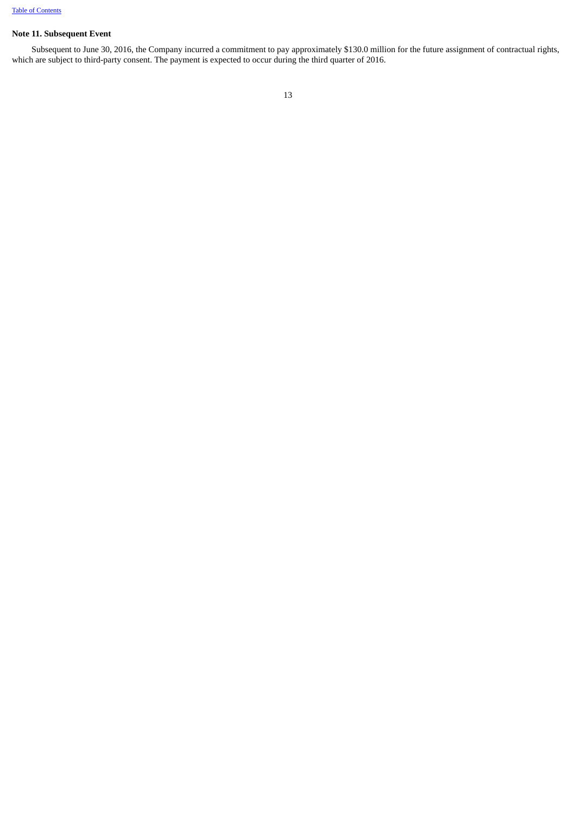## **Note 11. Subsequent Event**

Subsequent to June 30, 2016, the Company incurred a commitment to pay approximately \$130.0 million for the future assignment of contractual rights, which are subject to third-party consent. The payment is expected to occur during the third quarter of 2016.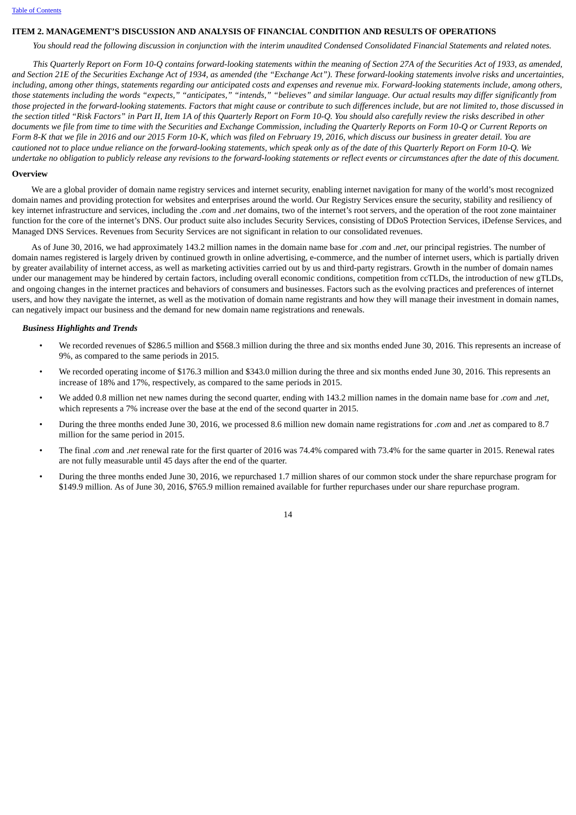## <span id="page-13-0"></span>**ITEM 2. MANAGEMENT'S DISCUSSION AND ANALYSIS OF FINANCIAL CONDITION AND RESULTS OF OPERATIONS**

You should read the following discussion in conjunction with the interim unaudited Condensed Consolidated Financial Statements and related notes.

This Quarterly Report on Form 10-Q contains forward-looking statements within the meaning of Section 27A of the Securities Act of 1933, as amended, and Section 21E of the Securities Exchange Act of 1934, as amended (the "Exchange Act"). These forward-looking statements involve risks and uncertainties, including, among other things, statements regarding our anticipated costs and expenses and revenue mix. Forward-looking statements include, among others, those statements including the words "expects." "anticipates." "intends." "believes" and similar language. Our actual results may differ significantly from those projected in the forward-looking statements. Factors that might cause or contribute to such differences include, but are not limited to, those discussed in the section titled "Risk Factors" in Part II, Item 1A of this Quarterly Report on Form 10-Q. You should also carefully review the risks described in other documents we file from time to time with the Securities and Exchange Commission, including the Quarterly Reports on Form 10-Q or Current Reports on Form 8-K that we file in 2016 and our 2015 Form 10-K, which was filed on February 19, 2016, which discuss our business in greater detail. You are cautioned not to place undue reliance on the forward-looking statements, which speak only as of the date of this Quarterly Report on Form 10-Q. We undertake no obligation to publicly release any revisions to the forward-looking statements or reflect events or circumstances after the date of this document.

#### **Overview**

We are a global provider of domain name registry services and internet security, enabling internet navigation for many of the world's most recognized domain names and providing protection for websites and enterprises around the world. Our Registry Services ensure the security, stability and resiliency of key internet infrastructure and services, including the *.com* and *.net* domains, two of the internet's root servers, and the operation of the root zone maintainer function for the core of the internet's DNS. Our product suite also includes Security Services, consisting of DDoS Protection Services, iDefense Services, and Managed DNS Services. Revenues from Security Services are not significant in relation to our consolidated revenues.

As of June 30, 2016, we had approximately 143.2 million names in the domain name base for *.com* and *.net*, our principal registries. The number of domain names registered is largely driven by continued growth in online advertising, e-commerce, and the number of internet users, which is partially driven by greater availability of internet access, as well as marketing activities carried out by us and third-party registrars. Growth in the number of domain names under our management may be hindered by certain factors, including overall economic conditions, competition from ccTLDs, the introduction of new gTLDs, and ongoing changes in the internet practices and behaviors of consumers and businesses. Factors such as the evolving practices and preferences of internet users, and how they navigate the internet, as well as the motivation of domain name registrants and how they will manage their investment in domain names, can negatively impact our business and the demand for new domain name registrations and renewals.

#### *Business Highlights and Trends*

- We recorded revenues of \$286.5 million and \$568.3 million during the three and six months ended June 30, 2016. This represents an increase of 9%, as compared to the same periods in 2015.
- We recorded operating income of \$176.3 million and \$343.0 million during the three and six months ended June 30, 2016. This represents an increase of 18% and 17%, respectively, as compared to the same periods in 2015.
- We added 0.8 million net new names during the second quarter, ending with 143.2 million names in the domain name base for .*com* and .*net*, which represents a 7% increase over the base at the end of the second quarter in 2015.
- During the three months ended June 30, 2016, we processed 8.6 million new domain name registrations for *.com* and *.net* as compared to 8.7 million for the same period in 2015.
- The final .*com* and .*net* renewal rate for the first quarter of 2016 was 74.4% compared with 73.4% for the same quarter in 2015. Renewal rates are not fully measurable until 45 days after the end of the quarter.
- During the three months ended June 30, 2016, we repurchased 1.7 million shares of our common stock under the share repurchase program for \$149.9 million. As of June 30, 2016, \$765.9 million remained available for further repurchases under our share repurchase program.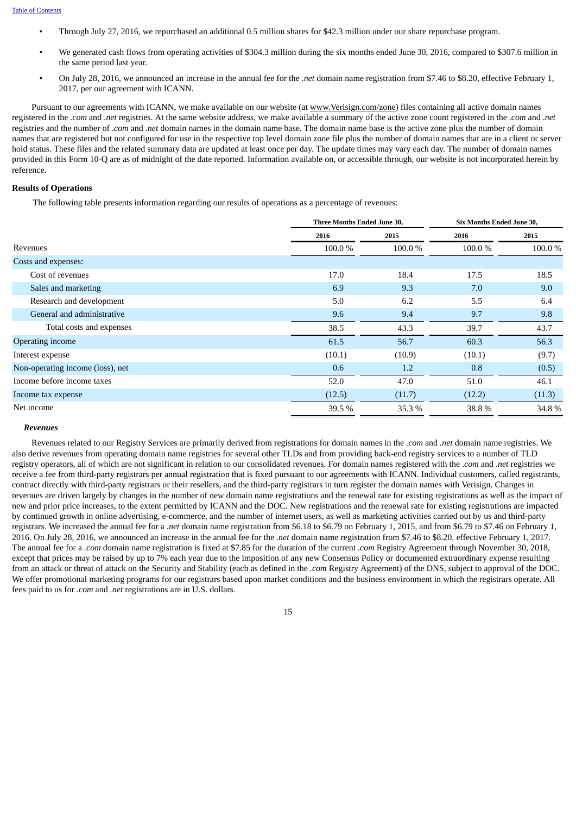- Through July 27, 2016, we repurchased an additional 0.5 million shares for \$42.3 million under our share repurchase program.
- We generated cash flows from operating activities of \$304.3 million during the six months ended June 30, 2016, compared to \$307.6 million in the same period last year.
- On July 28, 2016, we announced an increase in the annual fee for the *.net* domain name registration from \$7.46 to \$8.20, effective February 1, 2017, per our agreement with ICANN.

Pursuant to our agreements with ICANN, we make available on our website (at www.Verisign.com/zone) files containing all active domain names registered in the .*com* and .*net* registries. At the same website address, we make available a summary of the active zone count registered in the .*com* and .*net* registries and the number of .*com* and .*net* domain names in the domain name base. The domain name base is the active zone plus the number of domain names that are registered but not configured for use in the respective top level domain zone file plus the number of domain names that are in a client or server hold status. These files and the related summary data are updated at least once per day. The update times may vary each day. The number of domain names provided in this Form 10-Q are as of midnight of the date reported. Information available on, or accessible through, our website is not incorporated herein by reference.

## **Results of Operations**

The following table presents information regarding our results of operations as a percentage of revenues:

|                                  | Three Months Ended June 30, |        | <b>Six Months Ended June 30,</b> |        |
|----------------------------------|-----------------------------|--------|----------------------------------|--------|
|                                  | 2016                        | 2015   | 2016                             | 2015   |
| Revenues                         | 100.0%                      | 100.0% | 100.0%                           | 100.0% |
| Costs and expenses:              |                             |        |                                  |        |
| Cost of revenues                 | 17.0                        | 18.4   | 17.5                             | 18.5   |
| Sales and marketing              | 6.9                         | 9.3    | 7.0                              | 9.0    |
| Research and development         | 5.0                         | 6.2    | 5.5                              | 6.4    |
| General and administrative       | 9.6                         | 9.4    | 9.7                              | 9.8    |
| Total costs and expenses         | 38.5                        | 43.3   | 39.7                             | 43.7   |
| Operating income                 | 61.5                        | 56.7   | 60.3                             | 56.3   |
| Interest expense                 | (10.1)                      | (10.9) | (10.1)                           | (9.7)  |
| Non-operating income (loss), net | 0.6                         | 1.2    | 0.8                              | (0.5)  |
| Income before income taxes       | 52.0                        | 47.0   | 51.0                             | 46.1   |
| Income tax expense               | (12.5)                      | (11.7) | (12.2)                           | (11.3) |
| Net income                       | 39.5 %                      | 35.3 % | 38.8%                            | 34.8%  |

#### *Revenues*

Revenues related to our Registry Services are primarily derived from registrations for domain names in the *.com* and *.net* domain name registries. We also derive revenues from operating domain name registries for several other TLDs and from providing back-end registry services to a number of TLD registry operators, all of which are not significant in relation to our consolidated revenues. For domain names registered with the .*com* and .*net* registries we receive a fee from third-party registrars per annual registration that is fixed pursuant to our agreements with ICANN. Individual customers, called registrants, contract directly with third-party registrars or their resellers, and the third-party registrars in turn register the domain names with Verisign. Changes in revenues are driven largely by changes in the number of new domain name registrations and the renewal rate for existing registrations as well as the impact of new and prior price increases, to the extent permitted by ICANN and the DOC. New registrations and the renewal rate for existing registrations are impacted by continued growth in online advertising, e-commerce, and the number of internet users, as well as marketing activities carried out by us and third-party registrars. We increased the annual fee for a *.net* domain name registration from \$6.18 to \$6.79 on February 1, 2015, and from \$6.79 to \$7.46 on February 1, 2016. On July 28, 2016, we announced an increase in the annual fee for the *.net* domain name registration from \$7.46 to \$8.20, effective February 1, 2017. The annual fee for a *.com* domain name registration is fixed at \$7.85 for the duration of the current *.com* Registry Agreement through November 30, 2018, except that prices may be raised by up to 7% each year due to the imposition of any new Consensus Policy or documented extraordinary expense resulting from an attack or threat of attack on the Security and Stability (each as defined in the *.com* Registry Agreement) of the DNS, subject to approval of the DOC. We offer promotional marketing programs for our registrars based upon market conditions and the business environment in which the registrars operate. All fees paid to us for *.com* and *.net* registrations are in U.S. dollars.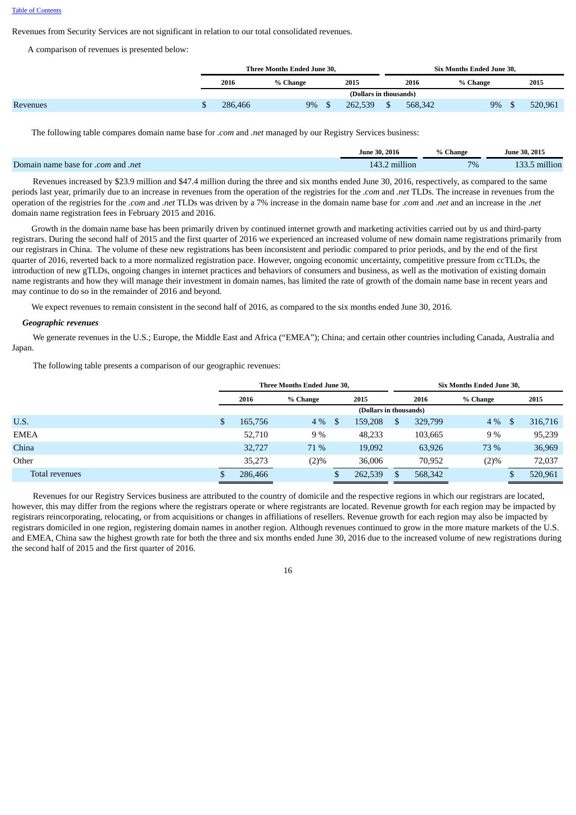Revenues from Security Services are not significant in relation to our total consolidated revenues.

A comparison of revenues is presented below:

|                 | Three Months Ended June 30, |         |          |  |                        |     | <b>Six Months Ended June 30,</b> |          |  |         |  |  |  |
|-----------------|-----------------------------|---------|----------|--|------------------------|-----|----------------------------------|----------|--|---------|--|--|--|
|                 |                             | 2016    | % Change |  | 2015                   |     | 2016                             | % Change |  | 2015    |  |  |  |
|                 |                             |         |          |  | (Dollars in thousands) |     |                                  |          |  |         |  |  |  |
| <b>Revenues</b> |                             | 286,466 | 9%       |  | 262,539                | \$. | 568,342                          | $9\%$ \$ |  | 520,961 |  |  |  |
|                 |                             |         |          |  |                        |     |                                  |          |  |         |  |  |  |

The following table compares domain name base for *.com* and *.net* managed by our Registry Services business:

|                                    | <b>June 30, 2016</b>  | Change | <b>June 30, 2015</b> |
|------------------------------------|-----------------------|--------|----------------------|
| Domain name base for .com and .net | million<br>$\sqrt{1}$ | $7\%$  | $-77.5$<br>million   |

Revenues increased by \$23.9 million and \$47.4 million during the three and six months ended June 30, 2016, respectively, as compared to the same periods last year, primarily due to an increase in revenues from the operation of the registries for the .*com* and *.net* TLDs. The increase in revenues from the operation of the registries for the *.com* and *.net* TLDs was driven by a 7% increase in the domain name base for .*com* and .*net* and an increase in the .*net* domain name registration fees in February 2015 and 2016.

Growth in the domain name base has been primarily driven by continued internet growth and marketing activities carried out by us and third-party registrars. During the second half of 2015 and the first quarter of 2016 we experienced an increased volume of new domain name registrations primarily from our registrars in China. The volume of these new registrations has been inconsistent and periodic compared to prior periods, and by the end of the first quarter of 2016, reverted back to a more normalized registration pace. However, ongoing economic uncertainty, competitive pressure from ccTLDs, the introduction of new gTLDs, ongoing changes in internet practices and behaviors of consumers and business, as well as the motivation of existing domain name registrants and how they will manage their investment in domain names, has limited the rate of growth of the domain name base in recent years and may continue to do so in the remainder of 2016 and beyond.

We expect revenues to remain consistent in the second half of 2016, as compared to the six months ended June 30, 2016.

#### *Geographic revenues*

We generate revenues in the U.S.; Europe, the Middle East and Africa ("EMEA"); China; and certain other countries including Canada, Australia and Japan.

The following table presents a comparison of our geographic revenues:

|                |               | Three Months Ended June 30, |      |                        | Six Months Ended June 30, |         |          |               |         |  |
|----------------|---------------|-----------------------------|------|------------------------|---------------------------|---------|----------|---------------|---------|--|
|                | 2016          | % Change                    | 2015 |                        | 2016                      |         | % Change |               | 2015    |  |
|                |               |                             |      | (Dollars in thousands) |                           |         |          |               |         |  |
| U.S.           | \$<br>165,756 | $4\%$                       | S    | 159,208                | \$                        | 329,799 | 4 %      | <sup>\$</sup> | 316,716 |  |
| <b>EMEA</b>    | 52,710        | 9%                          |      | 48,233                 |                           | 103,665 | 9%       |               | 95,239  |  |
| China          | 32,727        | 71 %                        |      | 19,092                 |                           | 63,926  | 73 %     |               | 36,969  |  |
| Other          | 35,273        | (2)%                        |      | 36,006                 |                           | 70,952  | $(2)\%$  |               | 72,037  |  |
| Total revenues | 286,466       |                             |      | 262,539                | \$                        | 568,342 |          |               | 520,961 |  |

Revenues for our Registry Services business are attributed to the country of domicile and the respective regions in which our registrars are located, however, this may differ from the regions where the registrars operate or where registrants are located. Revenue growth for each region may be impacted by registrars reincorporating, relocating, or from acquisitions or changes in affiliations of resellers. Revenue growth for each region may also be impacted by registrars domiciled in one region, registering domain names in another region. Although revenues continued to grow in the more mature markets of the U.S. and EMEA, China saw the highest growth rate for both the three and six months ended June 30, 2016 due to the increased volume of new registrations during the second half of 2015 and the first quarter of 2016.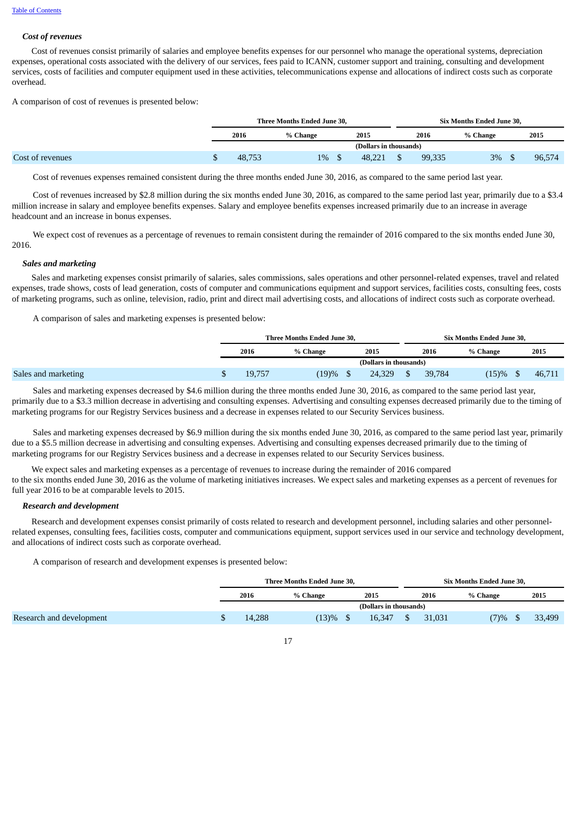## *Cost of revenues*

Cost of revenues consist primarily of salaries and employee benefits expenses for our personnel who manage the operational systems, depreciation expenses, operational costs associated with the delivery of our services, fees paid to ICANN, customer support and training, consulting and development services, costs of facilities and computer equipment used in these activities, telecommunications expense and allocations of indirect costs such as corporate overhead.

A comparison of cost of revenues is presented below:

|                  |        |          | Three Months Ended June 30, |                        |  |        |  |          | <b>Six Months Ended June 30,</b> |        |  |
|------------------|--------|----------|-----------------------------|------------------------|--|--------|--|----------|----------------------------------|--------|--|
|                  | 2016   | % Change |                             |                        |  | 2016   |  | % Change |                                  |        |  |
|                  |        |          |                             | (Dollars in thousands) |  |        |  |          |                                  |        |  |
| Cost of revenues | 48,753 | 1%       |                             | 48,221                 |  | 99,335 |  | 3%       |                                  | 96,574 |  |

Cost of revenues expenses remained consistent during the three months ended June 30, 2016, as compared to the same period last year.

Cost of revenues increased by \$2.8 million during the six months ended June 30, 2016, as compared to the same period last year, primarily due to a \$3.4 million increase in salary and employee benefits expenses. Salary and employee benefits expenses increased primarily due to an increase in average headcount and an increase in bonus expenses.

We expect cost of revenues as a percentage of revenues to remain consistent during the remainder of 2016 compared to the six months ended June 30, 2016.

#### *Sales and marketing*

Sales and marketing expenses consist primarily of salaries, sales commissions, sales operations and other personnel-related expenses, travel and related expenses, trade shows, costs of lead generation, costs of computer and communications equipment and support services, facilities costs, consulting fees, costs of marketing programs, such as online, television, radio, print and direct mail advertising costs, and allocations of indirect costs such as corporate overhead.

A comparison of sales and marketing expenses is presented below:

|                     | Three Months Ended June 30, |                  |  |                        |  | <b>Six Months Ended June 30,</b> |          |    |        |  |  |
|---------------------|-----------------------------|------------------|--|------------------------|--|----------------------------------|----------|----|--------|--|--|
|                     | 2016                        | 2015<br>% Change |  |                        |  | 2016                             | % Change |    | 2015   |  |  |
|                     |                             |                  |  | (Dollars in thousands) |  |                                  |          |    |        |  |  |
| Sales and marketing | 19,757                      | (19)%            |  | 24,329                 |  | 39,784                           | (15)%    | -S | 46,711 |  |  |

Sales and marketing expenses decreased by \$4.6 million during the three months ended June 30, 2016, as compared to the same period last year, primarily due to a \$3.3 million decrease in advertising and consulting expenses. Advertising and consulting expenses decreased primarily due to the timing of marketing programs for our Registry Services business and a decrease in expenses related to our Security Services business.

Sales and marketing expenses decreased by \$6.9 million during the six months ended June 30, 2016, as compared to the same period last year, primarily due to a \$5.5 million decrease in advertising and consulting expenses. Advertising and consulting expenses decreased primarily due to the timing of marketing programs for our Registry Services business and a decrease in expenses related to our Security Services business.

We expect sales and marketing expenses as a percentage of revenues to increase during the remainder of 2016 compared to the six months ended June 30, 2016 as the volume of marketing initiatives increases. We expect sales and marketing expenses as a percent of revenues for full year 2016 to be at comparable levels to 2015.

#### *Research and development*

Research and development expenses consist primarily of costs related to research and development personnel, including salaries and other personnelrelated expenses, consulting fees, facilities costs, computer and communications equipment, support services used in our service and technology development, and allocations of indirect costs such as corporate overhead.

A comparison of research and development expenses is presented below:

|                          | Three Months Ended June 30. |        |          |  |                        |  |        | Six Months Ended June 30. |  |        |  |
|--------------------------|-----------------------------|--------|----------|--|------------------------|--|--------|---------------------------|--|--------|--|
|                          |                             | 2016   | % Change |  |                        |  | 2016   | % Change                  |  | 2015   |  |
|                          |                             |        |          |  | (Dollars in thousands) |  |        |                           |  |        |  |
| Research and development |                             | 14.288 | (13)%    |  | 16.347                 |  | 31,031 | (7)%                      |  | 33,499 |  |

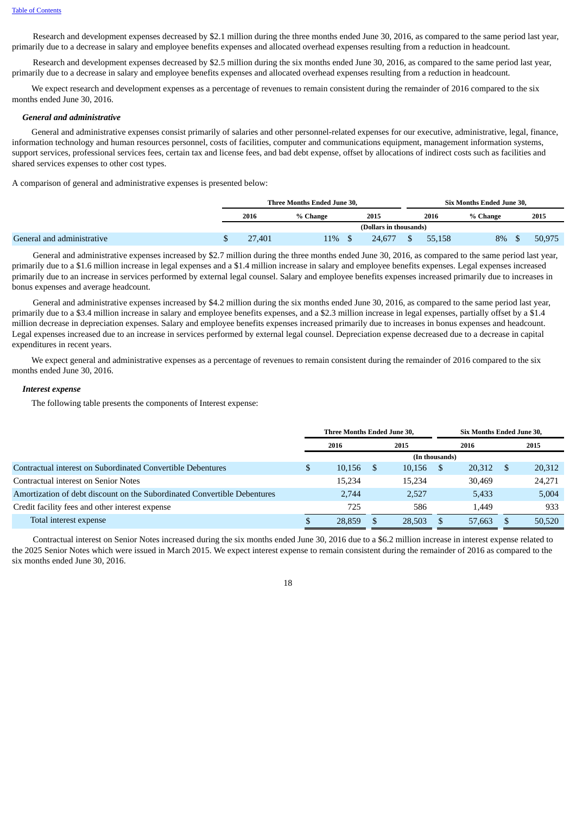Research and development expenses decreased by \$2.1 million during the three months ended June 30, 2016, as compared to the same period last year, primarily due to a decrease in salary and employee benefits expenses and allocated overhead expenses resulting from a reduction in headcount.

Research and development expenses decreased by \$2.5 million during the six months ended June 30, 2016, as compared to the same period last year, primarily due to a decrease in salary and employee benefits expenses and allocated overhead expenses resulting from a reduction in headcount.

We expect research and development expenses as a percentage of revenues to remain consistent during the remainder of 2016 compared to the six months ended June 30, 2016.

#### *General and administrative*

General and administrative expenses consist primarily of salaries and other personnel-related expenses for our executive, administrative, legal, finance, information technology and human resources personnel, costs of facilities, computer and communications equipment, management information systems, support services, professional services fees, certain tax and license fees, and bad debt expense, offset by allocations of indirect costs such as facilities and shared services expenses to other cost types.

A comparison of general and administrative expenses is presented below:

|                            | Three Months Ended June 30, |          |  |                        |  | <b>Six Months Ended June 30.</b> |          |  |      |        |  |
|----------------------------|-----------------------------|----------|--|------------------------|--|----------------------------------|----------|--|------|--------|--|
|                            | 2016                        | % Change |  | 2015                   |  | 2016                             | % Change |  | 2015 |        |  |
|                            |                             |          |  | (Dollars in thousands) |  |                                  |          |  |      |        |  |
| General and administrative | 27,401                      | $11\%$   |  | 24.677                 |  | 55,158                           | 8%       |  |      | 50,975 |  |

General and administrative expenses increased by \$2.7 million during the three months ended June 30, 2016, as compared to the same period last year, primarily due to a \$1.6 million increase in legal expenses and a \$1.4 million increase in salary and employee benefits expenses. Legal expenses increased primarily due to an increase in services performed by external legal counsel. Salary and employee benefits expenses increased primarily due to increases in bonus expenses and average headcount.

General and administrative expenses increased by \$4.2 million during the six months ended June 30, 2016, as compared to the same period last year, primarily due to a \$3.4 million increase in salary and employee benefits expenses, and a \$2.3 million increase in legal expenses, partially offset by a \$1.4 million decrease in depreciation expenses. Salary and employee benefits expenses increased primarily due to increases in bonus expenses and headcount. Legal expenses increased due to an increase in services performed by external legal counsel. Depreciation expense decreased due to a decrease in capital expenditures in recent years.

We expect general and administrative expenses as a percentage of revenues to remain consistent during the remainder of 2016 compared to the six months ended June 30, 2016.

#### *Interest expense*

The following table presents the components of Interest expense:

|                                                                          | <b>Three Months Ended June 30.</b> |                |    |        | <b>Six Months Ended June 30.</b> |        |   |        |
|--------------------------------------------------------------------------|------------------------------------|----------------|----|--------|----------------------------------|--------|---|--------|
|                                                                          |                                    | 2016           |    | 2015   |                                  | 2016   |   | 2015   |
|                                                                          |                                    | (In thousands) |    |        |                                  |        |   |        |
| Contractual interest on Subordinated Convertible Debentures              | \$                                 | 10,156         | .S | 10,156 | \$                               | 20,312 | S | 20,312 |
| Contractual interest on Senior Notes                                     |                                    | 15.234         |    | 15.234 |                                  | 30,469 |   | 24.271 |
| Amortization of debt discount on the Subordinated Convertible Debentures |                                    | 2,744          |    | 2.527  |                                  | 5.433  |   | 5,004  |
| Credit facility fees and other interest expense                          |                                    | 725            |    | 586    |                                  | 1.449  |   | 933    |
| Total interest expense                                                   | S                                  | 28,859         |    | 28,503 |                                  | 57,663 |   | 50,520 |

Contractual interest on Senior Notes increased during the six months ended June 30, 2016 due to a \$6.2 million increase in interest expense related to the 2025 Senior Notes which were issued in March 2015. We expect interest expense to remain consistent during the remainder of 2016 as compared to the six months ended June 30, 2016.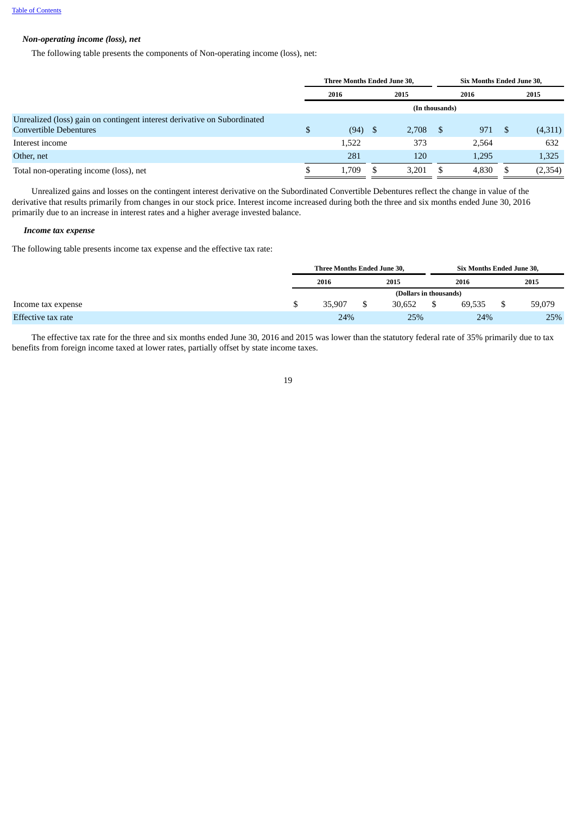## *Non-operating income (loss), net*

The following table presents the components of Non-operating income (loss), net:

|                                                                                                           | Three Months Ended June 30, |  |       |  | Six Months Ended June 30, |  |         |  |
|-----------------------------------------------------------------------------------------------------------|-----------------------------|--|-------|--|---------------------------|--|---------|--|
|                                                                                                           | 2016                        |  | 2015  |  | 2016                      |  | 2015    |  |
|                                                                                                           | (In thousands)              |  |       |  |                           |  |         |  |
| Unrealized (loss) gain on contingent interest derivative on Subordinated<br><b>Convertible Debentures</b> | \$<br>(94)                  |  | 2,708 |  | 971                       |  | (4,311) |  |
| Interest income                                                                                           | 1,522                       |  | 373   |  | 2.564                     |  | 632     |  |
| Other, net                                                                                                | 281                         |  | 120   |  | 1,295                     |  | 1,325   |  |
| Total non-operating income (loss), net                                                                    | 1,709                       |  | 3,201 |  | 4,830                     |  | (2,354) |  |

Unrealized gains and losses on the contingent interest derivative on the Subordinated Convertible Debentures reflect the change in value of the derivative that results primarily from changes in our stock price. Interest income increased during both the three and six months ended June 30, 2016 primarily due to an increase in interest rates and a higher average invested balance.

## *Income tax expense*

The following table presents income tax expense and the effective tax rate:

|  | Three Months Ended June 30, |      |        |      | <b>Six Months Ended June 30,</b> |      |        |  |
|--|-----------------------------|------|--------|------|----------------------------------|------|--------|--|
|  | 2016                        | 2015 |        | 2016 |                                  | 2015 |        |  |
|  | (Dollars in thousands)      |      |        |      |                                  |      |        |  |
|  | 35.907                      |      | 30.652 |      | 69.535                           |      | 59,079 |  |
|  | 24%                         |      | 25%    | 24%  |                                  | 25%  |        |  |

The effective tax rate for the three and six months ended June 30, 2016 and 2015 was lower than the statutory federal rate of 35% primarily due to tax benefits from foreign income taxed at lower rates, partially offset by state income taxes.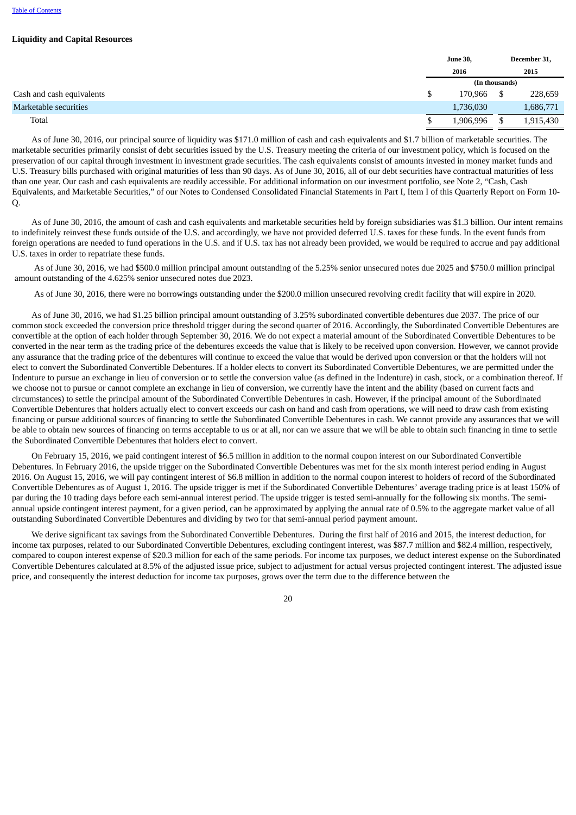## **Liquidity and Capital Resources**

|                           |   | <b>June 30,</b> |  | December 31, |
|---------------------------|---|-----------------|--|--------------|
|                           |   | 2016            |  | 2015         |
|                           |   | (In thousands)  |  |              |
| Cash and cash equivalents | S | 170.966         |  | 228,659      |
| Marketable securities     |   | 1,736,030       |  | 1,686,771    |
| Total                     | w | 1,906,996       |  | 1,915,430    |

As of June 30, 2016, our principal source of liquidity was \$171.0 million of cash and cash equivalents and \$1.7 billion of marketable securities. The marketable securities primarily consist of debt securities issued by the U.S. Treasury meeting the criteria of our investment policy, which is focused on the preservation of our capital through investment in investment grade securities. The cash equivalents consist of amounts invested in money market funds and U.S. Treasury bills purchased with original maturities of less than 90 days. As of June 30, 2016, all of our debt securities have contractual maturities of less than one year. Our cash and cash equivalents are readily accessible. For additional information on our investment portfolio, see Note 2, "Cash, Cash Equivalents, and Marketable Securities," of our Notes to Condensed Consolidated Financial Statements in Part I, Item I of this Quarterly Report on Form 10- Q.

As of June 30, 2016, the amount of cash and cash equivalents and marketable securities held by foreign subsidiaries was \$1.3 billion. Our intent remains to indefinitely reinvest these funds outside of the U.S. and accordingly, we have not provided deferred U.S. taxes for these funds. In the event funds from foreign operations are needed to fund operations in the U.S. and if U.S. tax has not already been provided, we would be required to accrue and pay additional U.S. taxes in order to repatriate these funds.

As of June 30, 2016, we had \$500.0 million principal amount outstanding of the 5.25% senior unsecured notes due 2025 and \$750.0 million principal amount outstanding of the 4.625% senior unsecured notes due 2023.

As of June 30, 2016, there were no borrowings outstanding under the \$200.0 million unsecured revolving credit facility that will expire in 2020.

As of June 30, 2016, we had \$1.25 billion principal amount outstanding of 3.25% subordinated convertible debentures due 2037. The price of our common stock exceeded the conversion price threshold trigger during the second quarter of 2016. Accordingly, the Subordinated Convertible Debentures are convertible at the option of each holder through September 30, 2016. We do not expect a material amount of the Subordinated Convertible Debentures to be converted in the near term as the trading price of the debentures exceeds the value that is likely to be received upon conversion. However, we cannot provide any assurance that the trading price of the debentures will continue to exceed the value that would be derived upon conversion or that the holders will not elect to convert the Subordinated Convertible Debentures. If a holder elects to convert its Subordinated Convertible Debentures, we are permitted under the Indenture to pursue an exchange in lieu of conversion or to settle the conversion value (as defined in the Indenture) in cash, stock, or a combination thereof. If we choose not to pursue or cannot complete an exchange in lieu of conversion, we currently have the intent and the ability (based on current facts and circumstances) to settle the principal amount of the Subordinated Convertible Debentures in cash. However, if the principal amount of the Subordinated Convertible Debentures that holders actually elect to convert exceeds our cash on hand and cash from operations, we will need to draw cash from existing financing or pursue additional sources of financing to settle the Subordinated Convertible Debentures in cash. We cannot provide any assurances that we will be able to obtain new sources of financing on terms acceptable to us or at all, nor can we assure that we will be able to obtain such financing in time to settle the Subordinated Convertible Debentures that holders elect to convert.

On February 15, 2016, we paid contingent interest of \$6.5 million in addition to the normal coupon interest on our Subordinated Convertible Debentures. In February 2016, the upside trigger on the Subordinated Convertible Debentures was met for the six month interest period ending in August 2016. On August 15, 2016, we will pay contingent interest of \$6.8 million in addition to the normal coupon interest to holders of record of the Subordinated Convertible Debentures as of August 1, 2016. The upside trigger is met if the Subordinated Convertible Debentures' average trading price is at least 150% of par during the 10 trading days before each semi-annual interest period. The upside trigger is tested semi-annually for the following six months. The semiannual upside contingent interest payment, for a given period, can be approximated by applying the annual rate of 0.5% to the aggregate market value of all outstanding Subordinated Convertible Debentures and dividing by two for that semi-annual period payment amount.

We derive significant tax savings from the Subordinated Convertible Debentures. During the first half of 2016 and 2015, the interest deduction, for income tax purposes, related to our Subordinated Convertible Debentures, excluding contingent interest, was \$87.7 million and \$82.4 million, respectively, compared to coupon interest expense of \$20.3 million for each of the same periods. For income tax purposes, we deduct interest expense on the Subordinated Convertible Debentures calculated at 8.5% of the adjusted issue price, subject to adjustment for actual versus projected contingent interest. The adjusted issue price, and consequently the interest deduction for income tax purposes, grows over the term due to the difference between the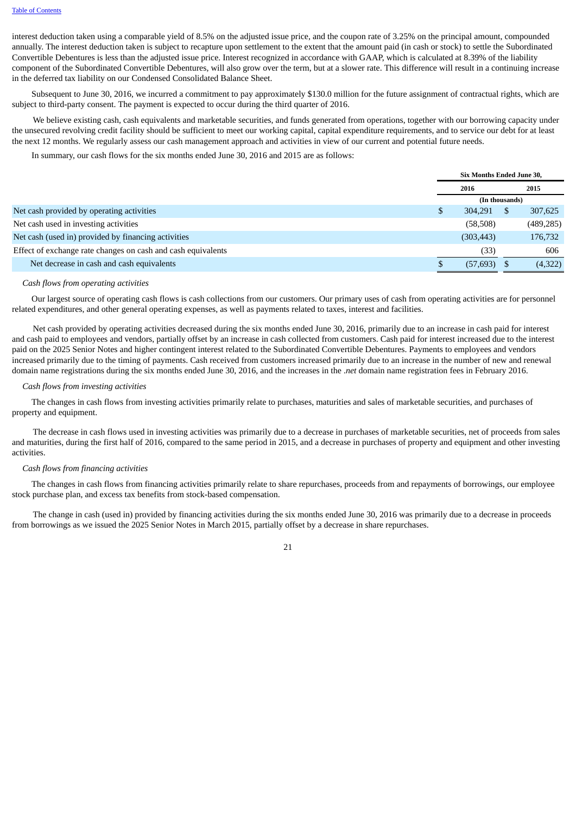interest deduction taken using a comparable yield of 8.5% on the adjusted issue price, and the coupon rate of 3.25% on the principal amount, compounded annually. The interest deduction taken is subject to recapture upon settlement to the extent that the amount paid (in cash or stock) to settle the Subordinated Convertible Debentures is less than the adjusted issue price. Interest recognized in accordance with GAAP, which is calculated at 8.39% of the liability component of the Subordinated Convertible Debentures, will also grow over the term, but at a slower rate. This difference will result in a continuing increase in the deferred tax liability on our Condensed Consolidated Balance Sheet.

Subsequent to June 30, 2016, we incurred a commitment to pay approximately \$130.0 million for the future assignment of contractual rights, which are subject to third-party consent. The payment is expected to occur during the third quarter of 2016.

We believe existing cash, cash equivalents and marketable securities, and funds generated from operations, together with our borrowing capacity under the unsecured revolving credit facility should be sufficient to meet our working capital, capital expenditure requirements, and to service our debt for at least the next 12 months. We regularly assess our cash management approach and activities in view of our current and potential future needs.

In summary, our cash flows for the six months ended June 30, 2016 and 2015 are as follows:

|                                                              | <b>Six Months Ended June 30,</b> |            |  |            |
|--------------------------------------------------------------|----------------------------------|------------|--|------------|
|                                                              |                                  | 2016       |  | 2015       |
|                                                              | (In thousands)                   |            |  |            |
| Net cash provided by operating activities                    |                                  | 304,291    |  | 307,625    |
| Net cash used in investing activities                        |                                  | (58, 508)  |  | (489, 285) |
| Net cash (used in) provided by financing activities          |                                  | (303, 443) |  | 176,732    |
| Effect of exchange rate changes on cash and cash equivalents |                                  | (33)       |  | 606        |
| Net decrease in cash and cash equivalents                    |                                  | (57, 693)  |  | (4,322)    |
|                                                              |                                  |            |  |            |

#### *Cash flows from operating activities*

Our largest source of operating cash flows is cash collections from our customers. Our primary uses of cash from operating activities are for personnel related expenditures, and other general operating expenses, as well as payments related to taxes, interest and facilities.

Net cash provided by operating activities decreased during the six months ended June 30, 2016, primarily due to an increase in cash paid for interest and cash paid to employees and vendors, partially offset by an increase in cash collected from customers. Cash paid for interest increased due to the interest paid on the 2025 Senior Notes and higher contingent interest related to the Subordinated Convertible Debentures. Payments to employees and vendors increased primarily due to the timing of payments. Cash received from customers increased primarily due to an increase in the number of new and renewal domain name registrations during the six months ended June 30, 2016, and the increases in the .*net* domain name registration fees in February 2016.

## *Cash flows from investing activities*

The changes in cash flows from investing activities primarily relate to purchases, maturities and sales of marketable securities, and purchases of property and equipment.

The decrease in cash flows used in investing activities was primarily due to a decrease in purchases of marketable securities, net of proceeds from sales and maturities, during the first half of 2016, compared to the same period in 2015, and a decrease in purchases of property and equipment and other investing activities.

#### *Cash flows from financing activities*

The changes in cash flows from financing activities primarily relate to share repurchases, proceeds from and repayments of borrowings, our employee stock purchase plan, and excess tax benefits from stock-based compensation.

The change in cash (used in) provided by financing activities during the six months ended June 30, 2016 was primarily due to a decrease in proceeds from borrowings as we issued the 2025 Senior Notes in March 2015, partially offset by a decrease in share repurchases.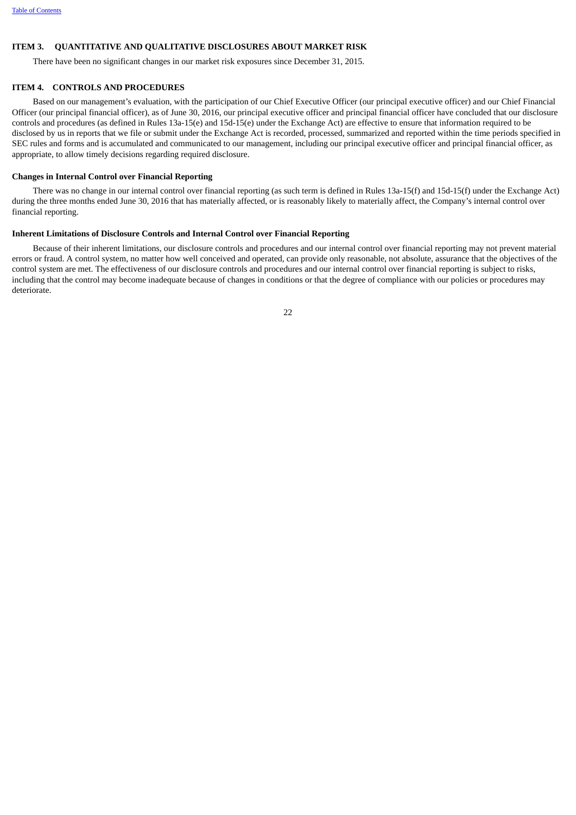## <span id="page-21-0"></span>**ITEM 3. QUANTITATIVE AND QUALITATIVE DISCLOSURES ABOUT MARKET RISK**

There have been no significant changes in our market risk exposures since December 31, 2015.

#### <span id="page-21-1"></span>**ITEM 4. CONTROLS AND PROCEDURES**

Based on our management's evaluation, with the participation of our Chief Executive Officer (our principal executive officer) and our Chief Financial Officer (our principal financial officer), as of June 30, 2016, our principal executive officer and principal financial officer have concluded that our disclosure controls and procedures (as defined in Rules 13a-15(e) and 15d-15(e) under the Exchange Act) are effective to ensure that information required to be disclosed by us in reports that we file or submit under the Exchange Act is recorded, processed, summarized and reported within the time periods specified in SEC rules and forms and is accumulated and communicated to our management, including our principal executive officer and principal financial officer, as appropriate, to allow timely decisions regarding required disclosure.

#### **Changes in Internal Control over Financial Reporting**

There was no change in our internal control over financial reporting (as such term is defined in Rules 13a-15(f) and 15d-15(f) under the Exchange Act) during the three months ended June 30, 2016 that has materially affected, or is reasonably likely to materially affect, the Company's internal control over financial reporting.

#### **Inherent Limitations of Disclosure Controls and Internal Control over Financial Reporting**

Because of their inherent limitations, our disclosure controls and procedures and our internal control over financial reporting may not prevent material errors or fraud. A control system, no matter how well conceived and operated, can provide only reasonable, not absolute, assurance that the objectives of the control system are met. The effectiveness of our disclosure controls and procedures and our internal control over financial reporting is subject to risks, including that the control may become inadequate because of changes in conditions or that the degree of compliance with our policies or procedures may deteriorate.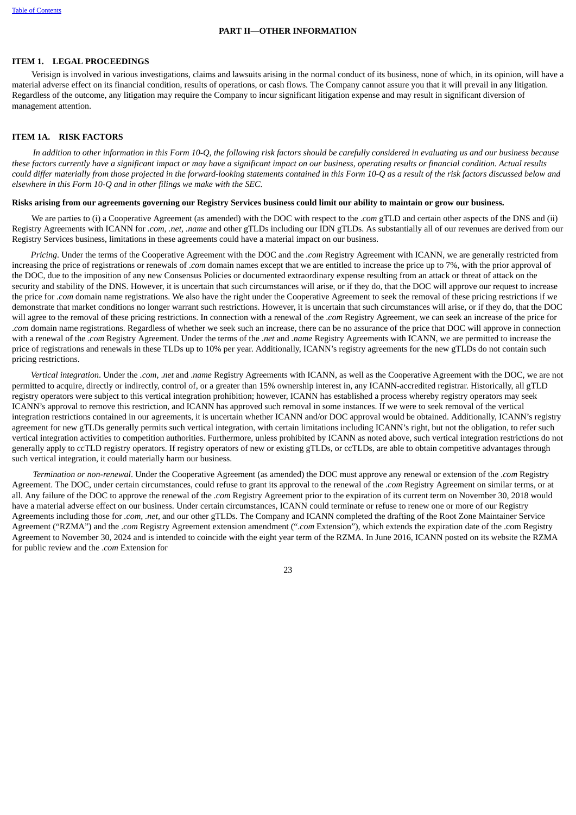#### **PART II—OTHER INFORMATION**

#### <span id="page-22-1"></span><span id="page-22-0"></span>**ITEM 1. LEGAL PROCEEDINGS**

Verisign is involved in various investigations, claims and lawsuits arising in the normal conduct of its business, none of which, in its opinion, will have a material adverse effect on its financial condition, results of operations, or cash flows. The Company cannot assure you that it will prevail in any litigation. Regardless of the outcome, any litigation may require the Company to incur significant litigation expense and may result in significant diversion of management attention.

#### <span id="page-22-2"></span>**ITEM 1A. RISK FACTORS**

In addition to other information in this Form 10-Q, the following risk factors should be carefully considered in evaluating us and our business because these factors currently have a significant impact or may have a significant impact on our business, operating results or financial condition. Actual results could differ materially from those projected in the forward-looking statements contained in this Form 10-Q as a result of the risk factors discussed below and *elsewhere in this Form 10-Q and in other filings we make with the SEC.*

#### Risks arising from our agreements governing our Registry Services business could limit our ability to maintain or grow our business.

We are parties to (i) a Cooperative Agreement (as amended) with the DOC with respect to the .*com* gTLD and certain other aspects of the DNS and (ii) Registry Agreements with ICANN for *.com*, *.net, .name* and other gTLDs including our IDN gTLDs. As substantially all of our revenues are derived from our Registry Services business, limitations in these agreements could have a material impact on our business.

*Pricing*. Under the terms of the Cooperative Agreement with the DOC and the *.com* Registry Agreement with ICANN, we are generally restricted from increasing the price of registrations or renewals of .*com* domain names except that we are entitled to increase the price up to 7%, with the prior approval of the DOC, due to the imposition of any new Consensus Policies or documented extraordinary expense resulting from an attack or threat of attack on the security and stability of the DNS. However, it is uncertain that such circumstances will arise, or if they do, that the DOC will approve our request to increase the price for *.com* domain name registrations. We also have the right under the Cooperative Agreement to seek the removal of these pricing restrictions if we demonstrate that market conditions no longer warrant such restrictions. However, it is uncertain that such circumstances will arise, or if they do, that the DOC will agree to the removal of these pricing restrictions. In connection with a renewal of the .*com* Registry Agreement, we can seek an increase of the price for .*com* domain name registrations. Regardless of whether we seek such an increase, there can be no assurance of the price that DOC will approve in connection with a renewal of the .*com* Registry Agreement. Under the terms of the *.net* and *.name* Registry Agreements with ICANN, we are permitted to increase the price of registrations and renewals in these TLDs up to 10% per year. Additionally, ICANN's registry agreements for the new gTLDs do not contain such pricing restrictions.

*Vertical integration*. Under the *.com*, .*net* and .*name* Registry Agreements with ICANN, as well as the Cooperative Agreement with the DOC, we are not permitted to acquire, directly or indirectly, control of, or a greater than 15% ownership interest in, any ICANN-accredited registrar. Historically, all gTLD registry operators were subject to this vertical integration prohibition; however, ICANN has established a process whereby registry operators may seek ICANN's approval to remove this restriction, and ICANN has approved such removal in some instances. If we were to seek removal of the vertical integration restrictions contained in our agreements, it is uncertain whether ICANN and/or DOC approval would be obtained. Additionally, ICANN's registry agreement for new gTLDs generally permits such vertical integration, with certain limitations including ICANN's right, but not the obligation, to refer such vertical integration activities to competition authorities. Furthermore, unless prohibited by ICANN as noted above, such vertical integration restrictions do not generally apply to ccTLD registry operators. If registry operators of new or existing gTLDs, or ccTLDs, are able to obtain competitive advantages through such vertical integration, it could materially harm our business.

*Termination or non-renewal*. Under the Cooperative Agreement (as amended) the DOC must approve any renewal or extension of the *.com* Registry Agreement. The DOC, under certain circumstances, could refuse to grant its approval to the renewal of the *.com* Registry Agreement on similar terms, or at all. Any failure of the DOC to approve the renewal of the *.com* Registry Agreement prior to the expiration of its current term on November 30, 2018 would have a material adverse effect on our business. Under certain circumstances, ICANN could terminate or refuse to renew one or more of our Registry Agreements including those for *.com, .net,* and our other gTLDs. The Company and ICANN completed the drafting of the Root Zone Maintainer Service Agreement ("RZMA") and the .*com* Registry Agreement extension amendment (".*com* Extension"), which extends the expiration date of the .com Registry Agreement to November 30, 2024 and is intended to coincide with the eight year term of the RZMA. In June 2016, ICANN posted on its website the RZMA for public review and the .*com* Extension for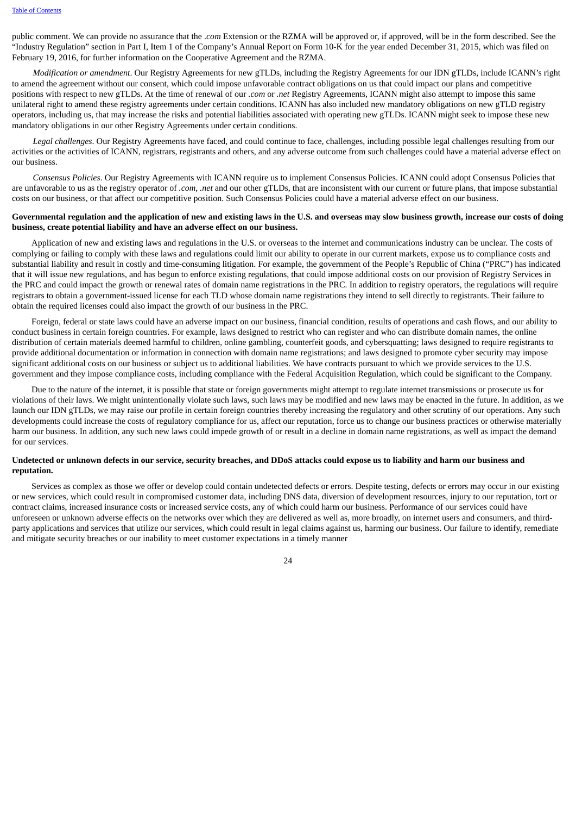public comment. We can provide no assurance that the .*com* Extension or the RZMA will be approved or, if approved, will be in the form described. See the "Industry Regulation" section in Part I, Item 1 of the Company's Annual Report on Form 10-K for the year ended December 31, 2015, which was filed on February 19, 2016, for further information on the Cooperative Agreement and the RZMA.

*Modification or amendment*. Our Registry Agreements for new gTLDs, including the Registry Agreements for our IDN gTLDs, include ICANN's right to amend the agreement without our consent, which could impose unfavorable contract obligations on us that could impact our plans and competitive positions with respect to new gTLDs. At the time of renewal of our *.com* or *.net* Registry Agreements, ICANN might also attempt to impose this same unilateral right to amend these registry agreements under certain conditions. ICANN has also included new mandatory obligations on new gTLD registry operators, including us, that may increase the risks and potential liabilities associated with operating new gTLDs. ICANN might seek to impose these new mandatory obligations in our other Registry Agreements under certain conditions.

*Legal challenges*. Our Registry Agreements have faced, and could continue to face, challenges, including possible legal challenges resulting from our activities or the activities of ICANN, registrars, registrants and others, and any adverse outcome from such challenges could have a material adverse effect on our business.

*Consensus Policies*. Our Registry Agreements with ICANN require us to implement Consensus Policies. ICANN could adopt Consensus Policies that are unfavorable to us as the registry operator of *.com*, *.net* and our other gTLDs, that are inconsistent with our current or future plans, that impose substantial costs on our business, or that affect our competitive position. Such Consensus Policies could have a material adverse effect on our business.

#### Governmental regulation and the application of new and existing laws in the U.S. and overseas may slow business growth, increase our costs of doing **business, create potential liability and have an adverse effect on our business.**

Application of new and existing laws and regulations in the U.S. or overseas to the internet and communications industry can be unclear. The costs of complying or failing to comply with these laws and regulations could limit our ability to operate in our current markets, expose us to compliance costs and substantial liability and result in costly and time-consuming litigation. For example, the government of the People's Republic of China ("PRC") has indicated that it will issue new regulations, and has begun to enforce existing regulations, that could impose additional costs on our provision of Registry Services in the PRC and could impact the growth or renewal rates of domain name registrations in the PRC. In addition to registry operators, the regulations will require registrars to obtain a government-issued license for each TLD whose domain name registrations they intend to sell directly to registrants. Their failure to obtain the required licenses could also impact the growth of our business in the PRC.

Foreign, federal or state laws could have an adverse impact on our business, financial condition, results of operations and cash flows, and our ability to conduct business in certain foreign countries. For example, laws designed to restrict who can register and who can distribute domain names, the online distribution of certain materials deemed harmful to children, online gambling, counterfeit goods, and cybersquatting; laws designed to require registrants to provide additional documentation or information in connection with domain name registrations; and laws designed to promote cyber security may impose significant additional costs on our business or subject us to additional liabilities. We have contracts pursuant to which we provide services to the U.S. government and they impose compliance costs, including compliance with the Federal Acquisition Regulation, which could be significant to the Company.

Due to the nature of the internet, it is possible that state or foreign governments might attempt to regulate internet transmissions or prosecute us for violations of their laws. We might unintentionally violate such laws, such laws may be modified and new laws may be enacted in the future. In addition, as we launch our IDN gTLDs, we may raise our profile in certain foreign countries thereby increasing the regulatory and other scrutiny of our operations. Any such developments could increase the costs of regulatory compliance for us, affect our reputation, force us to change our business practices or otherwise materially harm our business. In addition, any such new laws could impede growth of or result in a decline in domain name registrations, as well as impact the demand for our services.

### Undetected or unknown defects in our service, security breaches, and DDoS attacks could expose us to liability and harm our business and **reputation.**

Services as complex as those we offer or develop could contain undetected defects or errors. Despite testing, defects or errors may occur in our existing or new services, which could result in compromised customer data, including DNS data, diversion of development resources, injury to our reputation, tort or contract claims, increased insurance costs or increased service costs, any of which could harm our business. Performance of our services could have unforeseen or unknown adverse effects on the networks over which they are delivered as well as, more broadly, on internet users and consumers, and thirdparty applications and services that utilize our services, which could result in legal claims against us, harming our business. Our failure to identify, remediate and mitigate security breaches or our inability to meet customer expectations in a timely manner

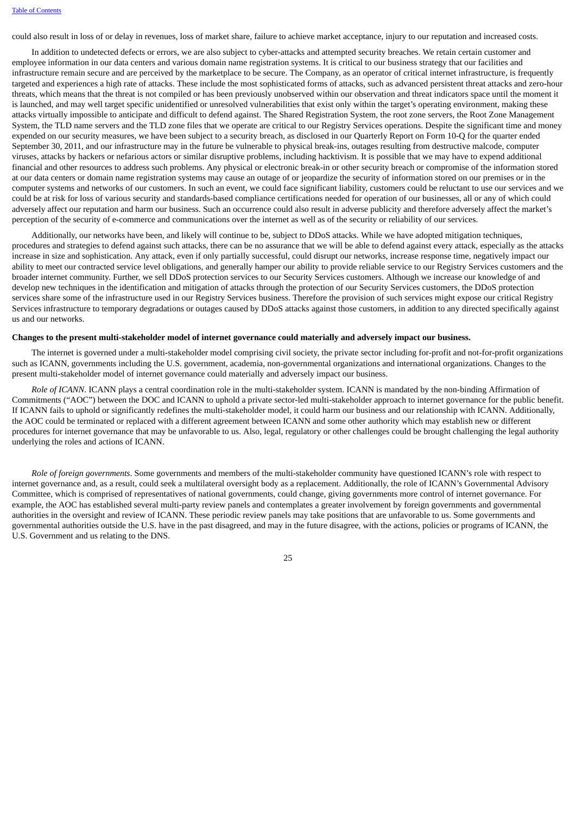could also result in loss of or delay in revenues, loss of market share, failure to achieve market acceptance, injury to our reputation and increased costs.

In addition to undetected defects or errors, we are also subject to cyber-attacks and attempted security breaches. We retain certain customer and employee information in our data centers and various domain name registration systems. It is critical to our business strategy that our facilities and infrastructure remain secure and are perceived by the marketplace to be secure. The Company, as an operator of critical internet infrastructure, is frequently targeted and experiences a high rate of attacks. These include the most sophisticated forms of attacks, such as advanced persistent threat attacks and zero-hour threats, which means that the threat is not compiled or has been previously unobserved within our observation and threat indicators space until the moment it is launched, and may well target specific unidentified or unresolved vulnerabilities that exist only within the target's operating environment, making these attacks virtually impossible to anticipate and difficult to defend against. The Shared Registration System, the root zone servers, the Root Zone Management System, the TLD name servers and the TLD zone files that we operate are critical to our Registry Services operations. Despite the significant time and money expended on our security measures, we have been subject to a security breach, as disclosed in our Quarterly Report on Form 10-Q for the quarter ended September 30, 2011, and our infrastructure may in the future be vulnerable to physical break-ins, outages resulting from destructive malcode, computer viruses, attacks by hackers or nefarious actors or similar disruptive problems, including hacktivism. It is possible that we may have to expend additional financial and other resources to address such problems. Any physical or electronic break-in or other security breach or compromise of the information stored at our data centers or domain name registration systems may cause an outage of or jeopardize the security of information stored on our premises or in the computer systems and networks of our customers. In such an event, we could face significant liability, customers could be reluctant to use our services and we could be at risk for loss of various security and standards-based compliance certifications needed for operation of our businesses, all or any of which could adversely affect our reputation and harm our business. Such an occurrence could also result in adverse publicity and therefore adversely affect the market's perception of the security of e-commerce and communications over the internet as well as of the security or reliability of our services.

Additionally, our networks have been, and likely will continue to be, subject to DDoS attacks. While we have adopted mitigation techniques, procedures and strategies to defend against such attacks, there can be no assurance that we will be able to defend against every attack, especially as the attacks increase in size and sophistication. Any attack, even if only partially successful, could disrupt our networks, increase response time, negatively impact our ability to meet our contracted service level obligations, and generally hamper our ability to provide reliable service to our Registry Services customers and the broader internet community. Further, we sell DDoS protection services to our Security Services customers. Although we increase our knowledge of and develop new techniques in the identification and mitigation of attacks through the protection of our Security Services customers, the DDoS protection services share some of the infrastructure used in our Registry Services business. Therefore the provision of such services might expose our critical Registry Services infrastructure to temporary degradations or outages caused by DDoS attacks against those customers, in addition to any directed specifically against us and our networks.

#### Changes to the present multi-stakeholder model of internet governance could materially and adversely impact our business.

The internet is governed under a multi-stakeholder model comprising civil society, the private sector including for-profit and not-for-profit organizations such as ICANN, governments including the U.S. government, academia, non-governmental organizations and international organizations. Changes to the present multi-stakeholder model of internet governance could materially and adversely impact our business.

*Role of ICANN*. ICANN plays a central coordination role in the multi-stakeholder system. ICANN is mandated by the non-binding Affirmation of Commitments ("AOC") between the DOC and ICANN to uphold a private sector-led multi-stakeholder approach to internet governance for the public benefit. If ICANN fails to uphold or significantly redefines the multi-stakeholder model, it could harm our business and our relationship with ICANN. Additionally, the AOC could be terminated or replaced with a different agreement between ICANN and some other authority which may establish new or different procedures for internet governance that may be unfavorable to us. Also, legal, regulatory or other challenges could be brought challenging the legal authority underlying the roles and actions of ICANN.

*Role of foreign governments*. Some governments and members of the multi-stakeholder community have questioned ICANN's role with respect to internet governance and, as a result, could seek a multilateral oversight body as a replacement. Additionally, the role of ICANN's Governmental Advisory Committee, which is comprised of representatives of national governments, could change, giving governments more control of internet governance. For example, the AOC has established several multi-party review panels and contemplates a greater involvement by foreign governments and governmental authorities in the oversight and review of ICANN. These periodic review panels may take positions that are unfavorable to us. Some governments and governmental authorities outside the U.S. have in the past disagreed, and may in the future disagree, with the actions, policies or programs of ICANN, the U.S. Government and us relating to the DNS.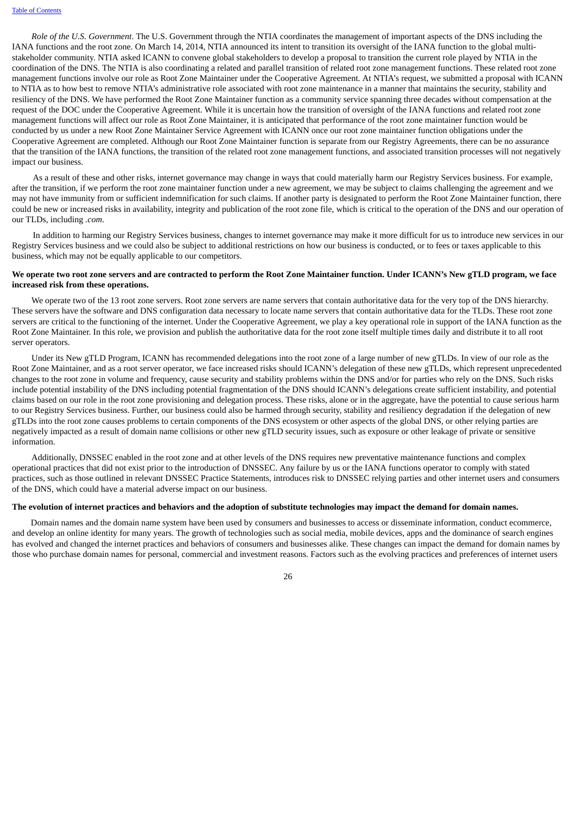*Role of the U.S. Government*. The U.S. Government through the NTIA coordinates the management of important aspects of the DNS including the IANA functions and the root zone. On March 14, 2014, NTIA announced its intent to transition its oversight of the IANA function to the global multistakeholder community. NTIA asked ICANN to convene global stakeholders to develop a proposal to transition the current role played by NTIA in the coordination of the DNS. The NTIA is also coordinating a related and parallel transition of related root zone management functions. These related root zone management functions involve our role as Root Zone Maintainer under the Cooperative Agreement. At NTIA's request, we submitted a proposal with ICANN to NTIA as to how best to remove NTIA's administrative role associated with root zone maintenance in a manner that maintains the security, stability and resiliency of the DNS. We have performed the Root Zone Maintainer function as a community service spanning three decades without compensation at the request of the DOC under the Cooperative Agreement. While it is uncertain how the transition of oversight of the IANA functions and related root zone management functions will affect our role as Root Zone Maintainer, it is anticipated that performance of the root zone maintainer function would be conducted by us under a new Root Zone Maintainer Service Agreement with ICANN once our root zone maintainer function obligations under the Cooperative Agreement are completed. Although our Root Zone Maintainer function is separate from our Registry Agreements, there can be no assurance that the transition of the IANA functions, the transition of the related root zone management functions, and associated transition processes will not negatively impact our business.

As a result of these and other risks, internet governance may change in ways that could materially harm our Registry Services business. For example, after the transition, if we perform the root zone maintainer function under a new agreement, we may be subject to claims challenging the agreement and we may not have immunity from or sufficient indemnification for such claims. If another party is designated to perform the Root Zone Maintainer function, there could be new or increased risks in availability, integrity and publication of the root zone file, which is critical to the operation of the DNS and our operation of our TLDs, including *.com*.

In addition to harming our Registry Services business, changes to internet governance may make it more difficult for us to introduce new services in our Registry Services business and we could also be subject to additional restrictions on how our business is conducted, or to fees or taxes applicable to this business, which may not be equally applicable to our competitors.

## We operate two root zone servers and are contracted to perform the Root Zone Maintainer function. Under ICANN's New gTLD program, we face **increased risk from these operations.**

We operate two of the 13 root zone servers. Root zone servers are name servers that contain authoritative data for the very top of the DNS hierarchy. These servers have the software and DNS configuration data necessary to locate name servers that contain authoritative data for the TLDs. These root zone servers are critical to the functioning of the internet. Under the Cooperative Agreement, we play a key operational role in support of the IANA function as the Root Zone Maintainer. In this role, we provision and publish the authoritative data for the root zone itself multiple times daily and distribute it to all root server operators.

Under its New gTLD Program, ICANN has recommended delegations into the root zone of a large number of new gTLDs. In view of our role as the Root Zone Maintainer, and as a root server operator, we face increased risks should ICANN's delegation of these new gTLDs, which represent unprecedented changes to the root zone in volume and frequency, cause security and stability problems within the DNS and/or for parties who rely on the DNS. Such risks include potential instability of the DNS including potential fragmentation of the DNS should ICANN's delegations create sufficient instability, and potential claims based on our role in the root zone provisioning and delegation process. These risks, alone or in the aggregate, have the potential to cause serious harm to our Registry Services business. Further, our business could also be harmed through security, stability and resiliency degradation if the delegation of new gTLDs into the root zone causes problems to certain components of the DNS ecosystem or other aspects of the global DNS, or other relying parties are negatively impacted as a result of domain name collisions or other new gTLD security issues, such as exposure or other leakage of private or sensitive information.

Additionally, DNSSEC enabled in the root zone and at other levels of the DNS requires new preventative maintenance functions and complex operational practices that did not exist prior to the introduction of DNSSEC. Any failure by us or the IANA functions operator to comply with stated practices, such as those outlined in relevant DNSSEC Practice Statements, introduces risk to DNSSEC relying parties and other internet users and consumers of the DNS, which could have a material adverse impact on our business.

#### The evolution of internet practices and behaviors and the adoption of substitute technologies may impact the demand for domain names.

Domain names and the domain name system have been used by consumers and businesses to access or disseminate information, conduct ecommerce, and develop an online identity for many years. The growth of technologies such as social media, mobile devices, apps and the dominance of search engines has evolved and changed the internet practices and behaviors of consumers and businesses alike. These changes can impact the demand for domain names by those who purchase domain names for personal, commercial and investment reasons. Factors such as the evolving practices and preferences of internet users

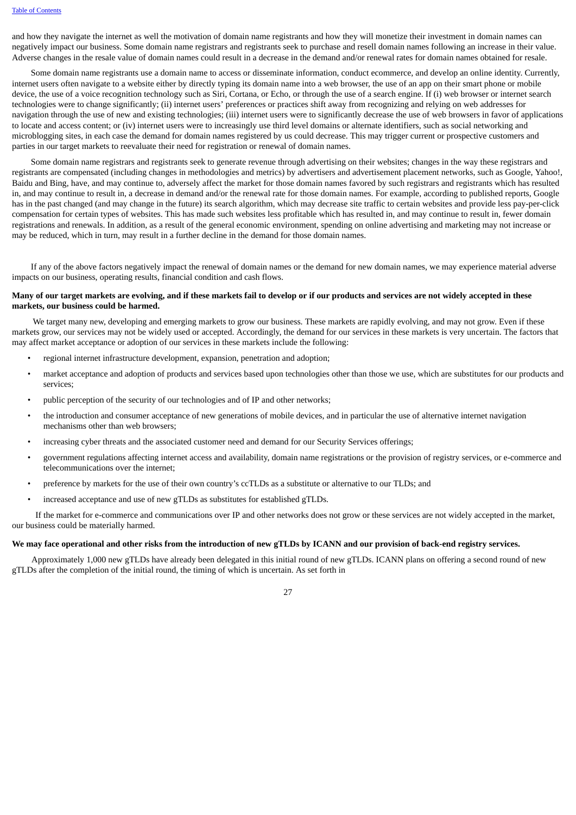and how they navigate the internet as well the motivation of domain name registrants and how they will monetize their investment in domain names can negatively impact our business. Some domain name registrars and registrants seek to purchase and resell domain names following an increase in their value. Adverse changes in the resale value of domain names could result in a decrease in the demand and/or renewal rates for domain names obtained for resale.

Some domain name registrants use a domain name to access or disseminate information, conduct ecommerce, and develop an online identity. Currently, internet users often navigate to a website either by directly typing its domain name into a web browser, the use of an app on their smart phone or mobile device, the use of a voice recognition technology such as Siri, Cortana, or Echo, or through the use of a search engine. If (i) web browser or internet search technologies were to change significantly; (ii) internet users' preferences or practices shift away from recognizing and relying on web addresses for navigation through the use of new and existing technologies; (iii) internet users were to significantly decrease the use of web browsers in favor of applications to locate and access content; or (iv) internet users were to increasingly use third level domains or alternate identifiers, such as social networking and microblogging sites, in each case the demand for domain names registered by us could decrease. This may trigger current or prospective customers and parties in our target markets to reevaluate their need for registration or renewal of domain names.

Some domain name registrars and registrants seek to generate revenue through advertising on their websites; changes in the way these registrars and registrants are compensated (including changes in methodologies and metrics) by advertisers and advertisement placement networks, such as Google, Yahoo!, Baidu and Bing, have, and may continue to, adversely affect the market for those domain names favored by such registrars and registrants which has resulted in, and may continue to result in, a decrease in demand and/or the renewal rate for those domain names. For example, according to published reports, Google has in the past changed (and may change in the future) its search algorithm, which may decrease site traffic to certain websites and provide less pay-per-click compensation for certain types of websites. This has made such websites less profitable which has resulted in, and may continue to result in, fewer domain registrations and renewals. In addition, as a result of the general economic environment, spending on online advertising and marketing may not increase or may be reduced, which in turn, may result in a further decline in the demand for those domain names.

If any of the above factors negatively impact the renewal of domain names or the demand for new domain names, we may experience material adverse impacts on our business, operating results, financial condition and cash flows.

#### Many of our target markets are evolving, and if these markets fail to develop or if our products and services are not widely accepted in these **markets, our business could be harmed.**

We target many new, developing and emerging markets to grow our business. These markets are rapidly evolving, and may not grow. Even if these markets grow, our services may not be widely used or accepted. Accordingly, the demand for our services in these markets is very uncertain. The factors that may affect market acceptance or adoption of our services in these markets include the following:

- regional internet infrastructure development, expansion, penetration and adoption;
- market acceptance and adoption of products and services based upon technologies other than those we use, which are substitutes for our products and services;
- public perception of the security of our technologies and of IP and other networks;
- the introduction and consumer acceptance of new generations of mobile devices, and in particular the use of alternative internet navigation mechanisms other than web browsers;
- increasing cyber threats and the associated customer need and demand for our Security Services offerings;
- government regulations affecting internet access and availability, domain name registrations or the provision of registry services, or e-commerce and telecommunications over the internet;
- preference by markets for the use of their own country's ccTLDs as a substitute or alternative to our TLDs; and
- increased acceptance and use of new gTLDs as substitutes for established gTLDs.

If the market for e-commerce and communications over IP and other networks does not grow or these services are not widely accepted in the market, our business could be materially harmed.

## We may face operational and other risks from the introduction of new gTLDs by ICANN and our provision of back-end registry services.

Approximately 1,000 new gTLDs have already been delegated in this initial round of new gTLDs. ICANN plans on offering a second round of new gTLDs after the completion of the initial round, the timing of which is uncertain. As set forth in

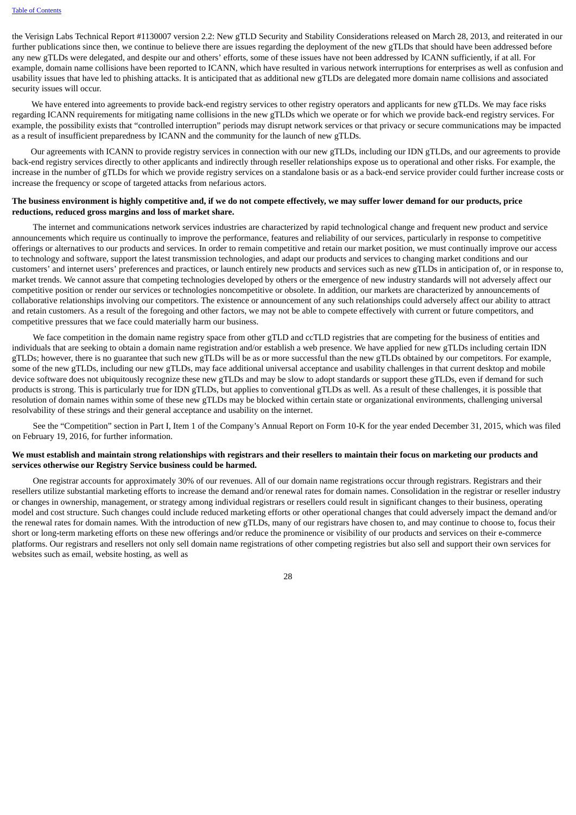the Verisign Labs Technical Report #1130007 version 2.2: New gTLD Security and Stability Considerations released on March 28, 2013, and reiterated in our further publications since then, we continue to believe there are issues regarding the deployment of the new gTLDs that should have been addressed before any new gTLDs were delegated, and despite our and others' efforts, some of these issues have not been addressed by ICANN sufficiently, if at all. For example, domain name collisions have been reported to ICANN, which have resulted in various network interruptions for enterprises as well as confusion and usability issues that have led to phishing attacks. It is anticipated that as additional new gTLDs are delegated more domain name collisions and associated security issues will occur.

We have entered into agreements to provide back-end registry services to other registry operators and applicants for new gTLDs. We may face risks regarding ICANN requirements for mitigating name collisions in the new gTLDs which we operate or for which we provide back-end registry services. For example, the possibility exists that "controlled interruption" periods may disrupt network services or that privacy or secure communications may be impacted as a result of insufficient preparedness by ICANN and the community for the launch of new gTLDs.

Our agreements with ICANN to provide registry services in connection with our new gTLDs, including our IDN gTLDs, and our agreements to provide back-end registry services directly to other applicants and indirectly through reseller relationships expose us to operational and other risks. For example, the increase in the number of gTLDs for which we provide registry services on a standalone basis or as a back-end service provider could further increase costs or increase the frequency or scope of targeted attacks from nefarious actors.

## The business environment is highly competitive and, if we do not compete effectively, we may suffer lower demand for our products, price **reductions, reduced gross margins and loss of market share.**

The internet and communications network services industries are characterized by rapid technological change and frequent new product and service announcements which require us continually to improve the performance, features and reliability of our services, particularly in response to competitive offerings or alternatives to our products and services. In order to remain competitive and retain our market position, we must continually improve our access to technology and software, support the latest transmission technologies, and adapt our products and services to changing market conditions and our customers' and internet users' preferences and practices, or launch entirely new products and services such as new gTLDs in anticipation of, or in response to, market trends. We cannot assure that competing technologies developed by others or the emergence of new industry standards will not adversely affect our competitive position or render our services or technologies noncompetitive or obsolete. In addition, our markets are characterized by announcements of collaborative relationships involving our competitors. The existence or announcement of any such relationships could adversely affect our ability to attract and retain customers. As a result of the foregoing and other factors, we may not be able to compete effectively with current or future competitors, and competitive pressures that we face could materially harm our business.

We face competition in the domain name registry space from other gTLD and ccTLD registries that are competing for the business of entities and individuals that are seeking to obtain a domain name registration and/or establish a web presence. We have applied for new gTLDs including certain IDN gTLDs; however, there is no guarantee that such new gTLDs will be as or more successful than the new gTLDs obtained by our competitors. For example, some of the new gTLDs, including our new gTLDs, may face additional universal acceptance and usability challenges in that current desktop and mobile device software does not ubiquitously recognize these new gTLDs and may be slow to adopt standards or support these gTLDs, even if demand for such products is strong. This is particularly true for IDN gTLDs, but applies to conventional gTLDs as well. As a result of these challenges, it is possible that resolution of domain names within some of these new gTLDs may be blocked within certain state or organizational environments, challenging universal resolvability of these strings and their general acceptance and usability on the internet.

See the "Competition" section in Part I, Item 1 of the Company's Annual Report on Form 10-K for the year ended December 31, 2015, which was filed on February 19, 2016, for further information.

#### We must establish and maintain strong relationships with registrars and their resellers to maintain their focus on marketing our products and **services otherwise our Registry Service business could be harmed.**

One registrar accounts for approximately 30% of our revenues. All of our domain name registrations occur through registrars. Registrars and their resellers utilize substantial marketing efforts to increase the demand and/or renewal rates for domain names. Consolidation in the registrar or reseller industry or changes in ownership, management, or strategy among individual registrars or resellers could result in significant changes to their business, operating model and cost structure. Such changes could include reduced marketing efforts or other operational changes that could adversely impact the demand and/or the renewal rates for domain names. With the introduction of new gTLDs, many of our registrars have chosen to, and may continue to choose to, focus their short or long-term marketing efforts on these new offerings and/or reduce the prominence or visibility of our products and services on their e-commerce platforms. Our registrars and resellers not only sell domain name registrations of other competing registries but also sell and support their own services for websites such as email, website hosting, as well as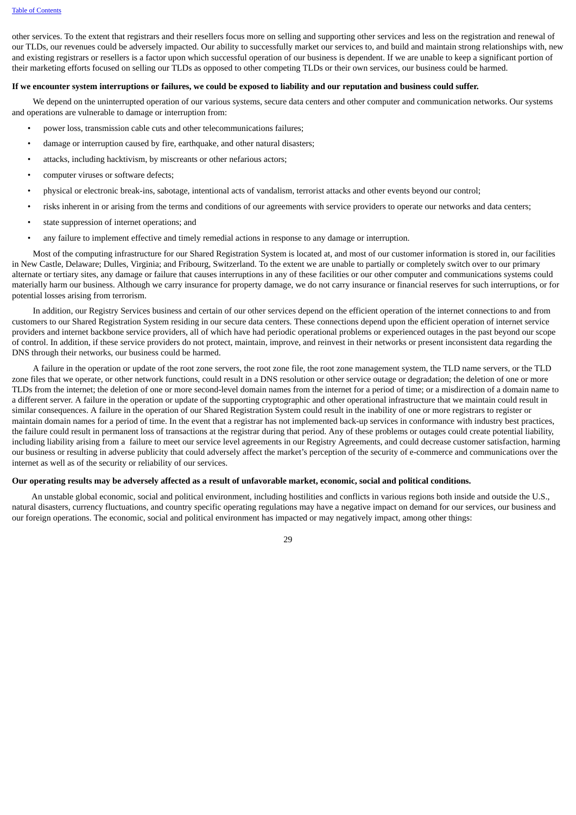other services. To the extent that registrars and their resellers focus more on selling and supporting other services and less on the registration and renewal of our TLDs, our revenues could be adversely impacted. Our ability to successfully market our services to, and build and maintain strong relationships with, new and existing registrars or resellers is a factor upon which successful operation of our business is dependent. If we are unable to keep a significant portion of their marketing efforts focused on selling our TLDs as opposed to other competing TLDs or their own services, our business could be harmed.

#### If we encounter system interruptions or failures, we could be exposed to liability and our reputation and business could suffer.

We depend on the uninterrupted operation of our various systems, secure data centers and other computer and communication networks. Our systems and operations are vulnerable to damage or interruption from:

- power loss, transmission cable cuts and other telecommunications failures;
- damage or interruption caused by fire, earthquake, and other natural disasters;
- attacks, including hacktivism, by miscreants or other nefarious actors;
- computer viruses or software defects;
- physical or electronic break-ins, sabotage, intentional acts of vandalism, terrorist attacks and other events beyond our control;
- risks inherent in or arising from the terms and conditions of our agreements with service providers to operate our networks and data centers;
- state suppression of internet operations; and
- any failure to implement effective and timely remedial actions in response to any damage or interruption.

Most of the computing infrastructure for our Shared Registration System is located at, and most of our customer information is stored in, our facilities in New Castle, Delaware; Dulles, Virginia; and Fribourg, Switzerland. To the extent we are unable to partially or completely switch over to our primary alternate or tertiary sites, any damage or failure that causes interruptions in any of these facilities or our other computer and communications systems could materially harm our business. Although we carry insurance for property damage, we do not carry insurance or financial reserves for such interruptions, or for potential losses arising from terrorism.

In addition, our Registry Services business and certain of our other services depend on the efficient operation of the internet connections to and from customers to our Shared Registration System residing in our secure data centers. These connections depend upon the efficient operation of internet service providers and internet backbone service providers, all of which have had periodic operational problems or experienced outages in the past beyond our scope of control. In addition, if these service providers do not protect, maintain, improve, and reinvest in their networks or present inconsistent data regarding the DNS through their networks, our business could be harmed.

A failure in the operation or update of the root zone servers, the root zone file, the root zone management system, the TLD name servers, or the TLD zone files that we operate, or other network functions, could result in a DNS resolution or other service outage or degradation; the deletion of one or more TLDs from the internet; the deletion of one or more second-level domain names from the internet for a period of time; or a misdirection of a domain name to a different server. A failure in the operation or update of the supporting cryptographic and other operational infrastructure that we maintain could result in similar consequences. A failure in the operation of our Shared Registration System could result in the inability of one or more registrars to register or maintain domain names for a period of time. In the event that a registrar has not implemented back-up services in conformance with industry best practices, the failure could result in permanent loss of transactions at the registrar during that period. Any of these problems or outages could create potential liability, including liability arising from a failure to meet our service level agreements in our Registry Agreements, and could decrease customer satisfaction, harming our business or resulting in adverse publicity that could adversely affect the market's perception of the security of e-commerce and communications over the internet as well as of the security or reliability of our services.

## Our operating results may be adversely affected as a result of unfavorable market, economic, social and political conditions.

An unstable global economic, social and political environment, including hostilities and conflicts in various regions both inside and outside the U.S., natural disasters, currency fluctuations, and country specific operating regulations may have a negative impact on demand for our services, our business and our foreign operations. The economic, social and political environment has impacted or may negatively impact, among other things:

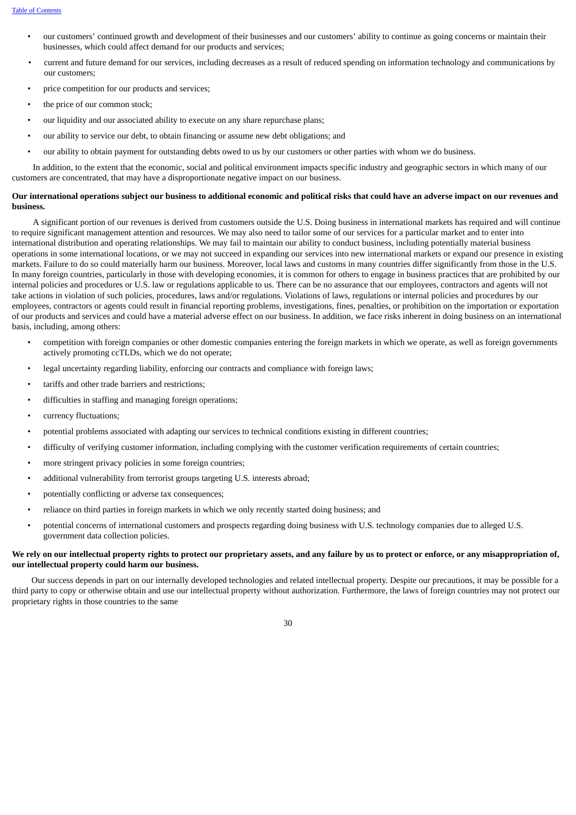- our customers' continued growth and development of their businesses and our customers' ability to continue as going concerns or maintain their businesses, which could affect demand for our products and services;
- current and future demand for our services, including decreases as a result of reduced spending on information technology and communications by our customers;
- price competition for our products and services;
- the price of our common stock;
- our liquidity and our associated ability to execute on any share repurchase plans;
- our ability to service our debt, to obtain financing or assume new debt obligations; and
- our ability to obtain payment for outstanding debts owed to us by our customers or other parties with whom we do business.

In addition, to the extent that the economic, social and political environment impacts specific industry and geographic sectors in which many of our customers are concentrated, that may have a disproportionate negative impact on our business.

## Our international operations subject our business to additional economic and political risks that could have an adverse impact on our revenues and **business.**

A significant portion of our revenues is derived from customers outside the U.S. Doing business in international markets has required and will continue to require significant management attention and resources. We may also need to tailor some of our services for a particular market and to enter into international distribution and operating relationships. We may fail to maintain our ability to conduct business, including potentially material business operations in some international locations, or we may not succeed in expanding our services into new international markets or expand our presence in existing markets. Failure to do so could materially harm our business. Moreover, local laws and customs in many countries differ significantly from those in the U.S. In many foreign countries, particularly in those with developing economies, it is common for others to engage in business practices that are prohibited by our internal policies and procedures or U.S. law or regulations applicable to us. There can be no assurance that our employees, contractors and agents will not take actions in violation of such policies, procedures, laws and/or regulations. Violations of laws, regulations or internal policies and procedures by our employees, contractors or agents could result in financial reporting problems, investigations, fines, penalties, or prohibition on the importation or exportation of our products and services and could have a material adverse effect on our business. In addition, we face risks inherent in doing business on an international basis, including, among others:

- competition with foreign companies or other domestic companies entering the foreign markets in which we operate, as well as foreign governments actively promoting ccTLDs, which we do not operate;
- legal uncertainty regarding liability, enforcing our contracts and compliance with foreign laws;
- tariffs and other trade barriers and restrictions;
- difficulties in staffing and managing foreign operations;
- currency fluctuations;
- potential problems associated with adapting our services to technical conditions existing in different countries;
- difficulty of verifying customer information, including complying with the customer verification requirements of certain countries;
- more stringent privacy policies in some foreign countries;
- additional vulnerability from terrorist groups targeting U.S. interests abroad;
- potentially conflicting or adverse tax consequences;
- reliance on third parties in foreign markets in which we only recently started doing business; and
- potential concerns of international customers and prospects regarding doing business with U.S. technology companies due to alleged U.S. government data collection policies.

#### We rely on our intellectual property rights to protect our proprietary assets, and any failure by us to protect or enforce, or any misappropriation of, **our intellectual property could harm our business.**

Our success depends in part on our internally developed technologies and related intellectual property. Despite our precautions, it may be possible for a third party to copy or otherwise obtain and use our intellectual property without authorization. Furthermore, the laws of foreign countries may not protect our proprietary rights in those countries to the same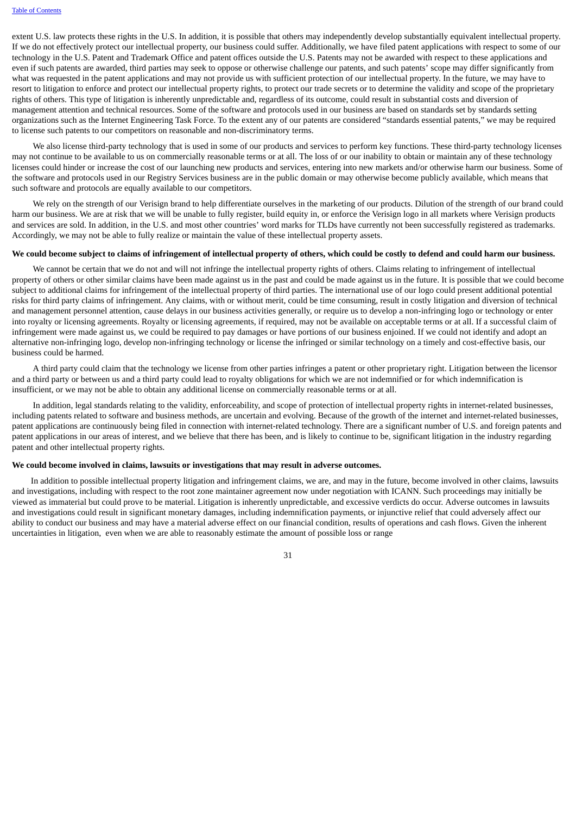extent U.S. law protects these rights in the U.S. In addition, it is possible that others may independently develop substantially equivalent intellectual property. If we do not effectively protect our intellectual property, our business could suffer. Additionally, we have filed patent applications with respect to some of our technology in the U.S. Patent and Trademark Office and patent offices outside the U.S. Patents may not be awarded with respect to these applications and even if such patents are awarded, third parties may seek to oppose or otherwise challenge our patents, and such patents' scope may differ significantly from what was requested in the patent applications and may not provide us with sufficient protection of our intellectual property. In the future, we may have to resort to litigation to enforce and protect our intellectual property rights, to protect our trade secrets or to determine the validity and scope of the proprietary rights of others. This type of litigation is inherently unpredictable and, regardless of its outcome, could result in substantial costs and diversion of management attention and technical resources. Some of the software and protocols used in our business are based on standards set by standards setting organizations such as the Internet Engineering Task Force. To the extent any of our patents are considered "standards essential patents," we may be required to license such patents to our competitors on reasonable and non-discriminatory terms.

We also license third-party technology that is used in some of our products and services to perform key functions. These third-party technology licenses may not continue to be available to us on commercially reasonable terms or at all. The loss of or our inability to obtain or maintain any of these technology licenses could hinder or increase the cost of our launching new products and services, entering into new markets and/or otherwise harm our business. Some of the software and protocols used in our Registry Services business are in the public domain or may otherwise become publicly available, which means that such software and protocols are equally available to our competitors.

We rely on the strength of our Verisign brand to help differentiate ourselves in the marketing of our products. Dilution of the strength of our brand could harm our business. We are at risk that we will be unable to fully register, build equity in, or enforce the Verisign logo in all markets where Verisign products and services are sold. In addition, in the U.S. and most other countries' word marks for TLDs have currently not been successfully registered as trademarks. Accordingly, we may not be able to fully realize or maintain the value of these intellectual property assets.

#### We could become subject to claims of infringement of intellectual property of others, which could be costly to defend and could harm our business.

We cannot be certain that we do not and will not infringe the intellectual property rights of others. Claims relating to infringement of intellectual property of others or other similar claims have been made against us in the past and could be made against us in the future. It is possible that we could become subject to additional claims for infringement of the intellectual property of third parties. The international use of our logo could present additional potential risks for third party claims of infringement. Any claims, with or without merit, could be time consuming, result in costly litigation and diversion of technical and management personnel attention, cause delays in our business activities generally, or require us to develop a non-infringing logo or technology or enter into royalty or licensing agreements. Royalty or licensing agreements, if required, may not be available on acceptable terms or at all. If a successful claim of infringement were made against us, we could be required to pay damages or have portions of our business enjoined. If we could not identify and adopt an alternative non-infringing logo, develop non-infringing technology or license the infringed or similar technology on a timely and cost-effective basis, our business could be harmed.

A third party could claim that the technology we license from other parties infringes a patent or other proprietary right. Litigation between the licensor and a third party or between us and a third party could lead to royalty obligations for which we are not indemnified or for which indemnification is insufficient, or we may not be able to obtain any additional license on commercially reasonable terms or at all.

In addition, legal standards relating to the validity, enforceability, and scope of protection of intellectual property rights in internet-related businesses, including patents related to software and business methods, are uncertain and evolving. Because of the growth of the internet and internet-related businesses, patent applications are continuously being filed in connection with internet-related technology. There are a significant number of U.S. and foreign patents and patent applications in our areas of interest, and we believe that there has been, and is likely to continue to be, significant litigation in the industry regarding patent and other intellectual property rights.

#### **We could become involved in claims, lawsuits or investigations that may result in adverse outcomes.**

In addition to possible intellectual property litigation and infringement claims, we are, and may in the future, become involved in other claims, lawsuits and investigations, including with respect to the root zone maintainer agreement now under negotiation with ICANN. Such proceedings may initially be viewed as immaterial but could prove to be material. Litigation is inherently unpredictable, and excessive verdicts do occur. Adverse outcomes in lawsuits and investigations could result in significant monetary damages, including indemnification payments, or injunctive relief that could adversely affect our ability to conduct our business and may have a material adverse effect on our financial condition, results of operations and cash flows. Given the inherent uncertainties in litigation, even when we are able to reasonably estimate the amount of possible loss or range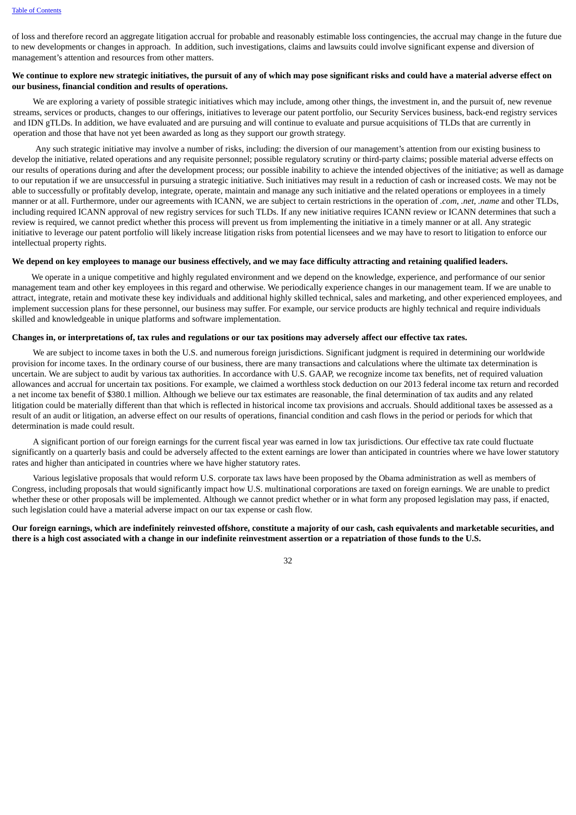of loss and therefore record an aggregate litigation accrual for probable and reasonably estimable loss contingencies, the accrual may change in the future due to new developments or changes in approach. In addition, such investigations, claims and lawsuits could involve significant expense and diversion of management's attention and resources from other matters.

#### We continue to explore new strategic initiatives, the pursuit of any of which may pose significant risks and could have a material adverse effect on **our business, financial condition and results of operations.**

We are exploring a variety of possible strategic initiatives which may include, among other things, the investment in, and the pursuit of, new revenue streams, services or products, changes to our offerings, initiatives to leverage our patent portfolio, our Security Services business, back-end registry services and IDN gTLDs. In addition, we have evaluated and are pursuing and will continue to evaluate and pursue acquisitions of TLDs that are currently in operation and those that have not yet been awarded as long as they support our growth strategy.

Any such strategic initiative may involve a number of risks, including: the diversion of our management's attention from our existing business to develop the initiative, related operations and any requisite personnel; possible regulatory scrutiny or third-party claims; possible material adverse effects on our results of operations during and after the development process; our possible inability to achieve the intended objectives of the initiative; as well as damage to our reputation if we are unsuccessful in pursuing a strategic initiative. Such initiatives may result in a reduction of cash or increased costs. We may not be able to successfully or profitably develop, integrate, operate, maintain and manage any such initiative and the related operations or employees in a timely manner or at all. Furthermore, under our agreements with ICANN, we are subject to certain restrictions in the operation of *.com*, *.net, .name* and other TLDs, including required ICANN approval of new registry services for such TLDs. If any new initiative requires ICANN review or ICANN determines that such a review is required, we cannot predict whether this process will prevent us from implementing the initiative in a timely manner or at all. Any strategic initiative to leverage our patent portfolio will likely increase litigation risks from potential licensees and we may have to resort to litigation to enforce our intellectual property rights.

#### We depend on key employees to manage our business effectively, and we may face difficulty attracting and retaining qualified leaders.

We operate in a unique competitive and highly regulated environment and we depend on the knowledge, experience, and performance of our senior management team and other key employees in this regard and otherwise. We periodically experience changes in our management team. If we are unable to attract, integrate, retain and motivate these key individuals and additional highly skilled technical, sales and marketing, and other experienced employees, and implement succession plans for these personnel, our business may suffer. For example, our service products are highly technical and require individuals skilled and knowledgeable in unique platforms and software implementation.

### Changes in, or interpretations of, tax rules and regulations or our tax positions may adversely affect our effective tax rates.

We are subject to income taxes in both the U.S. and numerous foreign jurisdictions. Significant judgment is required in determining our worldwide provision for income taxes. In the ordinary course of our business, there are many transactions and calculations where the ultimate tax determination is uncertain. We are subject to audit by various tax authorities. In accordance with U.S. GAAP, we recognize income tax benefits, net of required valuation allowances and accrual for uncertain tax positions. For example, we claimed a worthless stock deduction on our 2013 federal income tax return and recorded a net income tax benefit of \$380.1 million. Although we believe our tax estimates are reasonable, the final determination of tax audits and any related litigation could be materially different than that which is reflected in historical income tax provisions and accruals. Should additional taxes be assessed as a result of an audit or litigation, an adverse effect on our results of operations, financial condition and cash flows in the period or periods for which that determination is made could result.

A significant portion of our foreign earnings for the current fiscal year was earned in low tax jurisdictions. Our effective tax rate could fluctuate significantly on a quarterly basis and could be adversely affected to the extent earnings are lower than anticipated in countries where we have lower statutory rates and higher than anticipated in countries where we have higher statutory rates.

Various legislative proposals that would reform U.S. corporate tax laws have been proposed by the Obama administration as well as members of Congress, including proposals that would significantly impact how U.S. multinational corporations are taxed on foreign earnings. We are unable to predict whether these or other proposals will be implemented. Although we cannot predict whether or in what form any proposed legislation may pass, if enacted, such legislation could have a material adverse impact on our tax expense or cash flow.

## Our foreign earnings, which are indefinitely reinvested offshore, constitute a majority of our cash, cash equivalents and marketable securities, and there is a high cost associated with a change in our indefinite reinvestment assertion or a repatriation of those funds to the U.S.

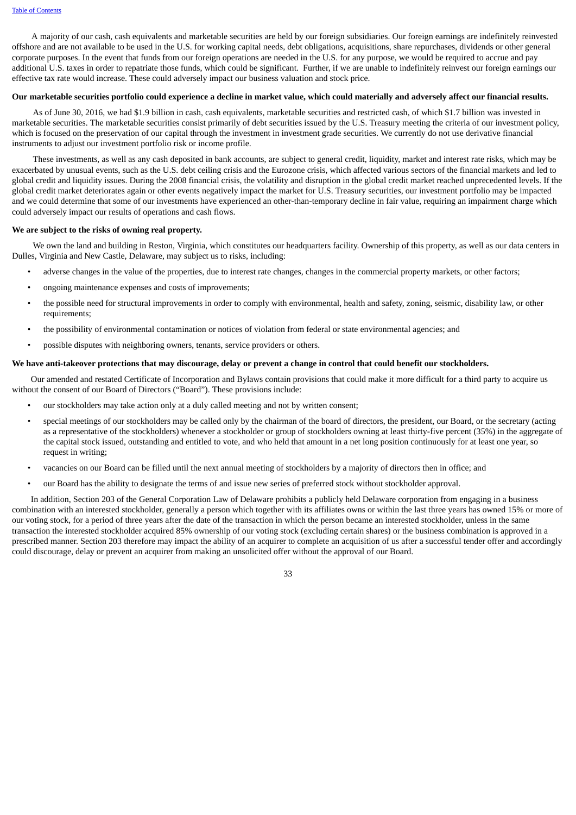A majority of our cash, cash equivalents and marketable securities are held by our foreign subsidiaries. Our foreign earnings are indefinitely reinvested offshore and are not available to be used in the U.S. for working capital needs, debt obligations, acquisitions, share repurchases, dividends or other general corporate purposes. In the event that funds from our foreign operations are needed in the U.S. for any purpose, we would be required to accrue and pay additional U.S. taxes in order to repatriate those funds, which could be significant. Further, if we are unable to indefinitely reinvest our foreign earnings our effective tax rate would increase. These could adversely impact our business valuation and stock price.

#### Our marketable securities portfolio could experience a decline in market value, which could materially and adversely affect our financial results.

As of June 30, 2016, we had \$1.9 billion in cash, cash equivalents, marketable securities and restricted cash, of which \$1.7 billion was invested in marketable securities. The marketable securities consist primarily of debt securities issued by the U.S. Treasury meeting the criteria of our investment policy, which is focused on the preservation of our capital through the investment in investment grade securities. We currently do not use derivative financial instruments to adjust our investment portfolio risk or income profile.

These investments, as well as any cash deposited in bank accounts, are subject to general credit, liquidity, market and interest rate risks, which may be exacerbated by unusual events, such as the U.S. debt ceiling crisis and the Eurozone crisis, which affected various sectors of the financial markets and led to global credit and liquidity issues. During the 2008 financial crisis, the volatility and disruption in the global credit market reached unprecedented levels. If the global credit market deteriorates again or other events negatively impact the market for U.S. Treasury securities, our investment portfolio may be impacted and we could determine that some of our investments have experienced an other-than-temporary decline in fair value, requiring an impairment charge which could adversely impact our results of operations and cash flows.

#### **We are subject to the risks of owning real property.**

We own the land and building in Reston, Virginia, which constitutes our headquarters facility. Ownership of this property, as well as our data centers in Dulles, Virginia and New Castle, Delaware, may subject us to risks, including:

- adverse changes in the value of the properties, due to interest rate changes, changes in the commercial property markets, or other factors;
- ongoing maintenance expenses and costs of improvements;
- the possible need for structural improvements in order to comply with environmental, health and safety, zoning, seismic, disability law, or other requirements;
- the possibility of environmental contamination or notices of violation from federal or state environmental agencies; and
- possible disputes with neighboring owners, tenants, service providers or others.

## We have anti-takeover protections that may discourage, delay or prevent a change in control that could benefit our stockholders.

Our amended and restated Certificate of Incorporation and Bylaws contain provisions that could make it more difficult for a third party to acquire us without the consent of our Board of Directors ("Board"). These provisions include:

- our stockholders may take action only at a duly called meeting and not by written consent;
- special meetings of our stockholders may be called only by the chairman of the board of directors, the president, our Board, or the secretary (acting as a representative of the stockholders) whenever a stockholder or group of stockholders owning at least thirty-five percent (35%) in the aggregate of the capital stock issued, outstanding and entitled to vote, and who held that amount in a net long position continuously for at least one year, so request in writing;
- vacancies on our Board can be filled until the next annual meeting of stockholders by a majority of directors then in office; and
- our Board has the ability to designate the terms of and issue new series of preferred stock without stockholder approval.

In addition, Section 203 of the General Corporation Law of Delaware prohibits a publicly held Delaware corporation from engaging in a business combination with an interested stockholder, generally a person which together with its affiliates owns or within the last three years has owned 15% or more of our voting stock, for a period of three years after the date of the transaction in which the person became an interested stockholder, unless in the same transaction the interested stockholder acquired 85% ownership of our voting stock (excluding certain shares) or the business combination is approved in a prescribed manner. Section 203 therefore may impact the ability of an acquirer to complete an acquisition of us after a successful tender offer and accordingly could discourage, delay or prevent an acquirer from making an unsolicited offer without the approval of our Board.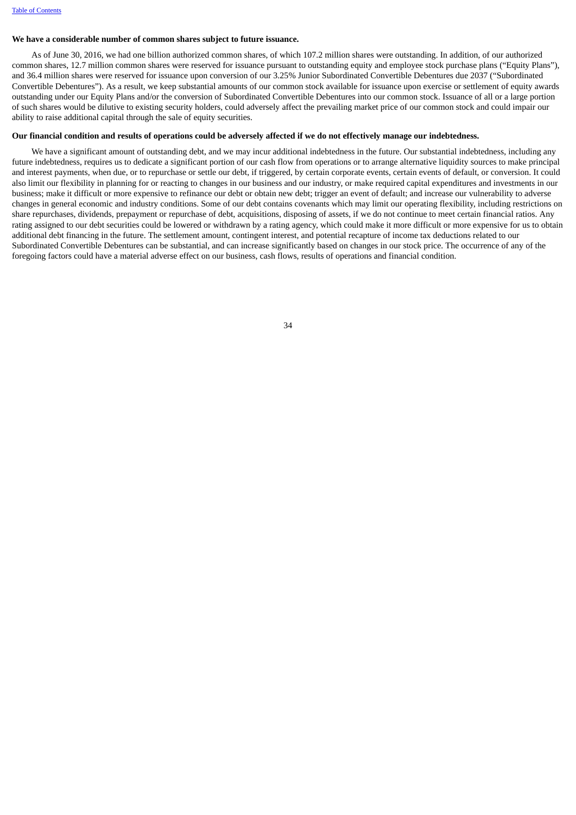#### **We have a considerable number of common shares subject to future issuance.**

As of June 30, 2016, we had one billion authorized common shares, of which 107.2 million shares were outstanding. In addition, of our authorized common shares, 12.7 million common shares were reserved for issuance pursuant to outstanding equity and employee stock purchase plans ("Equity Plans"), and 36.4 million shares were reserved for issuance upon conversion of our 3.25% Junior Subordinated Convertible Debentures due 2037 ("Subordinated Convertible Debentures"). As a result, we keep substantial amounts of our common stock available for issuance upon exercise or settlement of equity awards outstanding under our Equity Plans and/or the conversion of Subordinated Convertible Debentures into our common stock. Issuance of all or a large portion of such shares would be dilutive to existing security holders, could adversely affect the prevailing market price of our common stock and could impair our ability to raise additional capital through the sale of equity securities.

#### Our financial condition and results of operations could be adversely affected if we do not effectively manage our indebtedness.

We have a significant amount of outstanding debt, and we may incur additional indebtedness in the future. Our substantial indebtedness, including any future indebtedness, requires us to dedicate a significant portion of our cash flow from operations or to arrange alternative liquidity sources to make principal and interest payments, when due, or to repurchase or settle our debt, if triggered, by certain corporate events, certain events of default, or conversion. It could also limit our flexibility in planning for or reacting to changes in our business and our industry, or make required capital expenditures and investments in our business; make it difficult or more expensive to refinance our debt or obtain new debt; trigger an event of default; and increase our vulnerability to adverse changes in general economic and industry conditions. Some of our debt contains covenants which may limit our operating flexibility, including restrictions on share repurchases, dividends, prepayment or repurchase of debt, acquisitions, disposing of assets, if we do not continue to meet certain financial ratios. Any rating assigned to our debt securities could be lowered or withdrawn by a rating agency, which could make it more difficult or more expensive for us to obtain additional debt financing in the future. The settlement amount, contingent interest, and potential recapture of income tax deductions related to our Subordinated Convertible Debentures can be substantial, and can increase significantly based on changes in our stock price. The occurrence of any of the foregoing factors could have a material adverse effect on our business, cash flows, results of operations and financial condition.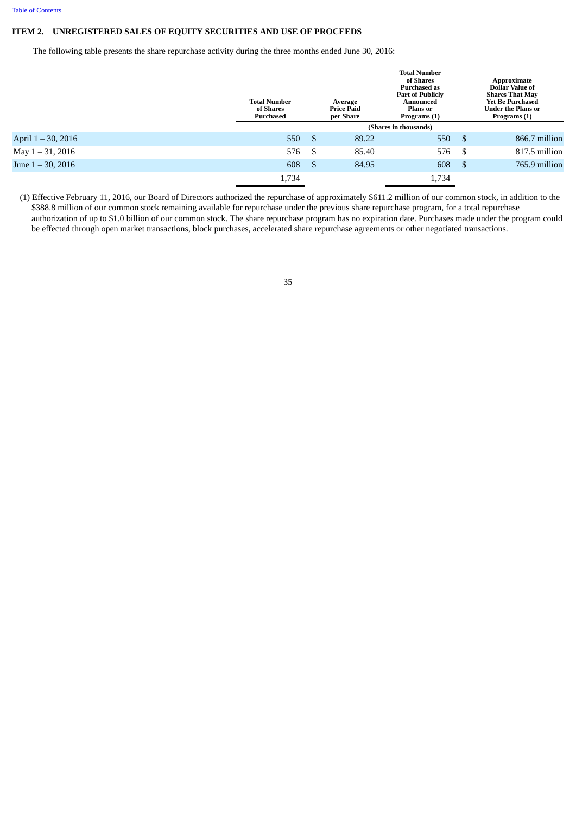## <span id="page-34-0"></span>**ITEM 2. UNREGISTERED SALES OF EQUITY SECURITIES AND USE OF PROCEEDS**

The following table presents the share repurchase activity during the three months ended June 30, 2016:

|                       | <b>Total Number</b><br>of Shares<br>Purchased |     | <b>Total Number</b><br>of Shares<br>Purchased as<br>Part of Publicly<br>Announced<br>Average<br><b>Price Paid</b><br>Plans or<br>per Share<br>Programs (1) |                       |      | Approximate<br><b>Dollar Value of</b><br><b>Shares That May</b><br><b>Yet Be Purchased</b><br><b>Under the Plans or</b><br>Programs (1) |
|-----------------------|-----------------------------------------------|-----|------------------------------------------------------------------------------------------------------------------------------------------------------------|-----------------------|------|-----------------------------------------------------------------------------------------------------------------------------------------|
|                       |                                               |     |                                                                                                                                                            | (Shares in thousands) |      |                                                                                                                                         |
| April $1 - 30$ , 2016 | 550                                           | -\$ | 89.22                                                                                                                                                      | 550                   | - \$ | 866.7 million                                                                                                                           |
| May $1 - 31$ , 2016   | 576                                           | -S  | 85.40                                                                                                                                                      | 576                   | - \$ | 817.5 million                                                                                                                           |
| June $1 - 30$ , 2016  | 608                                           | -\$ | 84.95                                                                                                                                                      | 608                   | \$   | 765.9 million                                                                                                                           |
|                       | 1,734                                         |     |                                                                                                                                                            | 1,734                 |      |                                                                                                                                         |

(1) Effective February 11, 2016, our Board of Directors authorized the repurchase of approximately \$611.2 million of our common stock, in addition to the \$388.8 million of our common stock remaining available for repurchase under the previous share repurchase program, for a total repurchase authorization of up to \$1.0 billion of our common stock. The share repurchase program has no expiration date. Purchases made under the program could be effected through open market transactions, block purchases, accelerated share repurchase agreements or other negotiated transactions.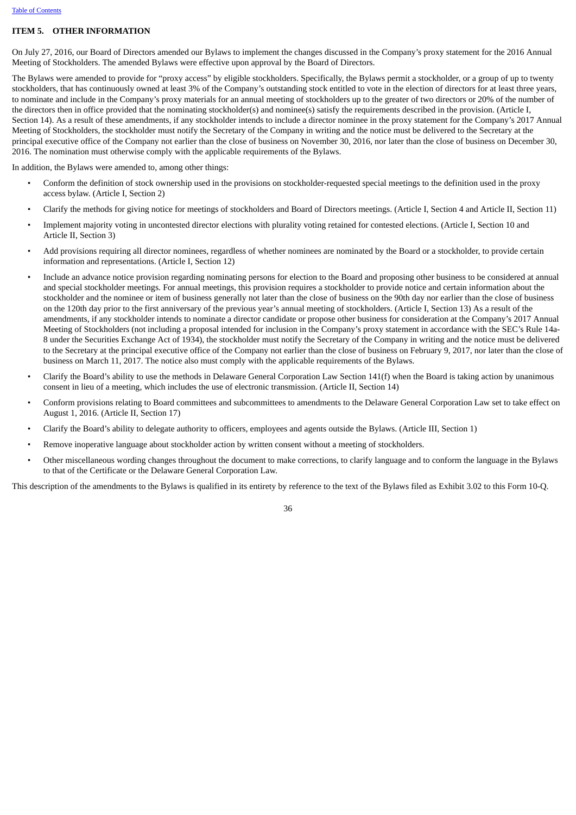## <span id="page-35-0"></span>**ITEM 5. OTHER INFORMATION**

On July 27, 2016, our Board of Directors amended our Bylaws to implement the changes discussed in the Company's proxy statement for the 2016 Annual Meeting of Stockholders. The amended Bylaws were effective upon approval by the Board of Directors.

The Bylaws were amended to provide for "proxy access" by eligible stockholders. Specifically, the Bylaws permit a stockholder, or a group of up to twenty stockholders, that has continuously owned at least 3% of the Company's outstanding stock entitled to vote in the election of directors for at least three years, to nominate and include in the Company's proxy materials for an annual meeting of stockholders up to the greater of two directors or 20% of the number of the directors then in office provided that the nominating stockholder(s) and nominee(s) satisfy the requirements described in the provision. (Article I, Section 14). As a result of these amendments, if any stockholder intends to include a director nominee in the proxy statement for the Company's 2017 Annual Meeting of Stockholders, the stockholder must notify the Secretary of the Company in writing and the notice must be delivered to the Secretary at the principal executive office of the Company not earlier than the close of business on November 30, 2016, nor later than the close of business on December 30, 2016. The nomination must otherwise comply with the applicable requirements of the Bylaws.

In addition, the Bylaws were amended to, among other things:

- Conform the definition of stock ownership used in the provisions on stockholder-requested special meetings to the definition used in the proxy access bylaw. (Article I, Section 2)
- Clarify the methods for giving notice for meetings of stockholders and Board of Directors meetings. (Article I, Section 4 and Article II, Section 11)
- Implement majority voting in uncontested director elections with plurality voting retained for contested elections. (Article I, Section 10 and Article II, Section 3)
- Add provisions requiring all director nominees, regardless of whether nominees are nominated by the Board or a stockholder, to provide certain information and representations. (Article I, Section 12)
- Include an advance notice provision regarding nominating persons for election to the Board and proposing other business to be considered at annual and special stockholder meetings. For annual meetings, this provision requires a stockholder to provide notice and certain information about the stockholder and the nominee or item of business generally not later than the close of business on the 90th day nor earlier than the close of business on the 120th day prior to the first anniversary of the previous year's annual meeting of stockholders. (Article I, Section 13) As a result of the amendments, if any stockholder intends to nominate a director candidate or propose other business for consideration at the Company's 2017 Annual Meeting of Stockholders (not including a proposal intended for inclusion in the Company's proxy statement in accordance with the SEC's Rule 14a-8 under the Securities Exchange Act of 1934), the stockholder must notify the Secretary of the Company in writing and the notice must be delivered to the Secretary at the principal executive office of the Company not earlier than the close of business on February 9, 2017, nor later than the close of business on March 11, 2017. The notice also must comply with the applicable requirements of the Bylaws.
- Clarify the Board's ability to use the methods in Delaware General Corporation Law Section 141(f) when the Board is taking action by unanimous consent in lieu of a meeting, which includes the use of electronic transmission. (Article II, Section 14)
- Conform provisions relating to Board committees and subcommittees to amendments to the Delaware General Corporation Law set to take effect on August 1, 2016. (Article II, Section 17)
- Clarify the Board's ability to delegate authority to officers, employees and agents outside the Bylaws. (Article III, Section 1)
- Remove inoperative language about stockholder action by written consent without a meeting of stockholders.
- Other miscellaneous wording changes throughout the document to make corrections, to clarify language and to conform the language in the Bylaws to that of the Certificate or the Delaware General Corporation Law.

This description of the amendments to the Bylaws is qualified in its entirety by reference to the text of the Bylaws filed as Exhibit 3.02 to this Form 10-Q.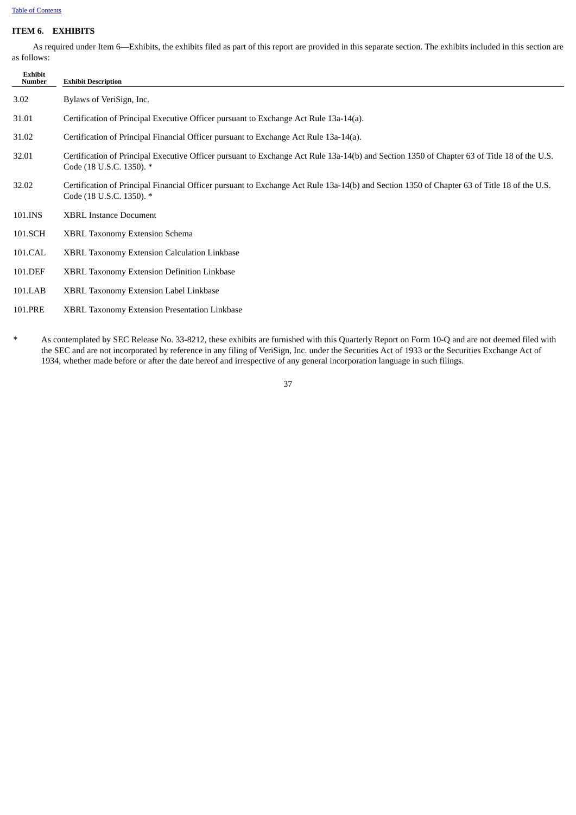## <span id="page-36-0"></span>**ITEM 6. EXHIBITS**

As required under Item 6—Exhibits, the exhibits filed as part of this report are provided in this separate section. The exhibits included in this section are as follows:

| <b>Exhibit</b><br><b>Number</b> | <b>Exhibit Description</b>                                                                                                                                              |
|---------------------------------|-------------------------------------------------------------------------------------------------------------------------------------------------------------------------|
| 3.02                            | Bylaws of VeriSign, Inc.                                                                                                                                                |
| 31.01                           | Certification of Principal Executive Officer pursuant to Exchange Act Rule 13a-14(a).                                                                                   |
| 31.02                           | Certification of Principal Financial Officer pursuant to Exchange Act Rule 13a-14(a).                                                                                   |
| 32.01                           | Certification of Principal Executive Officer pursuant to Exchange Act Rule 13a-14(b) and Section 1350 of Chapter 63 of Title 18 of the U.S.<br>Code (18 U.S.C. 1350). * |
| 32.02                           | Certification of Principal Financial Officer pursuant to Exchange Act Rule 13a-14(b) and Section 1350 of Chapter 63 of Title 18 of the U.S.<br>Code (18 U.S.C. 1350). * |
| 101.INS                         | <b>XBRL Instance Document</b>                                                                                                                                           |
| 101.SCH                         | <b>XBRL Taxonomy Extension Schema</b>                                                                                                                                   |
| 101.CAL                         | XBRL Taxonomy Extension Calculation Linkbase                                                                                                                            |
| 101.DEF                         | XBRL Taxonomy Extension Definition Linkbase                                                                                                                             |
| 101.LAB                         | XBRL Taxonomy Extension Label Linkbase                                                                                                                                  |
| 101.PRE                         | XBRL Taxonomy Extension Presentation Linkbase                                                                                                                           |
|                                 |                                                                                                                                                                         |

\* As contemplated by SEC Release No. 33-8212, these exhibits are furnished with this Quarterly Report on Form 10-Q and are not deemed filed with the SEC and are not incorporated by reference in any filing of VeriSign, Inc. under the Securities Act of 1933 or the Securities Exchange Act of 1934, whether made before or after the date hereof and irrespective of any general incorporation language in such filings.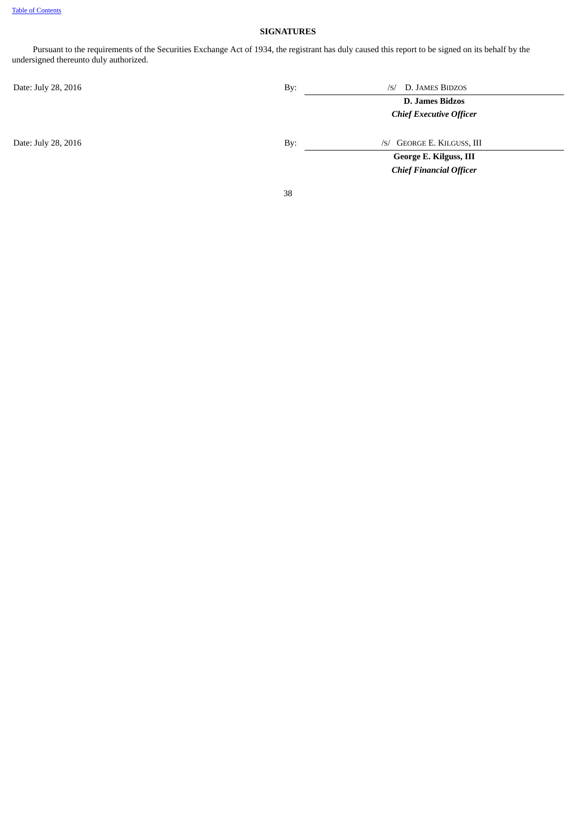## **SIGNATURES**

<span id="page-37-0"></span>Pursuant to the requirements of the Securities Exchange Act of 1934, the registrant has duly caused this report to be signed on its behalf by the undersigned thereunto duly authorized.

Date: July 28, 2016 **By:** *By: /S/ D. JAMES BIDZOS* **D. James Bidzos** *Chief Executive Officer* Date: July 28, 2016 By: /S/ GEORGE E. KILGUSS, III **George E. Kilguss, III** *Chief Financial Officer*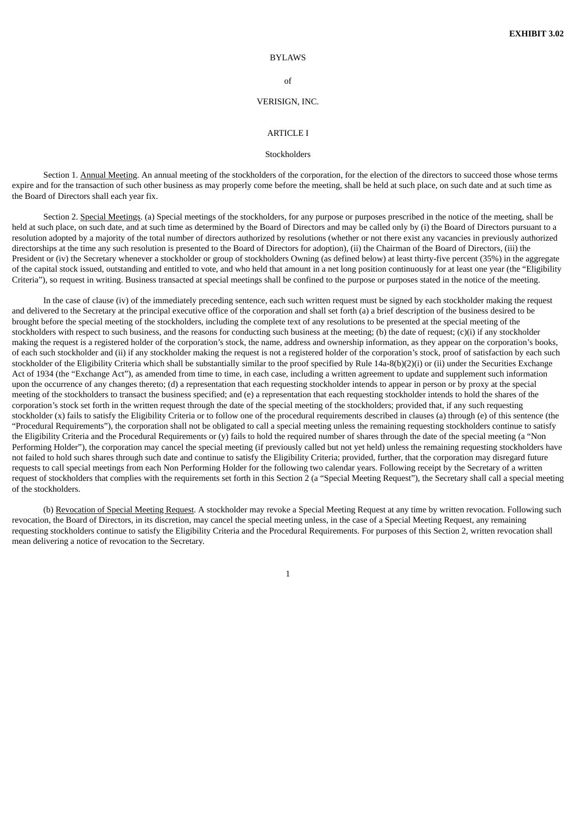#### BYLAWS

of

## VERISIGN, INC.

## ARTICLE I

#### Stockholders

Section 1. Annual Meeting. An annual meeting of the stockholders of the corporation, for the election of the directors to succeed those whose terms expire and for the transaction of such other business as may properly come before the meeting, shall be held at such place, on such date and at such time as the Board of Directors shall each year fix.

Section 2. Special Meetings. (a) Special meetings of the stockholders, for any purpose or purposes prescribed in the notice of the meeting, shall be held at such place, on such date, and at such time as determined by the Board of Directors and may be called only by (i) the Board of Directors pursuant to a resolution adopted by a majority of the total number of directors authorized by resolutions (whether or not there exist any vacancies in previously authorized directorships at the time any such resolution is presented to the Board of Directors for adoption), (ii) the Chairman of the Board of Directors, (iii) the President or (iv) the Secretary whenever a stockholder or group of stockholders Owning (as defined below) at least thirty-five percent (35%) in the aggregate of the capital stock issued, outstanding and entitled to vote, and who held that amount in a net long position continuously for at least one year (the "Eligibility Criteria"), so request in writing. Business transacted at special meetings shall be confined to the purpose or purposes stated in the notice of the meeting.

In the case of clause (iv) of the immediately preceding sentence, each such written request must be signed by each stockholder making the request and delivered to the Secretary at the principal executive office of the corporation and shall set forth (a) a brief description of the business desired to be brought before the special meeting of the stockholders, including the complete text of any resolutions to be presented at the special meeting of the stockholders with respect to such business, and the reasons for conducting such business at the meeting; (b) the date of request; (c)(i) if any stockholder making the request is a registered holder of the corporation's stock, the name, address and ownership information, as they appear on the corporation's books, of each such stockholder and (ii) if any stockholder making the request is not a registered holder of the corporation's stock, proof of satisfaction by each such stockholder of the Eligibility Criteria which shall be substantially similar to the proof specified by Rule 14a-8(b)(2)(i) or (ii) under the Securities Exchange Act of 1934 (the "Exchange Act"), as amended from time to time, in each case, including a written agreement to update and supplement such information upon the occurrence of any changes thereto; (d) a representation that each requesting stockholder intends to appear in person or by proxy at the special meeting of the stockholders to transact the business specified; and (e) a representation that each requesting stockholder intends to hold the shares of the corporation's stock set forth in the written request through the date of the special meeting of the stockholders; provided that, if any such requesting stockholder (x) fails to satisfy the Eligibility Criteria or to follow one of the procedural requirements described in clauses (a) through (e) of this sentence (the "Procedural Requirements"), the corporation shall not be obligated to call a special meeting unless the remaining requesting stockholders continue to satisfy the Eligibility Criteria and the Procedural Requirements or (y) fails to hold the required number of shares through the date of the special meeting (a "Non Performing Holder"), the corporation may cancel the special meeting (if previously called but not yet held) unless the remaining requesting stockholders have not failed to hold such shares through such date and continue to satisfy the Eligibility Criteria; provided, further, that the corporation may disregard future requests to call special meetings from each Non Performing Holder for the following two calendar years. Following receipt by the Secretary of a written request of stockholders that complies with the requirements set forth in this Section 2 (a "Special Meeting Request"), the Secretary shall call a special meeting of the stockholders.

(b) Revocation of Special Meeting Request. A stockholder may revoke a Special Meeting Request at any time by written revocation. Following such revocation, the Board of Directors, in its discretion, may cancel the special meeting unless, in the case of a Special Meeting Request, any remaining requesting stockholders continue to satisfy the Eligibility Criteria and the Procedural Requirements. For purposes of this Section 2, written revocation shall mean delivering a notice of revocation to the Secretary.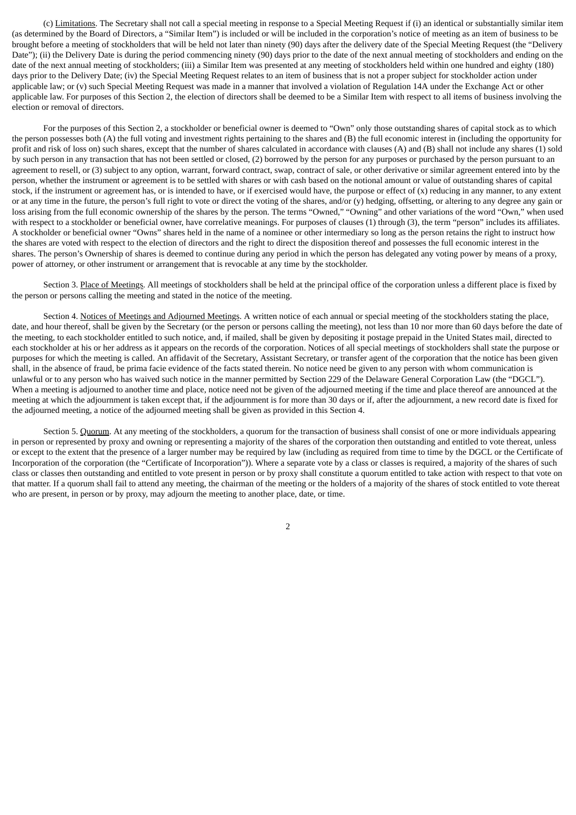(c) Limitations. The Secretary shall not call a special meeting in response to a Special Meeting Request if (i) an identical or substantially similar item (as determined by the Board of Directors, a "Similar Item") is included or will be included in the corporation's notice of meeting as an item of business to be brought before a meeting of stockholders that will be held not later than ninety (90) days after the delivery date of the Special Meeting Request (the "Delivery Date"); (ii) the Delivery Date is during the period commencing ninety (90) days prior to the date of the next annual meeting of stockholders and ending on the date of the next annual meeting of stockholders; (iii) a Similar Item was presented at any meeting of stockholders held within one hundred and eighty (180) days prior to the Delivery Date; (iv) the Special Meeting Request relates to an item of business that is not a proper subject for stockholder action under applicable law; or (v) such Special Meeting Request was made in a manner that involved a violation of Regulation 14A under the Exchange Act or other applicable law. For purposes of this Section 2, the election of directors shall be deemed to be a Similar Item with respect to all items of business involving the election or removal of directors.

For the purposes of this Section 2, a stockholder or beneficial owner is deemed to "Own" only those outstanding shares of capital stock as to which the person possesses both (A) the full voting and investment rights pertaining to the shares and (B) the full economic interest in (including the opportunity for profit and risk of loss on) such shares, except that the number of shares calculated in accordance with clauses (A) and (B) shall not include any shares (1) sold by such person in any transaction that has not been settled or closed, (2) borrowed by the person for any purposes or purchased by the person pursuant to an agreement to resell, or (3) subject to any option, warrant, forward contract, swap, contract of sale, or other derivative or similar agreement entered into by the person, whether the instrument or agreement is to be settled with shares or with cash based on the notional amount or value of outstanding shares of capital stock, if the instrument or agreement has, or is intended to have, or if exercised would have, the purpose or effect of (x) reducing in any manner, to any extent or at any time in the future, the person's full right to vote or direct the voting of the shares, and/or (y) hedging, offsetting, or altering to any degree any gain or loss arising from the full economic ownership of the shares by the person. The terms "Owned," "Owning" and other variations of the word "Own," when used with respect to a stockholder or beneficial owner, have correlative meanings. For purposes of clauses (1) through (3), the term "person" includes its affiliates. A stockholder or beneficial owner "Owns" shares held in the name of a nominee or other intermediary so long as the person retains the right to instruct how the shares are voted with respect to the election of directors and the right to direct the disposition thereof and possesses the full economic interest in the shares. The person's Ownership of shares is deemed to continue during any period in which the person has delegated any voting power by means of a proxy, power of attorney, or other instrument or arrangement that is revocable at any time by the stockholder.

Section 3. Place of Meetings. All meetings of stockholders shall be held at the principal office of the corporation unless a different place is fixed by the person or persons calling the meeting and stated in the notice of the meeting.

Section 4. Notices of Meetings and Adjourned Meetings. A written notice of each annual or special meeting of the stockholders stating the place, date, and hour thereof, shall be given by the Secretary (or the person or persons calling the meeting), not less than 10 nor more than 60 days before the date of the meeting, to each stockholder entitled to such notice, and, if mailed, shall be given by depositing it postage prepaid in the United States mail, directed to each stockholder at his or her address as it appears on the records of the corporation. Notices of all special meetings of stockholders shall state the purpose or purposes for which the meeting is called. An affidavit of the Secretary, Assistant Secretary, or transfer agent of the corporation that the notice has been given shall, in the absence of fraud, be prima facie evidence of the facts stated therein. No notice need be given to any person with whom communication is unlawful or to any person who has waived such notice in the manner permitted by Section 229 of the Delaware General Corporation Law (the "DGCL"). When a meeting is adjourned to another time and place, notice need not be given of the adjourned meeting if the time and place thereof are announced at the meeting at which the adjournment is taken except that, if the adjournment is for more than 30 days or if, after the adjournment, a new record date is fixed for the adjourned meeting, a notice of the adjourned meeting shall be given as provided in this Section 4.

Section 5. Quorum. At any meeting of the stockholders, a quorum for the transaction of business shall consist of one or more individuals appearing in person or represented by proxy and owning or representing a majority of the shares of the corporation then outstanding and entitled to vote thereat, unless or except to the extent that the presence of a larger number may be required by law (including as required from time to time by the DGCL or the Certificate of Incorporation of the corporation (the "Certificate of Incorporation")). Where a separate vote by a class or classes is required, a majority of the shares of such class or classes then outstanding and entitled to vote present in person or by proxy shall constitute a quorum entitled to take action with respect to that vote on that matter. If a quorum shall fail to attend any meeting, the chairman of the meeting or the holders of a majority of the shares of stock entitled to vote thereat who are present, in person or by proxy, may adjourn the meeting to another place, date, or time.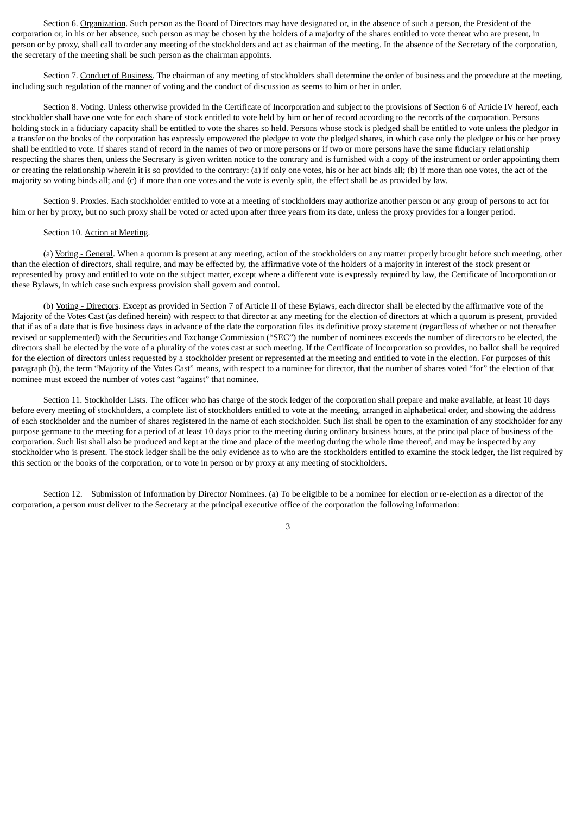Section 6. Organization. Such person as the Board of Directors may have designated or, in the absence of such a person, the President of the corporation or, in his or her absence, such person as may be chosen by the holders of a majority of the shares entitled to vote thereat who are present, in person or by proxy, shall call to order any meeting of the stockholders and act as chairman of the meeting. In the absence of the Secretary of the corporation, the secretary of the meeting shall be such person as the chairman appoints.

Section 7. Conduct of Business. The chairman of any meeting of stockholders shall determine the order of business and the procedure at the meeting, including such regulation of the manner of voting and the conduct of discussion as seems to him or her in order.

Section 8. Voting. Unless otherwise provided in the Certificate of Incorporation and subject to the provisions of Section 6 of Article IV hereof, each stockholder shall have one vote for each share of stock entitled to vote held by him or her of record according to the records of the corporation. Persons holding stock in a fiduciary capacity shall be entitled to vote the shares so held. Persons whose stock is pledged shall be entitled to vote unless the pledgor in a transfer on the books of the corporation has expressly empowered the pledgee to vote the pledged shares, in which case only the pledgee or his or her proxy shall be entitled to vote. If shares stand of record in the names of two or more persons or if two or more persons have the same fiduciary relationship respecting the shares then, unless the Secretary is given written notice to the contrary and is furnished with a copy of the instrument or order appointing them or creating the relationship wherein it is so provided to the contrary: (a) if only one votes, his or her act binds all; (b) if more than one votes, the act of the majority so voting binds all; and (c) if more than one votes and the vote is evenly split, the effect shall be as provided by law.

Section 9. Proxies. Each stockholder entitled to vote at a meeting of stockholders may authorize another person or any group of persons to act for him or her by proxy, but no such proxy shall be voted or acted upon after three years from its date, unless the proxy provides for a longer period.

#### Section 10. Action at Meeting.

(a) Voting - General. When a quorum is present at any meeting, action of the stockholders on any matter properly brought before such meeting, other than the election of directors, shall require, and may be effected by, the affirmative vote of the holders of a majority in interest of the stock present or represented by proxy and entitled to vote on the subject matter, except where a different vote is expressly required by law, the Certificate of Incorporation or these Bylaws, in which case such express provision shall govern and control.

(b) Voting - Directors. Except as provided in Section 7 of Article II of these Bylaws, each director shall be elected by the affirmative vote of the Majority of the Votes Cast (as defined herein) with respect to that director at any meeting for the election of directors at which a quorum is present, provided that if as of a date that is five business days in advance of the date the corporation files its definitive proxy statement (regardless of whether or not thereafter revised or supplemented) with the Securities and Exchange Commission ("SEC") the number of nominees exceeds the number of directors to be elected, the directors shall be elected by the vote of a plurality of the votes cast at such meeting. If the Certificate of Incorporation so provides, no ballot shall be required for the election of directors unless requested by a stockholder present or represented at the meeting and entitled to vote in the election. For purposes of this paragraph (b), the term "Majority of the Votes Cast" means, with respect to a nominee for director, that the number of shares voted "for" the election of that nominee must exceed the number of votes cast "against" that nominee.

Section 11. Stockholder Lists. The officer who has charge of the stock ledger of the corporation shall prepare and make available, at least 10 days before every meeting of stockholders, a complete list of stockholders entitled to vote at the meeting, arranged in alphabetical order, and showing the address of each stockholder and the number of shares registered in the name of each stockholder. Such list shall be open to the examination of any stockholder for any purpose germane to the meeting for a period of at least 10 days prior to the meeting during ordinary business hours, at the principal place of business of the corporation. Such list shall also be produced and kept at the time and place of the meeting during the whole time thereof, and may be inspected by any stockholder who is present. The stock ledger shall be the only evidence as to who are the stockholders entitled to examine the stock ledger, the list required by this section or the books of the corporation, or to vote in person or by proxy at any meeting of stockholders.

Section 12. Submission of Information by Director Nominees. (a) To be eligible to be a nominee for election or re-election as a director of the corporation, a person must deliver to the Secretary at the principal executive office of the corporation the following information: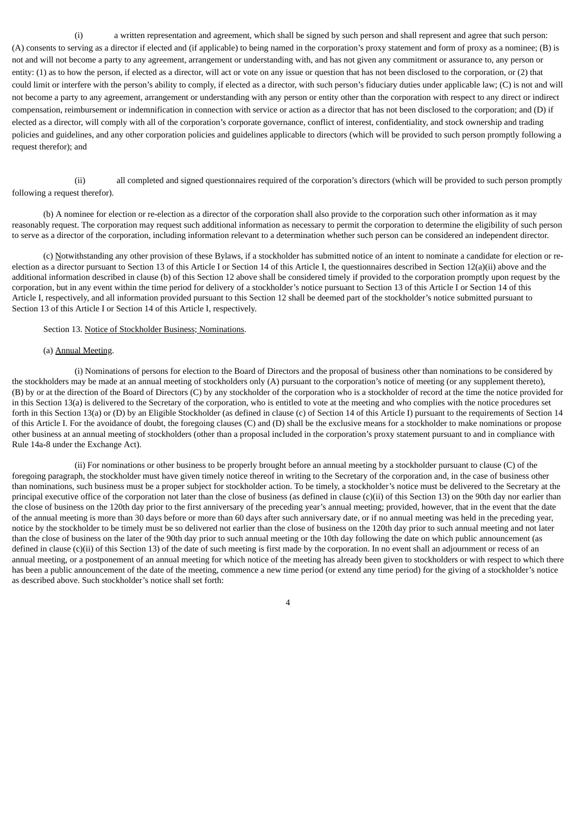(i) a written representation and agreement, which shall be signed by such person and shall represent and agree that such person: (A) consents to serving as a director if elected and (if applicable) to being named in the corporation's proxy statement and form of proxy as a nominee; (B) is not and will not become a party to any agreement, arrangement or understanding with, and has not given any commitment or assurance to, any person or entity: (1) as to how the person, if elected as a director, will act or vote on any issue or question that has not been disclosed to the corporation, or (2) that could limit or interfere with the person's ability to comply, if elected as a director, with such person's fiduciary duties under applicable law; (C) is not and will not become a party to any agreement, arrangement or understanding with any person or entity other than the corporation with respect to any direct or indirect compensation, reimbursement or indemnification in connection with service or action as a director that has not been disclosed to the corporation; and (D) if elected as a director, will comply with all of the corporation's corporate governance, conflict of interest, confidentiality, and stock ownership and trading policies and guidelines, and any other corporation policies and guidelines applicable to directors (which will be provided to such person promptly following a request therefor); and

(ii) all completed and signed questionnaires required of the corporation's directors (which will be provided to such person promptly following a request therefor).

(b) A nominee for election or re-election as a director of the corporation shall also provide to the corporation such other information as it may reasonably request. The corporation may request such additional information as necessary to permit the corporation to determine the eligibility of such person to serve as a director of the corporation, including information relevant to a determination whether such person can be considered an independent director.

(c) Notwithstanding any other provision of these Bylaws, if a stockholder has submitted notice of an intent to nominate a candidate for election or reelection as a director pursuant to Section 13 of this Article I or Section 14 of this Article I, the questionnaires described in Section 12(a)(ii) above and the additional information described in clause (b) of this Section 12 above shall be considered timely if provided to the corporation promptly upon request by the corporation, but in any event within the time period for delivery of a stockholder's notice pursuant to Section 13 of this Article I or Section 14 of this Article I, respectively, and all information provided pursuant to this Section 12 shall be deemed part of the stockholder's notice submitted pursuant to Section 13 of this Article I or Section 14 of this Article I, respectively.

#### Section 13. Notice of Stockholder Business; Nominations.

#### (a) Annual Meeting.

(i) Nominations of persons for election to the Board of Directors and the proposal of business other than nominations to be considered by the stockholders may be made at an annual meeting of stockholders only (A) pursuant to the corporation's notice of meeting (or any supplement thereto), (B) by or at the direction of the Board of Directors (C) by any stockholder of the corporation who is a stockholder of record at the time the notice provided for in this Section 13(a) is delivered to the Secretary of the corporation, who is entitled to vote at the meeting and who complies with the notice procedures set forth in this Section 13(a) or (D) by an Eligible Stockholder (as defined in clause (c) of Section 14 of this Article I) pursuant to the requirements of Section 14 of this Article I. For the avoidance of doubt, the foregoing clauses (C) and (D) shall be the exclusive means for a stockholder to make nominations or propose other business at an annual meeting of stockholders (other than a proposal included in the corporation's proxy statement pursuant to and in compliance with Rule 14a‑8 under the Exchange Act).

(ii) For nominations or other business to be properly brought before an annual meeting by a stockholder pursuant to clause (C) of the foregoing paragraph, the stockholder must have given timely notice thereof in writing to the Secretary of the corporation and, in the case of business other than nominations, such business must be a proper subject for stockholder action. To be timely, a stockholder's notice must be delivered to the Secretary at the principal executive office of the corporation not later than the close of business (as defined in clause (c)(ii) of this Section 13) on the 90th day nor earlier than the close of business on the 120th day prior to the first anniversary of the preceding year's annual meeting; provided, however, that in the event that the date of the annual meeting is more than 30 days before or more than 60 days after such anniversary date, or if no annual meeting was held in the preceding year, notice by the stockholder to be timely must be so delivered not earlier than the close of business on the 120th day prior to such annual meeting and not later than the close of business on the later of the 90th day prior to such annual meeting or the 10th day following the date on which public announcement (as defined in clause (c)(ii) of this Section 13) of the date of such meeting is first made by the corporation. In no event shall an adjournment or recess of an annual meeting, or a postponement of an annual meeting for which notice of the meeting has already been given to stockholders or with respect to which there has been a public announcement of the date of the meeting, commence a new time period (or extend any time period) for the giving of a stockholder's notice as described above. Such stockholder's notice shall set forth: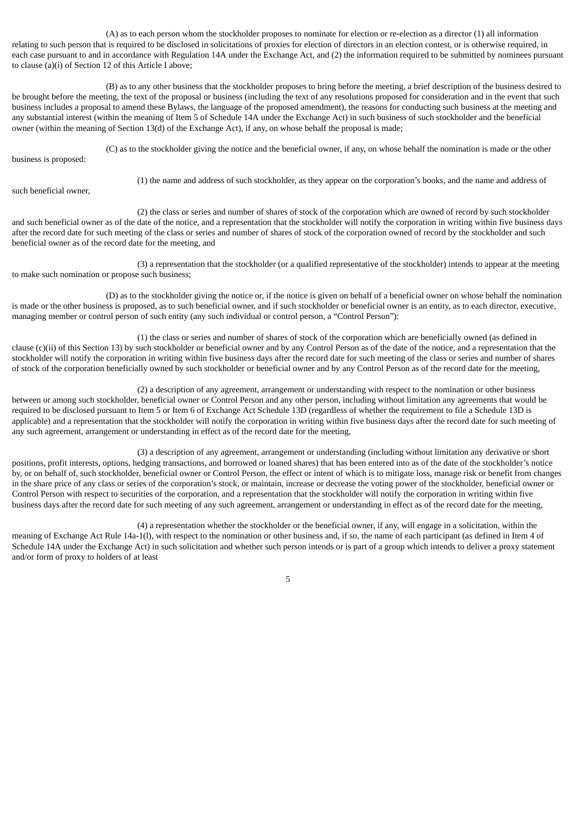(A) as to each person whom the stockholder proposes to nominate for election or re-election as a director (1) all information relating to such person that is required to be disclosed in solicitations of proxies for election of directors in an election contest, or is otherwise required, in each case pursuant to and in accordance with Regulation 14A under the Exchange Act, and (2) the information required to be submitted by nominees pursuant to clause (a)(i) of Section 12 of this Article I above;

(B) as to any other business that the stockholder proposes to bring before the meeting, a brief description of the business desired to be brought before the meeting, the text of the proposal or business (including the text of any resolutions proposed for consideration and in the event that such business includes a proposal to amend these Bylaws, the language of the proposed amendment), the reasons for conducting such business at the meeting and any substantial interest (within the meaning of Item 5 of Schedule 14A under the Exchange Act) in such business of such stockholder and the beneficial owner (within the meaning of Section 13(d) of the Exchange Act), if any, on whose behalf the proposal is made;

(C) as to the stockholder giving the notice and the beneficial owner, if any, on whose behalf the nomination is made or the other

business is proposed:

such beneficial owner,

(1) the name and address of such stockholder, as they appear on the corporation's books, and the name and address of

(2) the class or series and number of shares of stock of the corporation which are owned of record by such stockholder and such beneficial owner as of the date of the notice, and a representation that the stockholder will notify the corporation in writing within five business days after the record date for such meeting of the class or series and number of shares of stock of the corporation owned of record by the stockholder and such beneficial owner as of the record date for the meeting, and

(3) a representation that the stockholder (or a qualified representative of the stockholder) intends to appear at the meeting to make such nomination or propose such business;

(D) as to the stockholder giving the notice or, if the notice is given on behalf of a beneficial owner on whose behalf the nomination is made or the other business is proposed, as to such beneficial owner, and if such stockholder or beneficial owner is an entity, as to each director, executive, managing member or control person of such entity (any such individual or control person, a "Control Person"):

(1) the class or series and number of shares of stock of the corporation which are beneficially owned (as defined in clause (c)(ii) of this Section 13) by such stockholder or beneficial owner and by any Control Person as of the date of the notice, and a representation that the stockholder will notify the corporation in writing within five business days after the record date for such meeting of the class or series and number of shares of stock of the corporation beneficially owned by such stockholder or beneficial owner and by any Control Person as of the record date for the meeting,

(2) a description of any agreement, arrangement or understanding with respect to the nomination or other business between or among such stockholder, beneficial owner or Control Person and any other person, including without limitation any agreements that would be required to be disclosed pursuant to Item 5 or Item 6 of Exchange Act Schedule 13D (regardless of whether the requirement to file a Schedule 13D is applicable) and a representation that the stockholder will notify the corporation in writing within five business days after the record date for such meeting of any such agreement, arrangement or understanding in effect as of the record date for the meeting,

(3) a description of any agreement, arrangement or understanding (including without limitation any derivative or short positions, profit interests, options, hedging transactions, and borrowed or loaned shares) that has been entered into as of the date of the stockholder's notice by, or on behalf of, such stockholder, beneficial owner or Control Person, the effect or intent of which is to mitigate loss, manage risk or benefit from changes in the share price of any class or series of the corporation's stock, or maintain, increase or decrease the voting power of the stockholder, beneficial owner or Control Person with respect to securities of the corporation, and a representation that the stockholder will notify the corporation in writing within five business days after the record date for such meeting of any such agreement, arrangement or understanding in effect as of the record date for the meeting,

(4) a representation whether the stockholder or the beneficial owner, if any, will engage in a solicitation, within the meaning of Exchange Act Rule 14a-1(l), with respect to the nomination or other business and, if so, the name of each participant (as defined in Item 4 of Schedule 14A under the Exchange Act) in such solicitation and whether such person intends or is part of a group which intends to deliver a proxy statement and/or form of proxy to holders of at least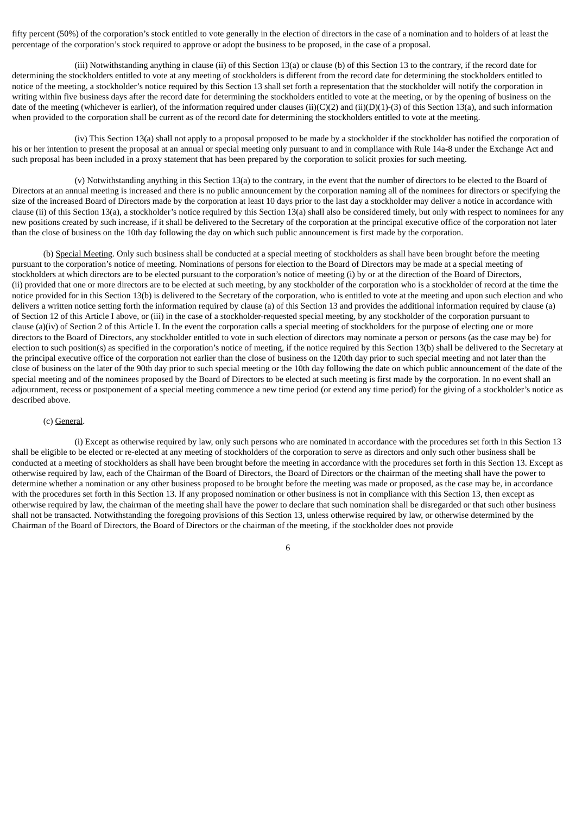fifty percent (50%) of the corporation's stock entitled to vote generally in the election of directors in the case of a nomination and to holders of at least the percentage of the corporation's stock required to approve or adopt the business to be proposed, in the case of a proposal.

(iii) Notwithstanding anything in clause (ii) of this Section 13(a) or clause (b) of this Section 13 to the contrary, if the record date for determining the stockholders entitled to vote at any meeting of stockholders is different from the record date for determining the stockholders entitled to notice of the meeting, a stockholder's notice required by this Section 13 shall set forth a representation that the stockholder will notify the corporation in writing within five business days after the record date for determining the stockholders entitled to vote at the meeting, or by the opening of business on the date of the meeting (whichever is earlier), of the information required under clauses (ii)(C)(2) and (ii)(D)(1)-(3) of this Section 13(a), and such information when provided to the corporation shall be current as of the record date for determining the stockholders entitled to vote at the meeting.

(iv) This Section 13(a) shall not apply to a proposal proposed to be made by a stockholder if the stockholder has notified the corporation of his or her intention to present the proposal at an annual or special meeting only pursuant to and in compliance with Rule 14a-8 under the Exchange Act and such proposal has been included in a proxy statement that has been prepared by the corporation to solicit proxies for such meeting.

(v) Notwithstanding anything in this Section 13(a) to the contrary, in the event that the number of directors to be elected to the Board of Directors at an annual meeting is increased and there is no public announcement by the corporation naming all of the nominees for directors or specifying the size of the increased Board of Directors made by the corporation at least 10 days prior to the last day a stockholder may deliver a notice in accordance with clause (ii) of this Section 13(a), a stockholder's notice required by this Section 13(a) shall also be considered timely, but only with respect to nominees for any new positions created by such increase, if it shall be delivered to the Secretary of the corporation at the principal executive office of the corporation not later than the close of business on the 10th day following the day on which such public announcement is first made by the corporation.

(b) Special Meeting. Only such business shall be conducted at a special meeting of stockholders as shall have been brought before the meeting pursuant to the corporation's notice of meeting. Nominations of persons for election to the Board of Directors may be made at a special meeting of stockholders at which directors are to be elected pursuant to the corporation's notice of meeting (i) by or at the direction of the Board of Directors, (ii) provided that one or more directors are to be elected at such meeting, by any stockholder of the corporation who is a stockholder of record at the time the notice provided for in this Section 13(b) is delivered to the Secretary of the corporation, who is entitled to vote at the meeting and upon such election and who delivers a written notice setting forth the information required by clause (a) of this Section 13 and provides the additional information required by clause (a) of Section 12 of this Article I above, or (iii) in the case of a stockholder-requested special meeting, by any stockholder of the corporation pursuant to clause (a)(iv) of Section 2 of this Article I. In the event the corporation calls a special meeting of stockholders for the purpose of electing one or more directors to the Board of Directors, any stockholder entitled to vote in such election of directors may nominate a person or persons (as the case may be) for election to such position(s) as specified in the corporation's notice of meeting, if the notice required by this Section 13(b) shall be delivered to the Secretary at the principal executive office of the corporation not earlier than the close of business on the 120th day prior to such special meeting and not later than the close of business on the later of the 90th day prior to such special meeting or the 10th day following the date on which public announcement of the date of the special meeting and of the nominees proposed by the Board of Directors to be elected at such meeting is first made by the corporation. In no event shall an adjournment, recess or postponement of a special meeting commence a new time period (or extend any time period) for the giving of a stockholder's notice as described above.

#### (c) General.

(i) Except as otherwise required by law, only such persons who are nominated in accordance with the procedures set forth in this Section 13 shall be eligible to be elected or re-elected at any meeting of stockholders of the corporation to serve as directors and only such other business shall be conducted at a meeting of stockholders as shall have been brought before the meeting in accordance with the procedures set forth in this Section 13. Except as otherwise required by law, each of the Chairman of the Board of Directors, the Board of Directors or the chairman of the meeting shall have the power to determine whether a nomination or any other business proposed to be brought before the meeting was made or proposed, as the case may be, in accordance with the procedures set forth in this Section 13. If any proposed nomination or other business is not in compliance with this Section 13, then except as otherwise required by law, the chairman of the meeting shall have the power to declare that such nomination shall be disregarded or that such other business shall not be transacted. Notwithstanding the foregoing provisions of this Section 13, unless otherwise required by law, or otherwise determined by the Chairman of the Board of Directors, the Board of Directors or the chairman of the meeting, if the stockholder does not provide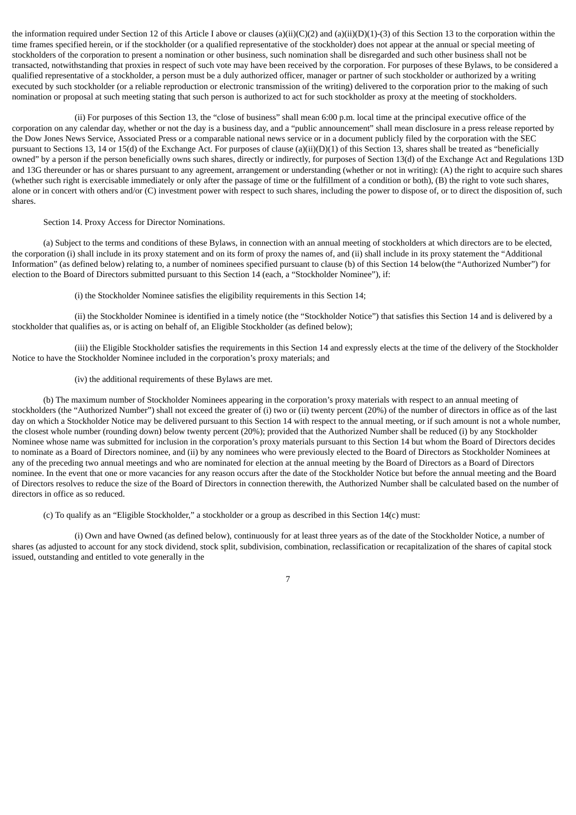the information required under Section 12 of this Article I above or clauses (a)(ii)(C)(2) and (a)(ii)(D)(1)-(3) of this Section 13 to the corporation within the time frames specified herein, or if the stockholder (or a qualified representative of the stockholder) does not appear at the annual or special meeting of stockholders of the corporation to present a nomination or other business, such nomination shall be disregarded and such other business shall not be transacted, notwithstanding that proxies in respect of such vote may have been received by the corporation. For purposes of these Bylaws, to be considered a qualified representative of a stockholder, a person must be a duly authorized officer, manager or partner of such stockholder or authorized by a writing executed by such stockholder (or a reliable reproduction or electronic transmission of the writing) delivered to the corporation prior to the making of such nomination or proposal at such meeting stating that such person is authorized to act for such stockholder as proxy at the meeting of stockholders.

(ii) For purposes of this Section 13, the "close of business" shall mean 6:00 p.m. local time at the principal executive office of the corporation on any calendar day, whether or not the day is a business day, and a "public announcement" shall mean disclosure in a press release reported by the Dow Jones News Service, Associated Press or a comparable national news service or in a document publicly filed by the corporation with the SEC pursuant to Sections 13, 14 or 15(d) of the Exchange Act. For purposes of clause (a)(ii)(D)(1) of this Section 13, shares shall be treated as "beneficially owned" by a person if the person beneficially owns such shares, directly or indirectly, for purposes of Section 13(d) of the Exchange Act and Regulations 13D and 13G thereunder or has or shares pursuant to any agreement, arrangement or understanding (whether or not in writing): (A) the right to acquire such shares (whether such right is exercisable immediately or only after the passage of time or the fulfillment of a condition or both), (B) the right to vote such shares, alone or in concert with others and/or (C) investment power with respect to such shares, including the power to dispose of, or to direct the disposition of, such shares.

Section 14. Proxy Access for Director Nominations.

(a) Subject to the terms and conditions of these Bylaws, in connection with an annual meeting of stockholders at which directors are to be elected, the corporation (i) shall include in its proxy statement and on its form of proxy the names of, and (ii) shall include in its proxy statement the "Additional Information" (as defined below) relating to, a number of nominees specified pursuant to clause (b) of this Section 14 below(the "Authorized Number") for election to the Board of Directors submitted pursuant to this Section 14 (each, a "Stockholder Nominee"), if:

(i) the Stockholder Nominee satisfies the eligibility requirements in this Section 14;

(ii) the Stockholder Nominee is identified in a timely notice (the "Stockholder Notice") that satisfies this Section 14 and is delivered by a stockholder that qualifies as, or is acting on behalf of, an Eligible Stockholder (as defined below);

(iii) the Eligible Stockholder satisfies the requirements in this Section 14 and expressly elects at the time of the delivery of the Stockholder Notice to have the Stockholder Nominee included in the corporation's proxy materials; and

(iv) the additional requirements of these Bylaws are met.

(b) The maximum number of Stockholder Nominees appearing in the corporation's proxy materials with respect to an annual meeting of stockholders (the "Authorized Number") shall not exceed the greater of (i) two or (ii) twenty percent (20%) of the number of directors in office as of the last day on which a Stockholder Notice may be delivered pursuant to this Section 14 with respect to the annual meeting, or if such amount is not a whole number, the closest whole number (rounding down) below twenty percent (20%); provided that the Authorized Number shall be reduced (i) by any Stockholder Nominee whose name was submitted for inclusion in the corporation's proxy materials pursuant to this Section 14 but whom the Board of Directors decides to nominate as a Board of Directors nominee, and (ii) by any nominees who were previously elected to the Board of Directors as Stockholder Nominees at any of the preceding two annual meetings and who are nominated for election at the annual meeting by the Board of Directors as a Board of Directors nominee. In the event that one or more vacancies for any reason occurs after the date of the Stockholder Notice but before the annual meeting and the Board of Directors resolves to reduce the size of the Board of Directors in connection therewith, the Authorized Number shall be calculated based on the number of directors in office as so reduced.

(c) To qualify as an "Eligible Stockholder," a stockholder or a group as described in this Section 14(c) must:

(i) Own and have Owned (as defined below), continuously for at least three years as of the date of the Stockholder Notice, a number of shares (as adjusted to account for any stock dividend, stock split, subdivision, combination, reclassification or recapitalization of the shares of capital stock issued, outstanding and entitled to vote generally in the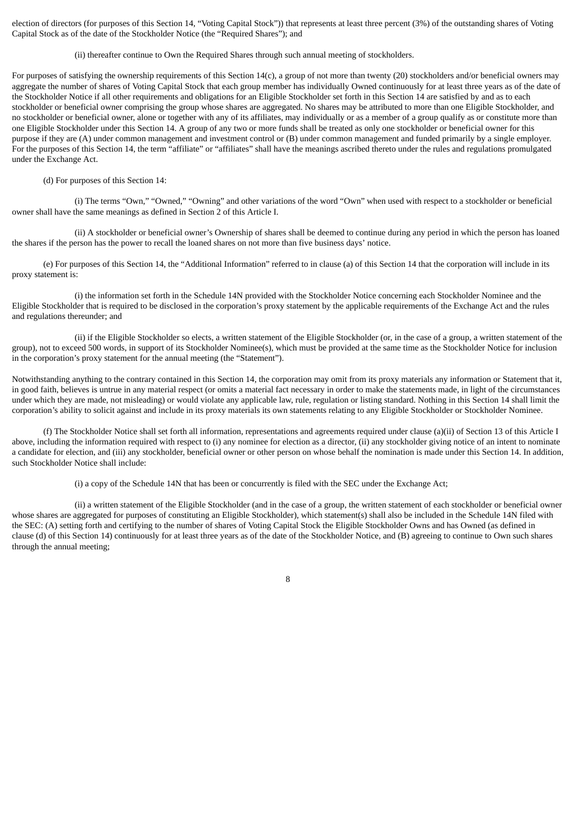election of directors (for purposes of this Section 14, "Voting Capital Stock")) that represents at least three percent (3%) of the outstanding shares of Voting Capital Stock as of the date of the Stockholder Notice (the "Required Shares"); and

(ii) thereafter continue to Own the Required Shares through such annual meeting of stockholders.

For purposes of satisfying the ownership requirements of this Section 14(c), a group of not more than twenty (20) stockholders and/or beneficial owners may aggregate the number of shares of Voting Capital Stock that each group member has individually Owned continuously for at least three years as of the date of the Stockholder Notice if all other requirements and obligations for an Eligible Stockholder set forth in this Section 14 are satisfied by and as to each stockholder or beneficial owner comprising the group whose shares are aggregated. No shares may be attributed to more than one Eligible Stockholder, and no stockholder or beneficial owner, alone or together with any of its affiliates, may individually or as a member of a group qualify as or constitute more than one Eligible Stockholder under this Section 14. A group of any two or more funds shall be treated as only one stockholder or beneficial owner for this purpose if they are (A) under common management and investment control or (B) under common management and funded primarily by a single employer. For the purposes of this Section 14, the term "affiliate" or "affiliates" shall have the meanings ascribed thereto under the rules and regulations promulgated under the Exchange Act.

(d) For purposes of this Section 14:

(i) The terms "Own," "Owned," "Owning" and other variations of the word "Own" when used with respect to a stockholder or beneficial owner shall have the same meanings as defined in Section 2 of this Article I.

(ii) A stockholder or beneficial owner's Ownership of shares shall be deemed to continue during any period in which the person has loaned the shares if the person has the power to recall the loaned shares on not more than five business days' notice.

(e) For purposes of this Section 14, the "Additional Information" referred to in clause (a) of this Section 14 that the corporation will include in its proxy statement is:

(i) the information set forth in the Schedule 14N provided with the Stockholder Notice concerning each Stockholder Nominee and the Eligible Stockholder that is required to be disclosed in the corporation's proxy statement by the applicable requirements of the Exchange Act and the rules and regulations thereunder; and

(ii) if the Eligible Stockholder so elects, a written statement of the Eligible Stockholder (or, in the case of a group, a written statement of the group), not to exceed 500 words, in support of its Stockholder Nominee(s), which must be provided at the same time as the Stockholder Notice for inclusion in the corporation's proxy statement for the annual meeting (the "Statement").

Notwithstanding anything to the contrary contained in this Section 14, the corporation may omit from its proxy materials any information or Statement that it, in good faith, believes is untrue in any material respect (or omits a material fact necessary in order to make the statements made, in light of the circumstances under which they are made, not misleading) or would violate any applicable law, rule, regulation or listing standard. Nothing in this Section 14 shall limit the corporation's ability to solicit against and include in its proxy materials its own statements relating to any Eligible Stockholder or Stockholder Nominee.

(f) The Stockholder Notice shall set forth all information, representations and agreements required under clause (a)(ii) of Section 13 of this Article I above, including the information required with respect to (i) any nominee for election as a director, (ii) any stockholder giving notice of an intent to nominate a candidate for election, and (iii) any stockholder, beneficial owner or other person on whose behalf the nomination is made under this Section 14. In addition, such Stockholder Notice shall include:

(i) a copy of the Schedule 14N that has been or concurrently is filed with the SEC under the Exchange Act;

(ii) a written statement of the Eligible Stockholder (and in the case of a group, the written statement of each stockholder or beneficial owner whose shares are aggregated for purposes of constituting an Eligible Stockholder), which statement(s) shall also be included in the Schedule 14N filed with the SEC: (A) setting forth and certifying to the number of shares of Voting Capital Stock the Eligible Stockholder Owns and has Owned (as defined in clause (d) of this Section 14) continuously for at least three years as of the date of the Stockholder Notice, and (B) agreeing to continue to Own such shares through the annual meeting;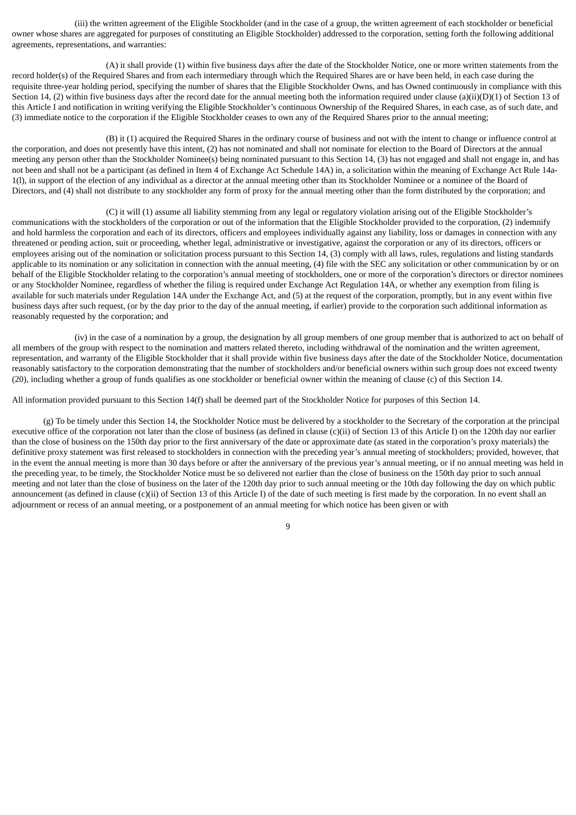(iii) the written agreement of the Eligible Stockholder (and in the case of a group, the written agreement of each stockholder or beneficial owner whose shares are aggregated for purposes of constituting an Eligible Stockholder) addressed to the corporation, setting forth the following additional agreements, representations, and warranties:

(A) it shall provide (1) within five business days after the date of the Stockholder Notice, one or more written statements from the record holder(s) of the Required Shares and from each intermediary through which the Required Shares are or have been held, in each case during the requisite three-year holding period, specifying the number of shares that the Eligible Stockholder Owns, and has Owned continuously in compliance with this Section 14, (2) within five business days after the record date for the annual meeting both the information required under clause (a)(ii)(D)(1) of Section 13 of this Article I and notification in writing verifying the Eligible Stockholder's continuous Ownership of the Required Shares, in each case, as of such date, and (3) immediate notice to the corporation if the Eligible Stockholder ceases to own any of the Required Shares prior to the annual meeting;

(B) it (1) acquired the Required Shares in the ordinary course of business and not with the intent to change or influence control at the corporation, and does not presently have this intent, (2) has not nominated and shall not nominate for election to the Board of Directors at the annual meeting any person other than the Stockholder Nominee(s) being nominated pursuant to this Section 14, (3) has not engaged and shall not engage in, and has not been and shall not be a participant (as defined in Item 4 of Exchange Act Schedule 14A) in, a solicitation within the meaning of Exchange Act Rule 14a-1(l), in support of the election of any individual as a director at the annual meeting other than its Stockholder Nominee or a nominee of the Board of Directors, and (4) shall not distribute to any stockholder any form of proxy for the annual meeting other than the form distributed by the corporation; and

(C) it will (1) assume all liability stemming from any legal or regulatory violation arising out of the Eligible Stockholder's communications with the stockholders of the corporation or out of the information that the Eligible Stockholder provided to the corporation, (2) indemnify and hold harmless the corporation and each of its directors, officers and employees individually against any liability, loss or damages in connection with any threatened or pending action, suit or proceeding, whether legal, administrative or investigative, against the corporation or any of its directors, officers or employees arising out of the nomination or solicitation process pursuant to this Section 14, (3) comply with all laws, rules, regulations and listing standards applicable to its nomination or any solicitation in connection with the annual meeting, (4) file with the SEC any solicitation or other communication by or on behalf of the Eligible Stockholder relating to the corporation's annual meeting of stockholders, one or more of the corporation's directors or director nominees or any Stockholder Nominee, regardless of whether the filing is required under Exchange Act Regulation 14A, or whether any exemption from filing is available for such materials under Regulation 14A under the Exchange Act, and (5) at the request of the corporation, promptly, but in any event within five business days after such request, (or by the day prior to the day of the annual meeting, if earlier) provide to the corporation such additional information as reasonably requested by the corporation; and

(iv) in the case of a nomination by a group, the designation by all group members of one group member that is authorized to act on behalf of all members of the group with respect to the nomination and matters related thereto, including withdrawal of the nomination and the written agreement, representation, and warranty of the Eligible Stockholder that it shall provide within five business days after the date of the Stockholder Notice, documentation reasonably satisfactory to the corporation demonstrating that the number of stockholders and/or beneficial owners within such group does not exceed twenty (20), including whether a group of funds qualifies as one stockholder or beneficial owner within the meaning of clause (c) of this Section 14.

All information provided pursuant to this Section 14(f) shall be deemed part of the Stockholder Notice for purposes of this Section 14.

(g) To be timely under this Section 14, the Stockholder Notice must be delivered by a stockholder to the Secretary of the corporation at the principal executive office of the corporation not later than the close of business (as defined in clause (c)(ii) of Section 13 of this Article I) on the 120th day nor earlier than the close of business on the 150th day prior to the first anniversary of the date or approximate date (as stated in the corporation's proxy materials) the definitive proxy statement was first released to stockholders in connection with the preceding year's annual meeting of stockholders; provided, however, that in the event the annual meeting is more than 30 days before or after the anniversary of the previous year's annual meeting, or if no annual meeting was held in the preceding year, to be timely, the Stockholder Notice must be so delivered not earlier than the close of business on the 150th day prior to such annual meeting and not later than the close of business on the later of the 120th day prior to such annual meeting or the 10th day following the day on which public announcement (as defined in clause (c)(ii) of Section 13 of this Article I) of the date of such meeting is first made by the corporation. In no event shall an adjournment or recess of an annual meeting, or a postponement of an annual meeting for which notice has been given or with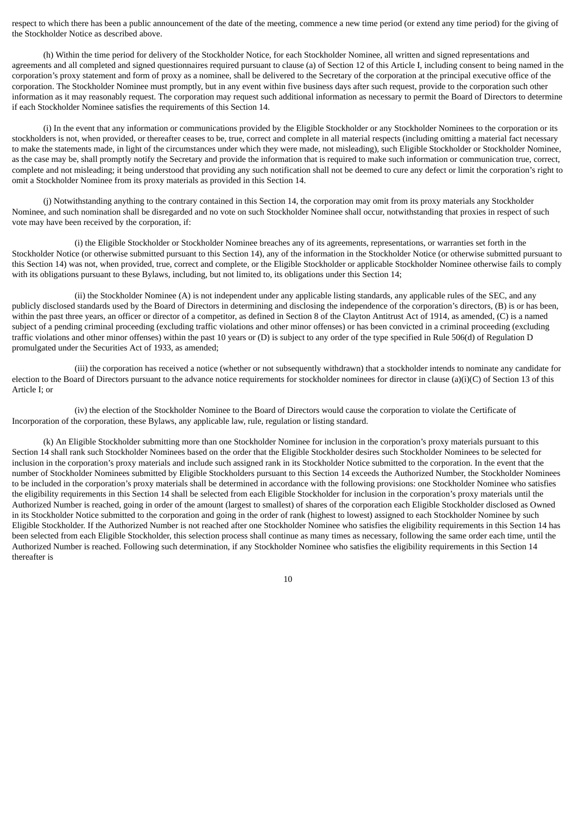respect to which there has been a public announcement of the date of the meeting, commence a new time period (or extend any time period) for the giving of the Stockholder Notice as described above.

(h) Within the time period for delivery of the Stockholder Notice, for each Stockholder Nominee, all written and signed representations and agreements and all completed and signed questionnaires required pursuant to clause (a) of Section 12 of this Article I, including consent to being named in the corporation's proxy statement and form of proxy as a nominee, shall be delivered to the Secretary of the corporation at the principal executive office of the corporation. The Stockholder Nominee must promptly, but in any event within five business days after such request, provide to the corporation such other information as it may reasonably request. The corporation may request such additional information as necessary to permit the Board of Directors to determine if each Stockholder Nominee satisfies the requirements of this Section 14.

(i) In the event that any information or communications provided by the Eligible Stockholder or any Stockholder Nominees to the corporation or its stockholders is not, when provided, or thereafter ceases to be, true, correct and complete in all material respects (including omitting a material fact necessary to make the statements made, in light of the circumstances under which they were made, not misleading), such Eligible Stockholder or Stockholder Nominee, as the case may be, shall promptly notify the Secretary and provide the information that is required to make such information or communication true, correct, complete and not misleading; it being understood that providing any such notification shall not be deemed to cure any defect or limit the corporation's right to omit a Stockholder Nominee from its proxy materials as provided in this Section 14.

(j) Notwithstanding anything to the contrary contained in this Section 14, the corporation may omit from its proxy materials any Stockholder Nominee, and such nomination shall be disregarded and no vote on such Stockholder Nominee shall occur, notwithstanding that proxies in respect of such vote may have been received by the corporation, if:

(i) the Eligible Stockholder or Stockholder Nominee breaches any of its agreements, representations, or warranties set forth in the Stockholder Notice (or otherwise submitted pursuant to this Section 14), any of the information in the Stockholder Notice (or otherwise submitted pursuant to this Section 14) was not, when provided, true, correct and complete, or the Eligible Stockholder or applicable Stockholder Nominee otherwise fails to comply with its obligations pursuant to these Bylaws, including, but not limited to, its obligations under this Section 14;

(ii) the Stockholder Nominee (A) is not independent under any applicable listing standards, any applicable rules of the SEC, and any publicly disclosed standards used by the Board of Directors in determining and disclosing the independence of the corporation's directors, (B) is or has been, within the past three years, an officer or director of a competitor, as defined in Section 8 of the Clayton Antitrust Act of 1914, as amended, (C) is a named subject of a pending criminal proceeding (excluding traffic violations and other minor offenses) or has been convicted in a criminal proceeding (excluding traffic violations and other minor offenses) within the past 10 years or (D) is subject to any order of the type specified in Rule 506(d) of Regulation D promulgated under the Securities Act of 1933, as amended;

(iii) the corporation has received a notice (whether or not subsequently withdrawn) that a stockholder intends to nominate any candidate for election to the Board of Directors pursuant to the advance notice requirements for stockholder nominees for director in clause (a)(i)(C) of Section 13 of this Article I; or

(iv) the election of the Stockholder Nominee to the Board of Directors would cause the corporation to violate the Certificate of Incorporation of the corporation, these Bylaws, any applicable law, rule, regulation or listing standard.

(k) An Eligible Stockholder submitting more than one Stockholder Nominee for inclusion in the corporation's proxy materials pursuant to this Section 14 shall rank such Stockholder Nominees based on the order that the Eligible Stockholder desires such Stockholder Nominees to be selected for inclusion in the corporation's proxy materials and include such assigned rank in its Stockholder Notice submitted to the corporation. In the event that the number of Stockholder Nominees submitted by Eligible Stockholders pursuant to this Section 14 exceeds the Authorized Number, the Stockholder Nominees to be included in the corporation's proxy materials shall be determined in accordance with the following provisions: one Stockholder Nominee who satisfies the eligibility requirements in this Section 14 shall be selected from each Eligible Stockholder for inclusion in the corporation's proxy materials until the Authorized Number is reached, going in order of the amount (largest to smallest) of shares of the corporation each Eligible Stockholder disclosed as Owned in its Stockholder Notice submitted to the corporation and going in the order of rank (highest to lowest) assigned to each Stockholder Nominee by such Eligible Stockholder. If the Authorized Number is not reached after one Stockholder Nominee who satisfies the eligibility requirements in this Section 14 has been selected from each Eligible Stockholder, this selection process shall continue as many times as necessary, following the same order each time, until the Authorized Number is reached. Following such determination, if any Stockholder Nominee who satisfies the eligibility requirements in this Section 14 thereafter is

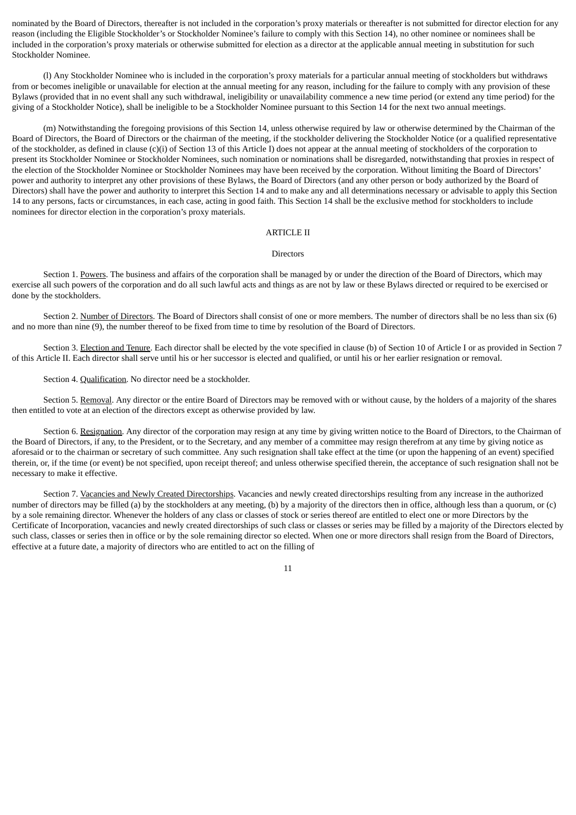nominated by the Board of Directors, thereafter is not included in the corporation's proxy materials or thereafter is not submitted for director election for any reason (including the Eligible Stockholder's or Stockholder Nominee's failure to comply with this Section 14), no other nominee or nominees shall be included in the corporation's proxy materials or otherwise submitted for election as a director at the applicable annual meeting in substitution for such Stockholder Nominee.

(l) Any Stockholder Nominee who is included in the corporation's proxy materials for a particular annual meeting of stockholders but withdraws from or becomes ineligible or unavailable for election at the annual meeting for any reason, including for the failure to comply with any provision of these Bylaws (provided that in no event shall any such withdrawal, ineligibility or unavailability commence a new time period (or extend any time period) for the giving of a Stockholder Notice), shall be ineligible to be a Stockholder Nominee pursuant to this Section 14 for the next two annual meetings.

(m) Notwithstanding the foregoing provisions of this Section 14, unless otherwise required by law or otherwise determined by the Chairman of the Board of Directors, the Board of Directors or the chairman of the meeting, if the stockholder delivering the Stockholder Notice (or a qualified representative of the stockholder, as defined in clause  $(c)(i)$  of Section 13 of this Article I) does not appear at the annual meeting of stockholders of the corporation to present its Stockholder Nominee or Stockholder Nominees, such nomination or nominations shall be disregarded, notwithstanding that proxies in respect of the election of the Stockholder Nominee or Stockholder Nominees may have been received by the corporation. Without limiting the Board of Directors' power and authority to interpret any other provisions of these Bylaws, the Board of Directors (and any other person or body authorized by the Board of Directors) shall have the power and authority to interpret this Section 14 and to make any and all determinations necessary or advisable to apply this Section 14 to any persons, facts or circumstances, in each case, acting in good faith. This Section 14 shall be the exclusive method for stockholders to include nominees for director election in the corporation's proxy materials.

#### ARTICLE II

#### **Directors**

Section 1. Powers. The business and affairs of the corporation shall be managed by or under the direction of the Board of Directors, which may exercise all such powers of the corporation and do all such lawful acts and things as are not by law or these Bylaws directed or required to be exercised or done by the stockholders.

Section 2. Number of Directors. The Board of Directors shall consist of one or more members. The number of directors shall be no less than six (6) and no more than nine (9), the number thereof to be fixed from time to time by resolution of the Board of Directors.

Section 3. Election and Tenure. Each director shall be elected by the vote specified in clause (b) of Section 10 of Article I or as provided in Section 7 of this Article II. Each director shall serve until his or her successor is elected and qualified, or until his or her earlier resignation or removal.

Section 4. Qualification. No director need be a stockholder.

Section 5. Removal. Any director or the entire Board of Directors may be removed with or without cause, by the holders of a majority of the shares then entitled to vote at an election of the directors except as otherwise provided by law.

Section 6. Resignation. Any director of the corporation may resign at any time by giving written notice to the Board of Directors, to the Chairman of the Board of Directors, if any, to the President, or to the Secretary, and any member of a committee may resign therefrom at any time by giving notice as aforesaid or to the chairman or secretary of such committee. Any such resignation shall take effect at the time (or upon the happening of an event) specified therein, or, if the time (or event) be not specified, upon receipt thereof; and unless otherwise specified therein, the acceptance of such resignation shall not be necessary to make it effective.

Section 7. Vacancies and Newly Created Directorships. Vacancies and newly created directorships resulting from any increase in the authorized number of directors may be filled (a) by the stockholders at any meeting, (b) by a majority of the directors then in office, although less than a quorum, or (c) by a sole remaining director. Whenever the holders of any class or classes of stock or series thereof are entitled to elect one or more Directors by the Certificate of Incorporation, vacancies and newly created directorships of such class or classes or series may be filled by a majority of the Directors elected by such class, classes or series then in office or by the sole remaining director so elected. When one or more directors shall resign from the Board of Directors, effective at a future date, a majority of directors who are entitled to act on the filling of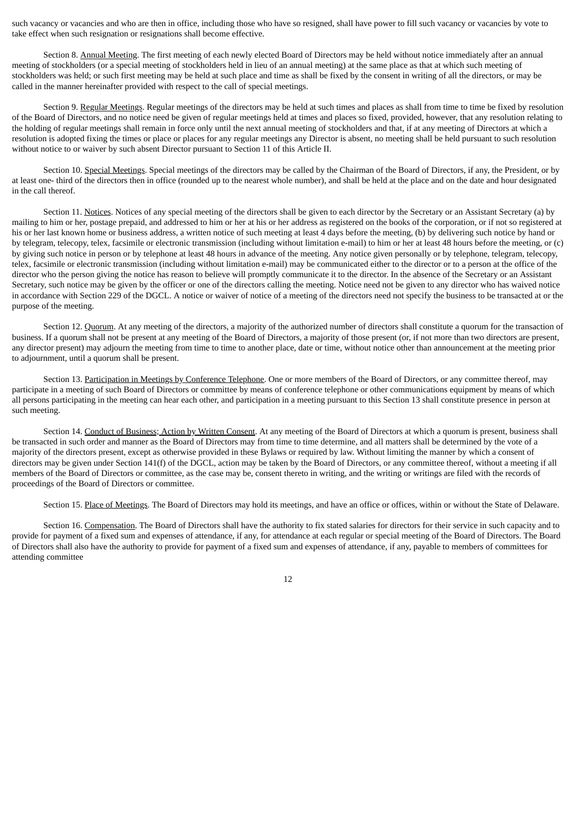such vacancy or vacancies and who are then in office, including those who have so resigned, shall have power to fill such vacancy or vacancies by vote to take effect when such resignation or resignations shall become effective.

Section 8. Annual Meeting. The first meeting of each newly elected Board of Directors may be held without notice immediately after an annual meeting of stockholders (or a special meeting of stockholders held in lieu of an annual meeting) at the same place as that at which such meeting of stockholders was held; or such first meeting may be held at such place and time as shall be fixed by the consent in writing of all the directors, or may be called in the manner hereinafter provided with respect to the call of special meetings.

Section 9. Regular Meetings. Regular meetings of the directors may be held at such times and places as shall from time to time be fixed by resolution of the Board of Directors, and no notice need be given of regular meetings held at times and places so fixed, provided, however, that any resolution relating to the holding of regular meetings shall remain in force only until the next annual meeting of stockholders and that, if at any meeting of Directors at which a resolution is adopted fixing the times or place or places for any regular meetings any Director is absent, no meeting shall be held pursuant to such resolution without notice to or waiver by such absent Director pursuant to Section 11 of this Article II.

Section 10. Special Meetings. Special meetings of the directors may be called by the Chairman of the Board of Directors, if any, the President, or by at least one- third of the directors then in office (rounded up to the nearest whole number), and shall be held at the place and on the date and hour designated in the call thereof.

Section 11. Notices. Notices of any special meeting of the directors shall be given to each director by the Secretary or an Assistant Secretary (a) by mailing to him or her, postage prepaid, and addressed to him or her at his or her address as registered on the books of the corporation, or if not so registered at his or her last known home or business address, a written notice of such meeting at least 4 days before the meeting, (b) by delivering such notice by hand or by telegram, telecopy, telex, facsimile or electronic transmission (including without limitation e-mail) to him or her at least 48 hours before the meeting, or (c) by giving such notice in person or by telephone at least 48 hours in advance of the meeting. Any notice given personally or by telephone, telegram, telecopy, telex, facsimile or electronic transmission (including without limitation e-mail) may be communicated either to the director or to a person at the office of the director who the person giving the notice has reason to believe will promptly communicate it to the director. In the absence of the Secretary or an Assistant Secretary, such notice may be given by the officer or one of the directors calling the meeting. Notice need not be given to any director who has waived notice in accordance with Section 229 of the DGCL. A notice or waiver of notice of a meeting of the directors need not specify the business to be transacted at or the purpose of the meeting.

Section 12. Quorum. At any meeting of the directors, a majority of the authorized number of directors shall constitute a quorum for the transaction of business. If a quorum shall not be present at any meeting of the Board of Directors, a majority of those present (or, if not more than two directors are present, any director present) may adjourn the meeting from time to time to another place, date or time, without notice other than announcement at the meeting prior to adjournment, until a quorum shall be present.

Section 13. Participation in Meetings by Conference Telephone. One or more members of the Board of Directors, or any committee thereof, may participate in a meeting of such Board of Directors or committee by means of conference telephone or other communications equipment by means of which all persons participating in the meeting can hear each other, and participation in a meeting pursuant to this Section 13 shall constitute presence in person at such meeting.

Section 14. Conduct of Business; Action by Written Consent. At any meeting of the Board of Directors at which a quorum is present, business shall be transacted in such order and manner as the Board of Directors may from time to time determine, and all matters shall be determined by the vote of a majority of the directors present, except as otherwise provided in these Bylaws or required by law. Without limiting the manner by which a consent of directors may be given under Section 141(f) of the DGCL, action may be taken by the Board of Directors, or any committee thereof, without a meeting if all members of the Board of Directors or committee, as the case may be, consent thereto in writing, and the writing or writings are filed with the records of proceedings of the Board of Directors or committee.

Section 15. Place of Meetings. The Board of Directors may hold its meetings, and have an office or offices, within or without the State of Delaware.

Section 16. Compensation. The Board of Directors shall have the authority to fix stated salaries for directors for their service in such capacity and to provide for payment of a fixed sum and expenses of attendance, if any, for attendance at each regular or special meeting of the Board of Directors. The Board of Directors shall also have the authority to provide for payment of a fixed sum and expenses of attendance, if any, payable to members of committees for attending committee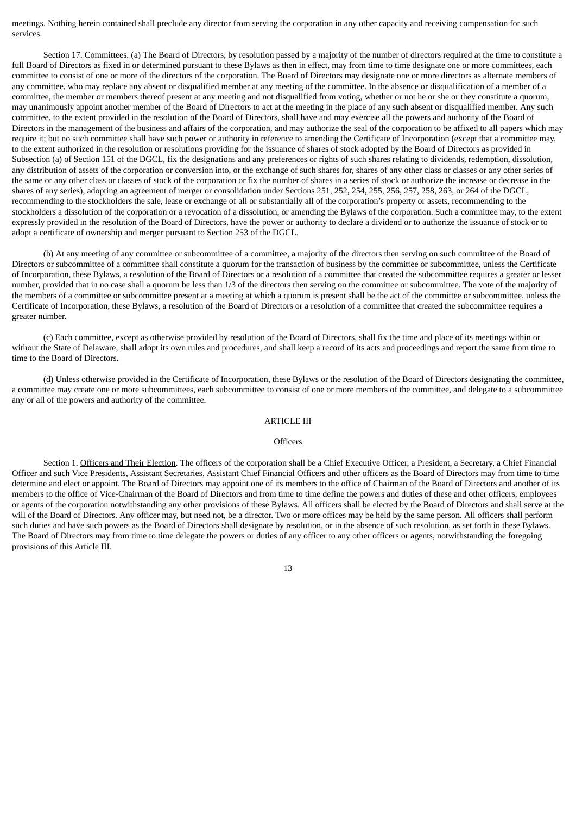meetings. Nothing herein contained shall preclude any director from serving the corporation in any other capacity and receiving compensation for such services.

Section 17. Committees. (a) The Board of Directors, by resolution passed by a majority of the number of directors required at the time to constitute a full Board of Directors as fixed in or determined pursuant to these Bylaws as then in effect, may from time to time designate one or more committees, each committee to consist of one or more of the directors of the corporation. The Board of Directors may designate one or more directors as alternate members of any committee, who may replace any absent or disqualified member at any meeting of the committee. In the absence or disqualification of a member of a committee, the member or members thereof present at any meeting and not disqualified from voting, whether or not he or she or they constitute a quorum, may unanimously appoint another member of the Board of Directors to act at the meeting in the place of any such absent or disqualified member. Any such committee, to the extent provided in the resolution of the Board of Directors, shall have and may exercise all the powers and authority of the Board of Directors in the management of the business and affairs of the corporation, and may authorize the seal of the corporation to be affixed to all papers which may require it; but no such committee shall have such power or authority in reference to amending the Certificate of Incorporation (except that a committee may, to the extent authorized in the resolution or resolutions providing for the issuance of shares of stock adopted by the Board of Directors as provided in Subsection (a) of Section 151 of the DGCL, fix the designations and any preferences or rights of such shares relating to dividends, redemption, dissolution, any distribution of assets of the corporation or conversion into, or the exchange of such shares for, shares of any other class or classes or any other series of the same or any other class or classes of stock of the corporation or fix the number of shares in a series of stock or authorize the increase or decrease in the shares of any series), adopting an agreement of merger or consolidation under Sections 251, 252, 254, 255, 256, 257, 258, 263, or 264 of the DGCL, recommending to the stockholders the sale, lease or exchange of all or substantially all of the corporation's property or assets, recommending to the stockholders a dissolution of the corporation or a revocation of a dissolution, or amending the Bylaws of the corporation. Such a committee may, to the extent expressly provided in the resolution of the Board of Directors, have the power or authority to declare a dividend or to authorize the issuance of stock or to adopt a certificate of ownership and merger pursuant to Section 253 of the DGCL.

(b) At any meeting of any committee or subcommittee of a committee, a majority of the directors then serving on such committee of the Board of Directors or subcommittee of a committee shall constitute a quorum for the transaction of business by the committee or subcommittee, unless the Certificate of Incorporation, these Bylaws, a resolution of the Board of Directors or a resolution of a committee that created the subcommittee requires a greater or lesser number, provided that in no case shall a quorum be less than 1/3 of the directors then serving on the committee or subcommittee. The vote of the majority of the members of a committee or subcommittee present at a meeting at which a quorum is present shall be the act of the committee or subcommittee, unless the Certificate of Incorporation, these Bylaws, a resolution of the Board of Directors or a resolution of a committee that created the subcommittee requires a greater number.

(c) Each committee, except as otherwise provided by resolution of the Board of Directors, shall fix the time and place of its meetings within or without the State of Delaware, shall adopt its own rules and procedures, and shall keep a record of its acts and proceedings and report the same from time to time to the Board of Directors.

(d) Unless otherwise provided in the Certificate of Incorporation, these Bylaws or the resolution of the Board of Directors designating the committee, a committee may create one or more subcommittees, each subcommittee to consist of one or more members of the committee, and delegate to a subcommittee any or all of the powers and authority of the committee.

#### ARTICLE III

#### **Officers**

Section 1. Officers and Their Election. The officers of the corporation shall be a Chief Executive Officer, a President, a Secretary, a Chief Financial Officer and such Vice Presidents, Assistant Secretaries, Assistant Chief Financial Officers and other officers as the Board of Directors may from time to time determine and elect or appoint. The Board of Directors may appoint one of its members to the office of Chairman of the Board of Directors and another of its members to the office of Vice-Chairman of the Board of Directors and from time to time define the powers and duties of these and other officers, employees or agents of the corporation notwithstanding any other provisions of these Bylaws. All officers shall be elected by the Board of Directors and shall serve at the will of the Board of Directors. Any officer may, but need not, be a director. Two or more offices may be held by the same person. All officers shall perform such duties and have such powers as the Board of Directors shall designate by resolution, or in the absence of such resolution, as set forth in these Bylaws. The Board of Directors may from time to time delegate the powers or duties of any officer to any other officers or agents, notwithstanding the foregoing provisions of this Article III.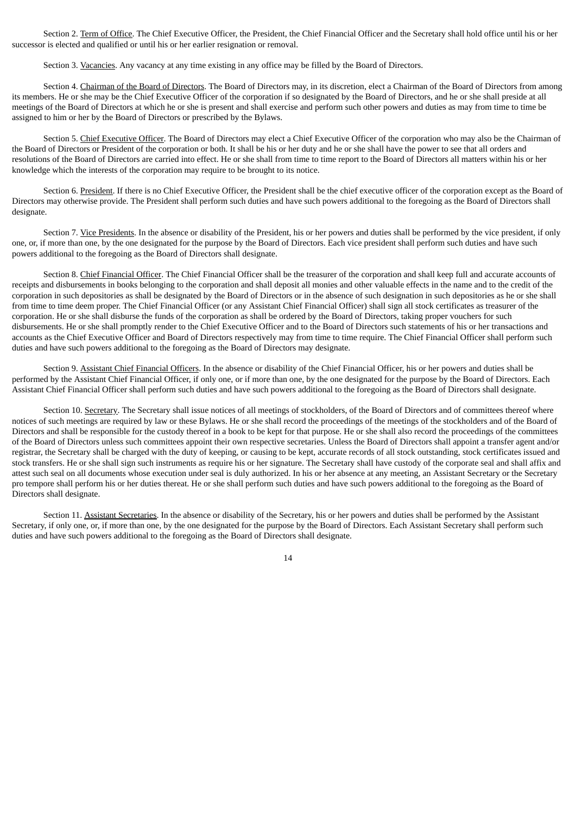Section 2. Term of Office. The Chief Executive Officer, the President, the Chief Financial Officer and the Secretary shall hold office until his or her successor is elected and qualified or until his or her earlier resignation or removal.

Section 3. Vacancies. Any vacancy at any time existing in any office may be filled by the Board of Directors.

Section 4. Chairman of the Board of Directors. The Board of Directors may, in its discretion, elect a Chairman of the Board of Directors from among its members. He or she may be the Chief Executive Officer of the corporation if so designated by the Board of Directors, and he or she shall preside at all meetings of the Board of Directors at which he or she is present and shall exercise and perform such other powers and duties as may from time to time be assigned to him or her by the Board of Directors or prescribed by the Bylaws.

Section 5. Chief Executive Officer. The Board of Directors may elect a Chief Executive Officer of the corporation who may also be the Chairman of the Board of Directors or President of the corporation or both. It shall be his or her duty and he or she shall have the power to see that all orders and resolutions of the Board of Directors are carried into effect. He or she shall from time to time report to the Board of Directors all matters within his or her knowledge which the interests of the corporation may require to be brought to its notice.

Section 6. President. If there is no Chief Executive Officer, the President shall be the chief executive officer of the corporation except as the Board of Directors may otherwise provide. The President shall perform such duties and have such powers additional to the foregoing as the Board of Directors shall designate.

Section 7. <u>Vice Presidents</u>. In the absence or disability of the President, his or her powers and duties shall be performed by the vice president, if only one, or, if more than one, by the one designated for the purpose by the Board of Directors. Each vice president shall perform such duties and have such powers additional to the foregoing as the Board of Directors shall designate.

Section 8. Chief Financial Officer. The Chief Financial Officer shall be the treasurer of the corporation and shall keep full and accurate accounts of receipts and disbursements in books belonging to the corporation and shall deposit all monies and other valuable effects in the name and to the credit of the corporation in such depositories as shall be designated by the Board of Directors or in the absence of such designation in such depositories as he or she shall from time to time deem proper. The Chief Financial Officer (or any Assistant Chief Financial Officer) shall sign all stock certificates as treasurer of the corporation. He or she shall disburse the funds of the corporation as shall be ordered by the Board of Directors, taking proper vouchers for such disbursements. He or she shall promptly render to the Chief Executive Officer and to the Board of Directors such statements of his or her transactions and accounts as the Chief Executive Officer and Board of Directors respectively may from time to time require. The Chief Financial Officer shall perform such duties and have such powers additional to the foregoing as the Board of Directors may designate.

Section 9. Assistant Chief Financial Officers. In the absence or disability of the Chief Financial Officer, his or her powers and duties shall be performed by the Assistant Chief Financial Officer, if only one, or if more than one, by the one designated for the purpose by the Board of Directors. Each Assistant Chief Financial Officer shall perform such duties and have such powers additional to the foregoing as the Board of Directors shall designate.

Section 10. Secretary. The Secretary shall issue notices of all meetings of stockholders, of the Board of Directors and of committees thereof where notices of such meetings are required by law or these Bylaws. He or she shall record the proceedings of the meetings of the stockholders and of the Board of Directors and shall be responsible for the custody thereof in a book to be kept for that purpose. He or she shall also record the proceedings of the committees of the Board of Directors unless such committees appoint their own respective secretaries. Unless the Board of Directors shall appoint a transfer agent and/or registrar, the Secretary shall be charged with the duty of keeping, or causing to be kept, accurate records of all stock outstanding, stock certificates issued and stock transfers. He or she shall sign such instruments as require his or her signature. The Secretary shall have custody of the corporate seal and shall affix and attest such seal on all documents whose execution under seal is duly authorized. In his or her absence at any meeting, an Assistant Secretary or the Secretary pro tempore shall perform his or her duties thereat. He or she shall perform such duties and have such powers additional to the foregoing as the Board of Directors shall designate.

Section 11. Assistant Secretaries. In the absence or disability of the Secretary, his or her powers and duties shall be performed by the Assistant Secretary, if only one, or, if more than one, by the one designated for the purpose by the Board of Directors. Each Assistant Secretary shall perform such duties and have such powers additional to the foregoing as the Board of Directors shall designate.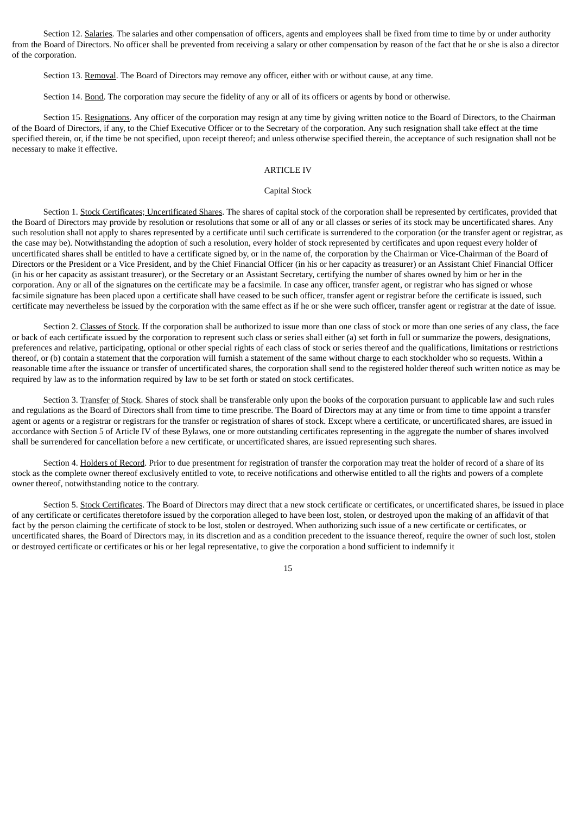Section 12. Salaries. The salaries and other compensation of officers, agents and employees shall be fixed from time to time by or under authority from the Board of Directors. No officer shall be prevented from receiving a salary or other compensation by reason of the fact that he or she is also a director of the corporation.

Section 13. Removal. The Board of Directors may remove any officer, either with or without cause, at any time.

Section 14. Bond. The corporation may secure the fidelity of any or all of its officers or agents by bond or otherwise.

Section 15. Resignations. Any officer of the corporation may resign at any time by giving written notice to the Board of Directors, to the Chairman of the Board of Directors, if any, to the Chief Executive Officer or to the Secretary of the corporation. Any such resignation shall take effect at the time specified therein, or, if the time be not specified, upon receipt thereof; and unless otherwise specified therein, the acceptance of such resignation shall not be necessary to make it effective.

#### ARTICLE IV

#### Capital Stock

Section 1. Stock Certificates; Uncertificated Shares. The shares of capital stock of the corporation shall be represented by certificates, provided that the Board of Directors may provide by resolution or resolutions that some or all of any or all classes or series of its stock may be uncertificated shares. Any such resolution shall not apply to shares represented by a certificate until such certificate is surrendered to the corporation (or the transfer agent or registrar, as the case may be). Notwithstanding the adoption of such a resolution, every holder of stock represented by certificates and upon request every holder of uncertificated shares shall be entitled to have a certificate signed by, or in the name of, the corporation by the Chairman or Vice-Chairman of the Board of Directors or the President or a Vice President, and by the Chief Financial Officer (in his or her capacity as treasurer) or an Assistant Chief Financial Officer (in his or her capacity as assistant treasurer), or the Secretary or an Assistant Secretary, certifying the number of shares owned by him or her in the corporation. Any or all of the signatures on the certificate may be a facsimile. In case any officer, transfer agent, or registrar who has signed or whose facsimile signature has been placed upon a certificate shall have ceased to be such officer, transfer agent or registrar before the certificate is issued, such certificate may nevertheless be issued by the corporation with the same effect as if he or she were such officer, transfer agent or registrar at the date of issue.

Section 2. Classes of Stock. If the corporation shall be authorized to issue more than one class of stock or more than one series of any class, the face or back of each certificate issued by the corporation to represent such class or series shall either (a) set forth in full or summarize the powers, designations, preferences and relative, participating, optional or other special rights of each class of stock or series thereof and the qualifications, limitations or restrictions thereof, or (b) contain a statement that the corporation will furnish a statement of the same without charge to each stockholder who so requests. Within a reasonable time after the issuance or transfer of uncertificated shares, the corporation shall send to the registered holder thereof such written notice as may be required by law as to the information required by law to be set forth or stated on stock certificates.

Section 3. Transfer of Stock. Shares of stock shall be transferable only upon the books of the corporation pursuant to applicable law and such rules and regulations as the Board of Directors shall from time to time prescribe. The Board of Directors may at any time or from time to time appoint a transfer agent or agents or a registrar or registrars for the transfer or registration of shares of stock. Except where a certificate, or uncertificated shares, are issued in accordance with Section 5 of Article IV of these Bylaws, one or more outstanding certificates representing in the aggregate the number of shares involved shall be surrendered for cancellation before a new certificate, or uncertificated shares, are issued representing such shares.

Section 4. Holders of Record. Prior to due presentment for registration of transfer the corporation may treat the holder of record of a share of its stock as the complete owner thereof exclusively entitled to vote, to receive notifications and otherwise entitled to all the rights and powers of a complete owner thereof, notwithstanding notice to the contrary.

Section 5. Stock Certificates. The Board of Directors may direct that a new stock certificate or certificates, or uncertificated shares, be issued in place of any certificate or certificates theretofore issued by the corporation alleged to have been lost, stolen, or destroyed upon the making of an affidavit of that fact by the person claiming the certificate of stock to be lost, stolen or destroyed. When authorizing such issue of a new certificate or certificates, or uncertificated shares, the Board of Directors may, in its discretion and as a condition precedent to the issuance thereof, require the owner of such lost, stolen or destroyed certificate or certificates or his or her legal representative, to give the corporation a bond sufficient to indemnify it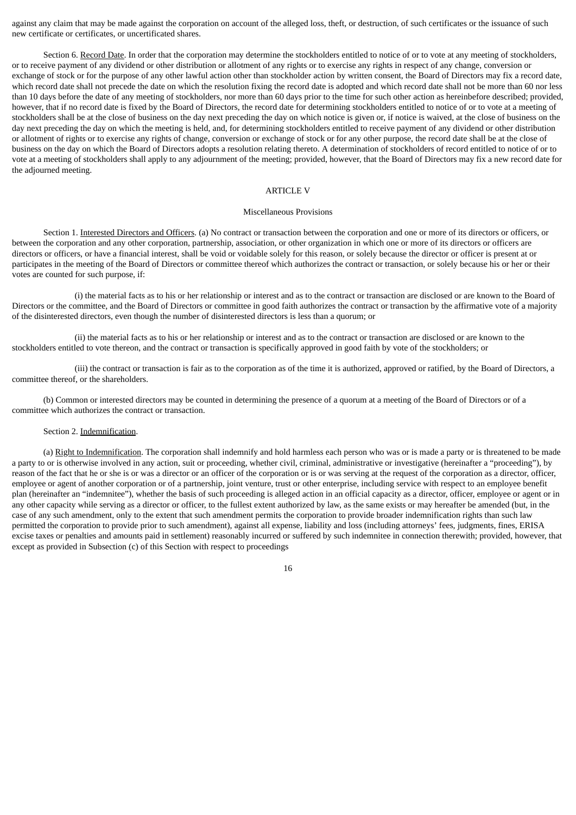against any claim that may be made against the corporation on account of the alleged loss, theft, or destruction, of such certificates or the issuance of such new certificate or certificates, or uncertificated shares.

Section 6. Record Date. In order that the corporation may determine the stockholders entitled to notice of or to vote at any meeting of stockholders, or to receive payment of any dividend or other distribution or allotment of any rights or to exercise any rights in respect of any change, conversion or exchange of stock or for the purpose of any other lawful action other than stockholder action by written consent, the Board of Directors may fix a record date, which record date shall not precede the date on which the resolution fixing the record date is adopted and which record date shall not be more than 60 nor less than 10 days before the date of any meeting of stockholders, nor more than 60 days prior to the time for such other action as hereinbefore described; provided, however, that if no record date is fixed by the Board of Directors, the record date for determining stockholders entitled to notice of or to vote at a meeting of stockholders shall be at the close of business on the day next preceding the day on which notice is given or, if notice is waived, at the close of business on the day next preceding the day on which the meeting is held, and, for determining stockholders entitled to receive payment of any dividend or other distribution or allotment of rights or to exercise any rights of change, conversion or exchange of stock or for any other purpose, the record date shall be at the close of business on the day on which the Board of Directors adopts a resolution relating thereto. A determination of stockholders of record entitled to notice of or to vote at a meeting of stockholders shall apply to any adjournment of the meeting; provided, however, that the Board of Directors may fix a new record date for the adjourned meeting.

#### ARTICLE V

#### Miscellaneous Provisions

Section 1. Interested Directors and Officers. (a) No contract or transaction between the corporation and one or more of its directors or officers, or between the corporation and any other corporation, partnership, association, or other organization in which one or more of its directors or officers are directors or officers, or have a financial interest, shall be void or voidable solely for this reason, or solely because the director or officer is present at or participates in the meeting of the Board of Directors or committee thereof which authorizes the contract or transaction, or solely because his or her or their votes are counted for such purpose, if:

(i) the material facts as to his or her relationship or interest and as to the contract or transaction are disclosed or are known to the Board of Directors or the committee, and the Board of Directors or committee in good faith authorizes the contract or transaction by the affirmative vote of a majority of the disinterested directors, even though the number of disinterested directors is less than a quorum; or

(ii) the material facts as to his or her relationship or interest and as to the contract or transaction are disclosed or are known to the stockholders entitled to vote thereon, and the contract or transaction is specifically approved in good faith by vote of the stockholders; or

(iii) the contract or transaction is fair as to the corporation as of the time it is authorized, approved or ratified, by the Board of Directors, a committee thereof, or the shareholders.

(b) Common or interested directors may be counted in determining the presence of a quorum at a meeting of the Board of Directors or of a committee which authorizes the contract or transaction.

#### Section 2. Indemnification.

(a) Right to Indemnification. The corporation shall indemnify and hold harmless each person who was or is made a party or is threatened to be made a party to or is otherwise involved in any action, suit or proceeding, whether civil, criminal, administrative or investigative (hereinafter a "proceeding"), by reason of the fact that he or she is or was a director or an officer of the corporation or is or was serving at the request of the corporation as a director, officer, employee or agent of another corporation or of a partnership, joint venture, trust or other enterprise, including service with respect to an employee benefit plan (hereinafter an "indemnitee"), whether the basis of such proceeding is alleged action in an official capacity as a director, officer, employee or agent or in any other capacity while serving as a director or officer, to the fullest extent authorized by law, as the same exists or may hereafter be amended (but, in the case of any such amendment, only to the extent that such amendment permits the corporation to provide broader indemnification rights than such law permitted the corporation to provide prior to such amendment), against all expense, liability and loss (including attorneys' fees, judgments, fines, ERISA excise taxes or penalties and amounts paid in settlement) reasonably incurred or suffered by such indemnitee in connection therewith; provided, however, that except as provided in Subsection (c) of this Section with respect to proceedings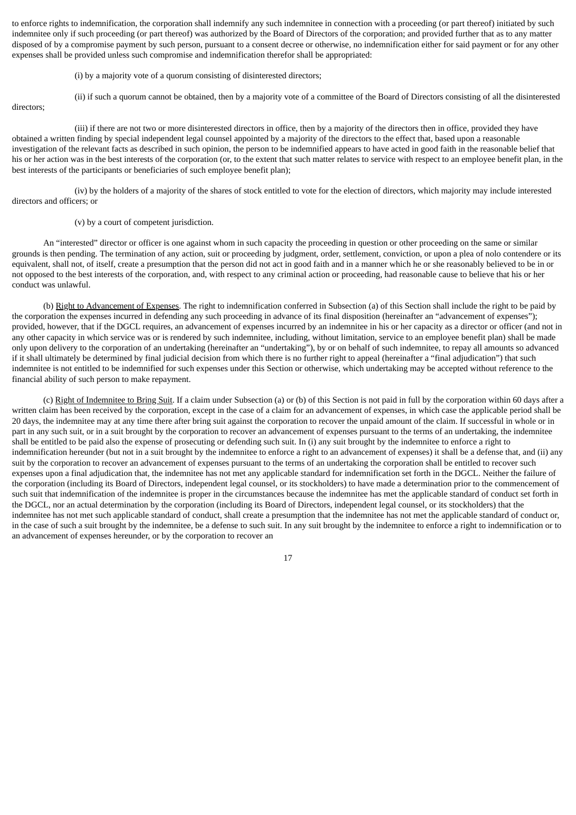to enforce rights to indemnification, the corporation shall indemnify any such indemnitee in connection with a proceeding (or part thereof) initiated by such indemnitee only if such proceeding (or part thereof) was authorized by the Board of Directors of the corporation; and provided further that as to any matter disposed of by a compromise payment by such person, pursuant to a consent decree or otherwise, no indemnification either for said payment or for any other expenses shall be provided unless such compromise and indemnification therefor shall be appropriated:

(i) by a majority vote of a quorum consisting of disinterested directors;

(ii) if such a quorum cannot be obtained, then by a majority vote of a committee of the Board of Directors consisting of all the disinterested

#### directors;

(iii) if there are not two or more disinterested directors in office, then by a majority of the directors then in office, provided they have obtained a written finding by special independent legal counsel appointed by a majority of the directors to the effect that, based upon a reasonable investigation of the relevant facts as described in such opinion, the person to be indemnified appears to have acted in good faith in the reasonable belief that his or her action was in the best interests of the corporation (or, to the extent that such matter relates to service with respect to an employee benefit plan, in the best interests of the participants or beneficiaries of such employee benefit plan);

(iv) by the holders of a majority of the shares of stock entitled to vote for the election of directors, which majority may include interested directors and officers; or

(v) by a court of competent jurisdiction.

An "interested" director or officer is one against whom in such capacity the proceeding in question or other proceeding on the same or similar grounds is then pending. The termination of any action, suit or proceeding by judgment, order, settlement, conviction, or upon a plea of nolo contendere or its equivalent, shall not, of itself, create a presumption that the person did not act in good faith and in a manner which he or she reasonably believed to be in or not opposed to the best interests of the corporation, and, with respect to any criminal action or proceeding, had reasonable cause to believe that his or her conduct was unlawful.

(b) Right to Advancement of Expenses. The right to indemnification conferred in Subsection (a) of this Section shall include the right to be paid by the corporation the expenses incurred in defending any such proceeding in advance of its final disposition (hereinafter an "advancement of expenses"); provided, however, that if the DGCL requires, an advancement of expenses incurred by an indemnitee in his or her capacity as a director or officer (and not in any other capacity in which service was or is rendered by such indemnitee, including, without limitation, service to an employee benefit plan) shall be made only upon delivery to the corporation of an undertaking (hereinafter an "undertaking"), by or on behalf of such indemnitee, to repay all amounts so advanced if it shall ultimately be determined by final judicial decision from which there is no further right to appeal (hereinafter a "final adjudication") that such indemnitee is not entitled to be indemnified for such expenses under this Section or otherwise, which undertaking may be accepted without reference to the financial ability of such person to make repayment.

(c) Right of Indemnitee to Bring Suit. If a claim under Subsection (a) or (b) of this Section is not paid in full by the corporation within 60 days after a written claim has been received by the corporation, except in the case of a claim for an advancement of expenses, in which case the applicable period shall be 20 days, the indemnitee may at any time there after bring suit against the corporation to recover the unpaid amount of the claim. If successful in whole or in part in any such suit, or in a suit brought by the corporation to recover an advancement of expenses pursuant to the terms of an undertaking, the indemnitee shall be entitled to be paid also the expense of prosecuting or defending such suit. In (i) any suit brought by the indemnitee to enforce a right to indemnification hereunder (but not in a suit brought by the indemnitee to enforce a right to an advancement of expenses) it shall be a defense that, and (ii) any suit by the corporation to recover an advancement of expenses pursuant to the terms of an undertaking the corporation shall be entitled to recover such expenses upon a final adjudication that, the indemnitee has not met any applicable standard for indemnification set forth in the DGCL. Neither the failure of the corporation (including its Board of Directors, independent legal counsel, or its stockholders) to have made a determination prior to the commencement of such suit that indemnification of the indemnitee is proper in the circumstances because the indemnitee has met the applicable standard of conduct set forth in the DGCL, nor an actual determination by the corporation (including its Board of Directors, independent legal counsel, or its stockholders) that the indemnitee has not met such applicable standard of conduct, shall create a presumption that the indemnitee has not met the applicable standard of conduct or, in the case of such a suit brought by the indemnitee, be a defense to such suit. In any suit brought by the indemnitee to enforce a right to indemnification or to an advancement of expenses hereunder, or by the corporation to recover an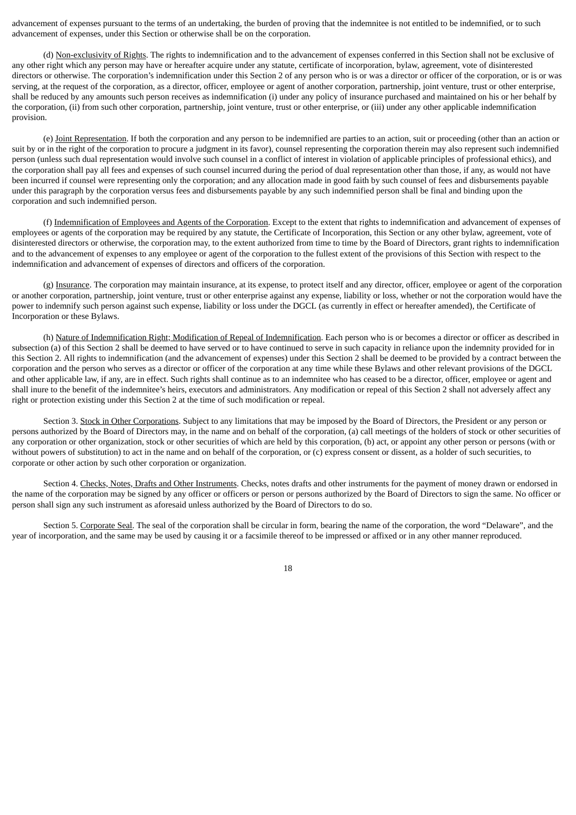advancement of expenses pursuant to the terms of an undertaking, the burden of proving that the indemnitee is not entitled to be indemnified, or to such advancement of expenses, under this Section or otherwise shall be on the corporation.

(d) Non-exclusivity of Rights. The rights to indemnification and to the advancement of expenses conferred in this Section shall not be exclusive of any other right which any person may have or hereafter acquire under any statute, certificate of incorporation, bylaw, agreement, vote of disinterested directors or otherwise. The corporation's indemnification under this Section 2 of any person who is or was a director or officer of the corporation, or is or was serving, at the request of the corporation, as a director, officer, employee or agent of another corporation, partnership, joint venture, trust or other enterprise, shall be reduced by any amounts such person receives as indemnification (i) under any policy of insurance purchased and maintained on his or her behalf by the corporation, (ii) from such other corporation, partnership, joint venture, trust or other enterprise, or (iii) under any other applicable indemnification provision.

(e) Joint Representation. If both the corporation and any person to be indemnified are parties to an action, suit or proceeding (other than an action or suit by or in the right of the corporation to procure a judgment in its favor), counsel representing the corporation therein may also represent such indemnified person (unless such dual representation would involve such counsel in a conflict of interest in violation of applicable principles of professional ethics), and the corporation shall pay all fees and expenses of such counsel incurred during the period of dual representation other than those, if any, as would not have been incurred if counsel were representing only the corporation; and any allocation made in good faith by such counsel of fees and disbursements payable under this paragraph by the corporation versus fees and disbursements payable by any such indemnified person shall be final and binding upon the corporation and such indemnified person.

(f) Indemnification of Employees and Agents of the Corporation</u>. Except to the extent that rights to indemnification and advancement of expenses of employees or agents of the corporation may be required by any statute, the Certificate of Incorporation, this Section or any other bylaw, agreement, vote of disinterested directors or otherwise, the corporation may, to the extent authorized from time to time by the Board of Directors, grant rights to indemnification and to the advancement of expenses to any employee or agent of the corporation to the fullest extent of the provisions of this Section with respect to the indemnification and advancement of expenses of directors and officers of the corporation.

(g) Insurance. The corporation may maintain insurance, at its expense, to protect itself and any director, officer, employee or agent of the corporation or another corporation, partnership, joint venture, trust or other enterprise against any expense, liability or loss, whether or not the corporation would have the power to indemnify such person against such expense, liability or loss under the DGCL (as currently in effect or hereafter amended), the Certificate of Incorporation or these Bylaws.

(h) Nature of Indemnification Right; Modification of Repeal of Indemnification. Each person who is or becomes a director or officer as described in subsection (a) of this Section 2 shall be deemed to have served or to have continued to serve in such capacity in reliance upon the indemnity provided for in this Section 2. All rights to indemnification (and the advancement of expenses) under this Section 2 shall be deemed to be provided by a contract between the corporation and the person who serves as a director or officer of the corporation at any time while these Bylaws and other relevant provisions of the DGCL and other applicable law, if any, are in effect. Such rights shall continue as to an indemnitee who has ceased to be a director, officer, employee or agent and shall inure to the benefit of the indemnitee's heirs, executors and administrators. Any modification or repeal of this Section 2 shall not adversely affect any right or protection existing under this Section 2 at the time of such modification or repeal.

Section 3. Stock in Other Corporations. Subject to any limitations that may be imposed by the Board of Directors, the President or any person or persons authorized by the Board of Directors may, in the name and on behalf of the corporation, (a) call meetings of the holders of stock or other securities of any corporation or other organization, stock or other securities of which are held by this corporation, (b) act, or appoint any other person or persons (with or without powers of substitution) to act in the name and on behalf of the corporation, or (c) express consent or dissent, as a holder of such securities, to corporate or other action by such other corporation or organization.

Section 4. Checks, Notes, Drafts and Other Instruments. Checks, notes drafts and other instruments for the payment of money drawn or endorsed in the name of the corporation may be signed by any officer or officers or person or persons authorized by the Board of Directors to sign the same. No officer or person shall sign any such instrument as aforesaid unless authorized by the Board of Directors to do so.

Section 5. Corporate Seal. The seal of the corporation shall be circular in form, bearing the name of the corporation, the word "Delaware", and the year of incorporation, and the same may be used by causing it or a facsimile thereof to be impressed or affixed or in any other manner reproduced.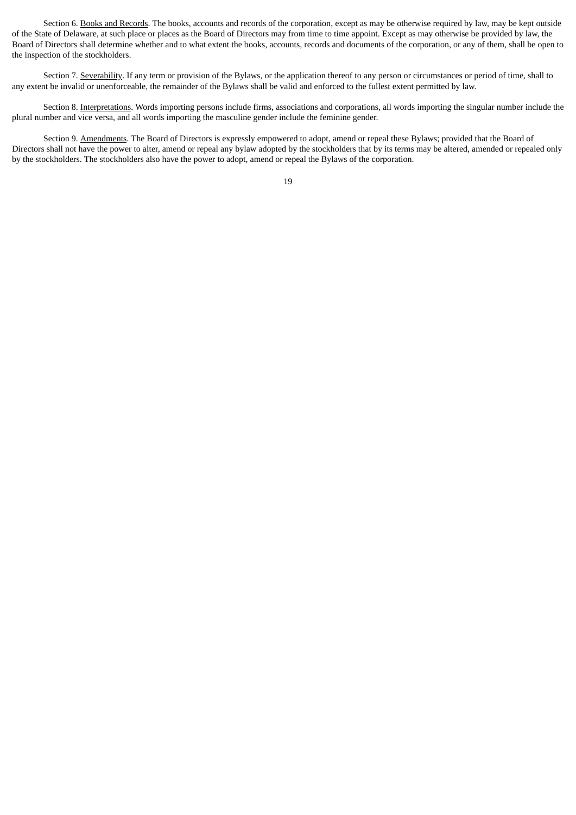Section 6. Books and Records. The books, accounts and records of the corporation, except as may be otherwise required by law, may be kept outside of the State of Delaware, at such place or places as the Board of Directors may from time to time appoint. Except as may otherwise be provided by law, the Board of Directors shall determine whether and to what extent the books, accounts, records and documents of the corporation, or any of them, shall be open to the inspection of the stockholders.

Section 7. Severability. If any term or provision of the Bylaws, or the application thereof to any person or circumstances or period of time, shall to any extent be invalid or unenforceable, the remainder of the Bylaws shall be valid and enforced to the fullest extent permitted by law.

Section 8. Interpretations. Words importing persons include firms, associations and corporations, all words importing the singular number include the plural number and vice versa, and all words importing the masculine gender include the feminine gender.

Section 9. Amendments. The Board of Directors is expressly empowered to adopt, amend or repeal these Bylaws; provided that the Board of Directors shall not have the power to alter, amend or repeal any bylaw adopted by the stockholders that by its terms may be altered, amended or repealed only by the stockholders. The stockholders also have the power to adopt, amend or repeal the Bylaws of the corporation.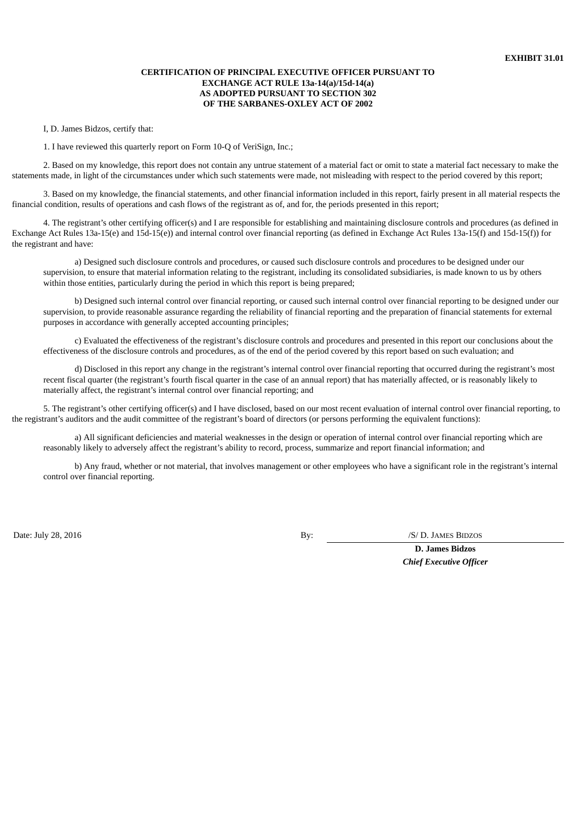## **CERTIFICATION OF PRINCIPAL EXECUTIVE OFFICER PURSUANT TO EXCHANGE ACT RULE 13a-14(a)/15d-14(a) AS ADOPTED PURSUANT TO SECTION 302 OF THE SARBANES-OXLEY ACT OF 2002**

I, D. James Bidzos, certify that:

1. I have reviewed this quarterly report on Form 10-Q of VeriSign, Inc.;

2. Based on my knowledge, this report does not contain any untrue statement of a material fact or omit to state a material fact necessary to make the statements made, in light of the circumstances under which such statements were made, not misleading with respect to the period covered by this report;

3. Based on my knowledge, the financial statements, and other financial information included in this report, fairly present in all material respects the financial condition, results of operations and cash flows of the registrant as of, and for, the periods presented in this report;

4. The registrant's other certifying officer(s) and I are responsible for establishing and maintaining disclosure controls and procedures (as defined in Exchange Act Rules 13a-15(e) and 15d-15(e)) and internal control over financial reporting (as defined in Exchange Act Rules 13a-15(f) and 15d-15(f)) for the registrant and have:

a) Designed such disclosure controls and procedures, or caused such disclosure controls and procedures to be designed under our supervision, to ensure that material information relating to the registrant, including its consolidated subsidiaries, is made known to us by others within those entities, particularly during the period in which this report is being prepared;

b) Designed such internal control over financial reporting, or caused such internal control over financial reporting to be designed under our supervision, to provide reasonable assurance regarding the reliability of financial reporting and the preparation of financial statements for external purposes in accordance with generally accepted accounting principles;

c) Evaluated the effectiveness of the registrant's disclosure controls and procedures and presented in this report our conclusions about the effectiveness of the disclosure controls and procedures, as of the end of the period covered by this report based on such evaluation; and

d) Disclosed in this report any change in the registrant's internal control over financial reporting that occurred during the registrant's most recent fiscal quarter (the registrant's fourth fiscal quarter in the case of an annual report) that has materially affected, or is reasonably likely to materially affect, the registrant's internal control over financial reporting; and

5. The registrant's other certifying officer(s) and I have disclosed, based on our most recent evaluation of internal control over financial reporting, to the registrant's auditors and the audit committee of the registrant's board of directors (or persons performing the equivalent functions):

a) All significant deficiencies and material weaknesses in the design or operation of internal control over financial reporting which are reasonably likely to adversely affect the registrant's ability to record, process, summarize and report financial information; and

b) Any fraud, whether or not material, that involves management or other employees who have a significant role in the registrant's internal control over financial reporting.

Date: July 28, 2016 **By:** /S/ D. JAMES BIDZOS **By:** /S/ D. JAMES BIDZOS

**D. James Bidzos** *Chief Executive Officer*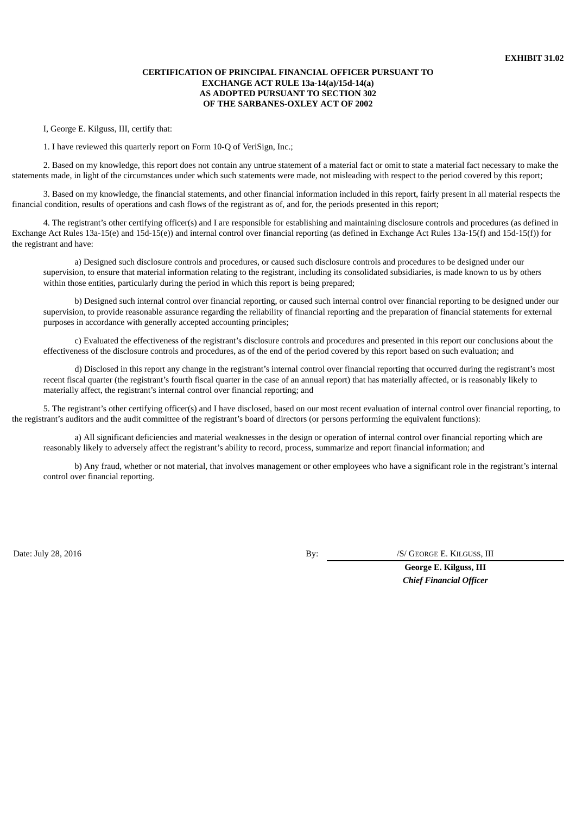## **CERTIFICATION OF PRINCIPAL FINANCIAL OFFICER PURSUANT TO EXCHANGE ACT RULE 13a-14(a)/15d-14(a) AS ADOPTED PURSUANT TO SECTION 302 OF THE SARBANES-OXLEY ACT OF 2002**

I, George E. Kilguss, III, certify that:

1. I have reviewed this quarterly report on Form 10-Q of VeriSign, Inc.;

2. Based on my knowledge, this report does not contain any untrue statement of a material fact or omit to state a material fact necessary to make the statements made, in light of the circumstances under which such statements were made, not misleading with respect to the period covered by this report;

3. Based on my knowledge, the financial statements, and other financial information included in this report, fairly present in all material respects the financial condition, results of operations and cash flows of the registrant as of, and for, the periods presented in this report;

4. The registrant's other certifying officer(s) and I are responsible for establishing and maintaining disclosure controls and procedures (as defined in Exchange Act Rules 13a-15(e) and 15d-15(e)) and internal control over financial reporting (as defined in Exchange Act Rules 13a-15(f) and 15d-15(f)) for the registrant and have:

a) Designed such disclosure controls and procedures, or caused such disclosure controls and procedures to be designed under our supervision, to ensure that material information relating to the registrant, including its consolidated subsidiaries, is made known to us by others within those entities, particularly during the period in which this report is being prepared;

b) Designed such internal control over financial reporting, or caused such internal control over financial reporting to be designed under our supervision, to provide reasonable assurance regarding the reliability of financial reporting and the preparation of financial statements for external purposes in accordance with generally accepted accounting principles;

c) Evaluated the effectiveness of the registrant's disclosure controls and procedures and presented in this report our conclusions about the effectiveness of the disclosure controls and procedures, as of the end of the period covered by this report based on such evaluation; and

d) Disclosed in this report any change in the registrant's internal control over financial reporting that occurred during the registrant's most recent fiscal quarter (the registrant's fourth fiscal quarter in the case of an annual report) that has materially affected, or is reasonably likely to materially affect, the registrant's internal control over financial reporting; and

5. The registrant's other certifying officer(s) and I have disclosed, based on our most recent evaluation of internal control over financial reporting, to the registrant's auditors and the audit committee of the registrant's board of directors (or persons performing the equivalent functions):

a) All significant deficiencies and material weaknesses in the design or operation of internal control over financial reporting which are reasonably likely to adversely affect the registrant's ability to record, process, summarize and report financial information; and

b) Any fraud, whether or not material, that involves management or other employees who have a significant role in the registrant's internal control over financial reporting.

Date: July 28, 2016 **By:** *By: By: S/ GEORGE E. KILGUSS, III* 

**George E. Kilguss, III** *Chief Financial Officer*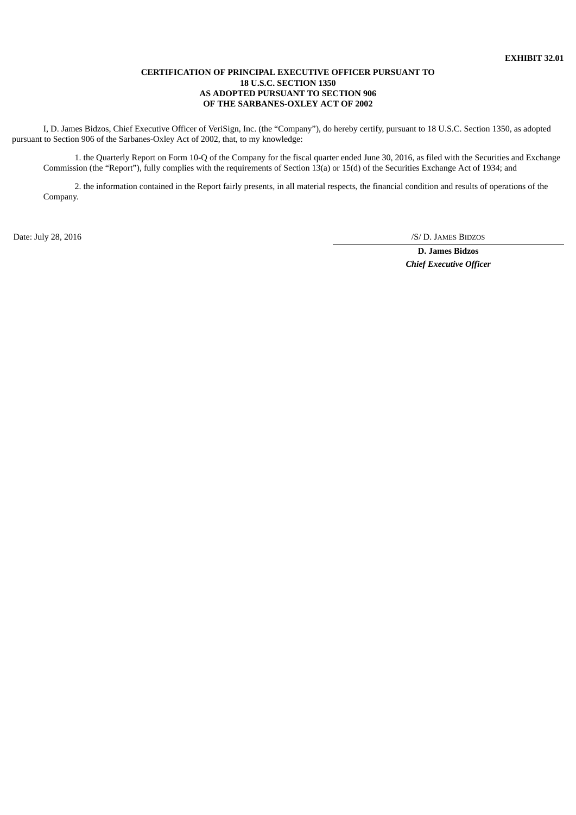## **CERTIFICATION OF PRINCIPAL EXECUTIVE OFFICER PURSUANT TO 18 U.S.C. SECTION 1350 AS ADOPTED PURSUANT TO SECTION 906 OF THE SARBANES-OXLEY ACT OF 2002**

I, D. James Bidzos, Chief Executive Officer of VeriSign, Inc. (the "Company"), do hereby certify, pursuant to 18 U.S.C. Section 1350, as adopted pursuant to Section 906 of the Sarbanes-Oxley Act of 2002, that, to my knowledge:

1. the Quarterly Report on Form 10-Q of the Company for the fiscal quarter ended June 30, 2016, as filed with the Securities and Exchange Commission (the "Report"), fully complies with the requirements of Section 13(a) or 15(d) of the Securities Exchange Act of 1934; and

2. the information contained in the Report fairly presents, in all material respects, the financial condition and results of operations of the Company.

Date: July 28, 2016 /S/ D. JAMES BIDZOS

**D. James Bidzos** *Chief Executive Officer*